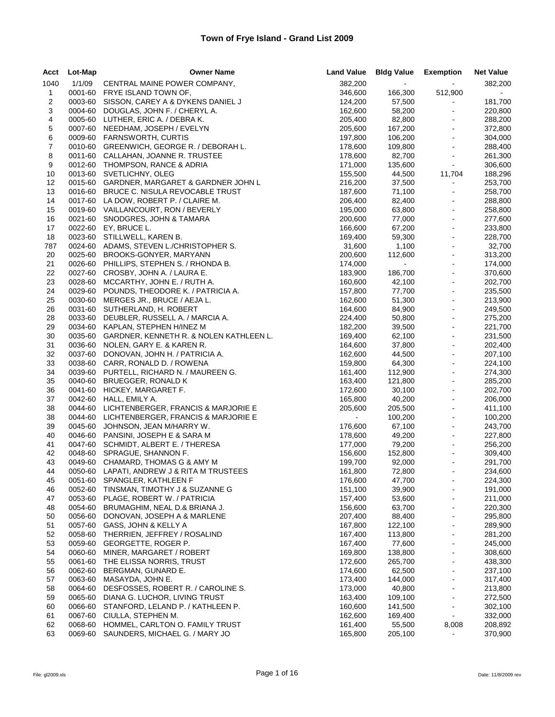| Acct         | Lot-Map | <b>Owner Name</b>                                                                   |                    | Land Value Bldg Value Exemption |                            | <b>Net Value</b>   |
|--------------|---------|-------------------------------------------------------------------------------------|--------------------|---------------------------------|----------------------------|--------------------|
| 1040         | 1/1/09  | CENTRAL MAINE POWER COMPANY,                                                        | 382,200            | $\omega_{\rm{max}}$             | $\mathbf{e}^{(1)}$         | 382,200            |
| $\mathbf{1}$ |         | 0001-60 FRYE ISLAND TOWN OF,                                                        | 346,600            | 166,300                         | 512,900                    | $\sim$             |
| 2            |         | 0003-60 SISSON, CAREY A & DYKENS DANIEL J                                           | 124,200            | 57,500                          | $\bullet$                  | 181,700            |
| 3            |         | 0004-60 DOUGLAS, JOHN F. / CHERYL A.                                                | 162,600            | 58,200                          | $\omega$                   | 220,800            |
| 4            |         | 0005-60 LUTHER, ERIC A. / DEBRA K.                                                  | 205,400            | 82,800                          | $\blacksquare$             | 288,200            |
| 5            |         | 0007-60 NEEDHAM, JOSEPH / EVELYN                                                    | 205,600            | 167,200                         | $\blacksquare$             | 372,800            |
| 6            |         | 0009-60 FARNSWORTH, CURTIS                                                          | 197,800            | 106,200                         | à,                         | 304,000            |
| 7            |         | 0010-60 GREENWICH, GEORGE R. / DEBORAH L.                                           | 178,600            | 109,800                         | $\blacksquare$             | 288,400            |
| 8            |         | 0011-60 CALLAHAN, JOANNE R. TRUSTEE                                                 | 178,600            | 82,700                          | $\blacksquare$             | 261,300            |
| 9            |         | 0012-60 THOMPSON, RANCE & ADRIA                                                     | 171,000            | 135,600                         | $\omega$                   | 306,600            |
| 10           |         | 0013-60 SVETLICHNY, OLEG                                                            | 155,500            | 44,500                          | 11,704                     | 188,296            |
| 12           |         | 0015-60 GARDNER, MARGARET & GARDNER JOHN L                                          | 216,200            | 37,500                          | $\blacksquare$             | 253,700            |
| 13           |         | 0016-60 BRUCE C. NISULA REVOCABLE TRUST                                             | 187,600            | 71,100                          | $\sim$                     | 258,700            |
| 14           |         | 0017-60 LA DOW, ROBERT P. / CLAIRE M.                                               | 206,400            | 82,400                          | $\bullet$                  | 288,800            |
| 15           |         | 0019-60 VAILLANCOURT, RON / BEVERLY                                                 | 195,000            | 63,800                          | $\equiv$                   | 258,800            |
| 16           |         | 0021-60 SNODGRES, JOHN & TAMARA                                                     | 200,600            | 77,000                          | $\hat{\mathbf{z}}$         | 277,600            |
| 17           |         | 0022-60 EY, BRUCE L.                                                                | 166,600            | 67,200                          | $\sim$                     | 233,800            |
| 18           |         | 0023-60 STILLWELL, KAREN B.                                                         | 169,400            | 59,300                          | $\equiv$                   | 228,700            |
| 787          |         | 0024-60 ADAMS, STEVEN L./CHRISTOPHER S.                                             | 31,600             | 1,100                           | $\bar{\omega}$             | 32,700             |
| 20           |         | 0025-60 BROOKS-GONYER, MARYANN                                                      | 200,600            | 112,600                         | $\blacksquare$             | 313,200            |
| 21           |         | 0026-60 PHILLIPS, STEPHEN S. / RHONDA B.                                            | 174,000            | $\sigma_{\rm{max}}$             | $\blacksquare$             | 174,000            |
| 22           |         | 0027-60 CROSBY, JOHN A. / LAURA E.                                                  | 183,900            | 186,700                         | $\bar{\omega}$             | 370,600            |
| 23           |         | 0028-60 MCCARTHY, JOHN E. / RUTH A.                                                 | 160,600            | 42,100                          | $\blacksquare$             | 202,700            |
| 24           |         | 0029-60 POUNDS, THEODORE K. / PATRICIA A.                                           | 157,800            | 77,700                          | $\omega$                   | 235,500            |
| 25           |         | 0030-60 MERGES JR., BRUCE / AEJA L.                                                 | 162,600            | 51,300                          | $\Box$                     | 213,900            |
| 26           |         | 0031-60 SUTHERLAND, H. ROBERT                                                       | 164,600            | 84,900                          | $\blacksquare$             | 249,500            |
| 28           |         | 0033-60 DEUBLER, RUSSELL A. / MARCIA A.                                             | 224,400            | 50,800                          | ÷,                         | 275,200            |
| 29           |         | 0034-60 KAPLAN, STEPHEN H/INEZ M<br>0035-60 GARDNER, KENNETH R. & NOLEN KATHLEEN L. | 182,200            | 39,500                          | $\blacksquare$             | 221,700            |
| 30           |         |                                                                                     | 169,400            | 62,100                          | $\blacksquare$             | 231,500            |
| 31           |         | 0036-60 NOLEN, GARY E. & KAREN R.                                                   | 164,600            | 37,800                          | $\blacksquare$             | 202,400            |
| 32           |         | 0037-60 DONOVAN, JOHN H. / PATRICIA A.                                              | 162,600            | 44,500                          | $\blacksquare$<br>$\omega$ | 207,100            |
| 33           |         | 0038-60 CARR, RONALD D. / ROWENA                                                    | 159,800            | 64,300                          | $\equiv$                   | 224,100            |
| 34           |         | 0039-60 PURTELL, RICHARD N. / MAUREEN G.                                            | 161,400            | 112,900                         | $\Box$                     | 274,300            |
| 35           |         | 0040-60 BRUEGGER, RONALD K<br>0041-60 HICKEY, MARGARET F.                           | 163,400            | 121,800                         | $\Box$                     | 285,200<br>202,700 |
| 36           |         | 0042-60 HALL, EMILY A.                                                              | 172,600            | 30,100<br>40,200                | $\blacksquare$             |                    |
| 37<br>38     |         | 0044-60 LICHTENBERGER, FRANCIS & MARJORIE E                                         | 165,800<br>205,600 | 205,500                         | $\bar{\omega}$             | 206,000<br>411,100 |
| 38           |         | 0044-60 LICHTENBERGER, FRANCIS & MARJORIE E                                         | $\sim$             | 100,200                         | $\omega$                   | 100,200            |
| 39           |         | 0045-60 JOHNSON, JEAN M/HARRY W.                                                    | 176,600            | 67,100                          | $\sim$                     | 243,700            |
| 40           |         | 0046-60 PANSINI, JOSEPH E & SARA M                                                  | 178,600            | 49,200                          | $\bar{\mathbf{r}}$         | 227,800            |
| 41           |         | 0047-60 SCHMIDT, ALBERT E. / THERESA                                                | 177,000            | 79,200                          | $\blacksquare$             | 256,200            |
| 42           |         | 0048-60 SPRAGUE, SHANNON F.                                                         | 156,600            | 152,800                         | $\omega$                   | 309,400            |
| 43           |         | 0049-60 CHAMARD, THOMAS G & AMY M                                                   | 199,700            | 92,000                          | $\blacksquare$             | 291,700            |
| 44           |         | 0050-60 LAPATI, ANDREW J & RITA M TRUSTEES                                          | 161,800            | 72,800                          |                            | 234,600            |
| 45           |         | 0051-60 SPANGLER, KATHLEEN F                                                        | 176,600            | 47,700                          | ۰                          | 224,300            |
| 46           | 0052-60 | TINSMAN, TIMOTHY J & SUZANNE G                                                      | 151,100            | 39,900                          | $\blacksquare$             | 191,000            |
| 47           | 0053-60 | PLAGE, ROBERT W. / PATRICIA                                                         | 157,400            | 53,600                          | $\overline{\phantom{0}}$   | 211,000            |
| 48           | 0054-60 | BRUMAGHIM, NEAL D.& BRIANA J.                                                       | 156,600            | 63,700                          | ۰                          | 220,300            |
| 50           | 0056-60 | DONOVAN, JOSEPH A & MARLENE                                                         | 207,400            | 88,400                          | $\blacksquare$             | 295,800            |
| 51           | 0057-60 | GASS, JOHN & KELLY A                                                                | 167,800            | 122,100                         | $\blacksquare$             | 289,900            |
| 52           | 0058-60 | THERRIEN, JEFFREY / ROSALIND                                                        | 167,400            | 113,800                         | $\frac{1}{2}$              | 281,200            |
| 53           | 0059-60 | GEORGETTE, ROGER P.                                                                 | 167,400            | 77,600                          | $\blacksquare$             | 245,000            |
| 54           | 0060-60 | MINER, MARGARET / ROBERT                                                            | 169,800            | 138,800                         | $\frac{1}{2}$              | 308,600            |
| 55           | 0061-60 | THE ELISSA NORRIS, TRUST                                                            | 172,600            | 265,700                         | $\overline{\phantom{0}}$   | 438,300            |
| 56           | 0062-60 | BERGMAN, GUNARD E.                                                                  | 174,600            | 62,500                          | $\blacksquare$             | 237,100            |
| 57           | 0063-60 | MASAYDA, JOHN E.                                                                    | 173,400            | 144,000                         | $\blacksquare$             | 317,400            |
| 58           | 0064-60 | DESFOSSES, ROBERT R. / CAROLINE S.                                                  | 173,000            | 40,800                          | ä,                         | 213,800            |
| 59           | 0065-60 | DIANA G. LUCHOR, LIVING TRUST                                                       | 163,400            | 109,100                         | $\blacksquare$             | 272,500            |
| 60           | 0066-60 | STANFORD, LELAND P. / KATHLEEN P.                                                   | 160,600            | 141,500                         | $\blacksquare$             | 302,100            |
| 61           |         | 0067-60 CIULLA, STEPHEN M.                                                          | 162,600            | 169,400                         | $\blacksquare$             | 332,000            |
| 62           | 0068-60 | HOMMEL, CARLTON O. FAMILY TRUST                                                     | 161,400            | 55,500                          | 8,008                      | 208,892            |
| 63           | 0069-60 | SAUNDERS, MICHAEL G. / MARY JO                                                      | 165,800            | 205,100                         | ä,                         | 370,900            |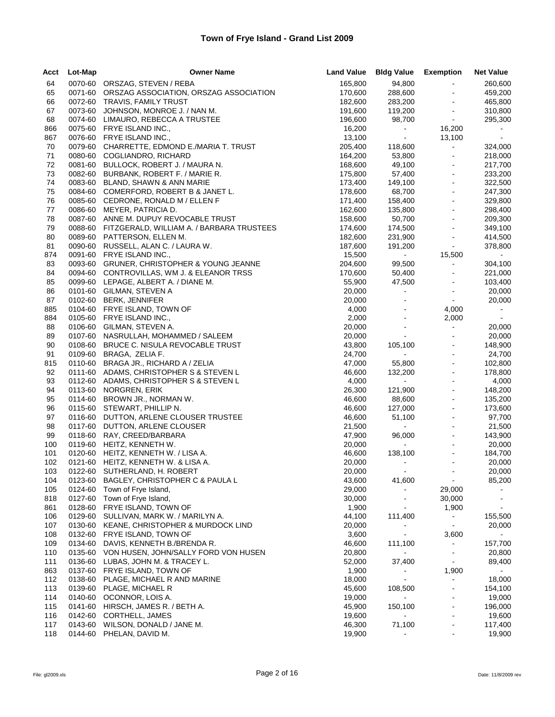| Acct       | Lot-Map            | <b>Owner Name</b>                                                        | <b>Land Value</b>  | <b>Bldg Value Exemption</b> |                                  | <b>Net Value</b>    |
|------------|--------------------|--------------------------------------------------------------------------|--------------------|-----------------------------|----------------------------------|---------------------|
| 64         |                    | 0070-60 ORSZAG, STEVEN / REBA                                            | 165,800            | 94,800                      | $\omega$                         | 260,600             |
| 65         |                    | 0071-60 ORSZAG ASSOCIATION, ORSZAG ASSOCIATION                           | 170,600            | 288,600                     | $\blacksquare$                   | 459,200             |
| 66         |                    | 0072-60 TRAVIS, FAMILY TRUST                                             | 182,600            | 283,200                     | $\blacksquare$                   | 465,800             |
| 67         |                    | 0073-60 JOHNSON, MONROE J. / NAN M.                                      | 191,600            | 119,200                     | $\blacksquare$                   | 310,800             |
| 68         |                    | 0074-60 LIMAURO, REBECCA A TRUSTEE                                       | 196,600            | 98,700                      | $\sim$                           | 295,300             |
| 866        |                    | 0075-60 FRYE ISLAND INC.,                                                | 16,200             | $\sigma_{\rm{max}}$         | 16,200                           |                     |
| 867        |                    | 0076-60 FRYE ISLAND INC.,                                                | 13,100             | $\sim$                      | 13,100                           | $\sim$              |
| 70         |                    | 0079-60 CHARRETTE, EDMOND E./MARIA T. TRUST                              | 205,400            | 118,600                     | $\sim$                           | 324,000             |
| 71<br>72   |                    | 0080-60 COGLIANDRO, RICHARD<br>0081-60 BULLOCK, ROBERT J. / MAURA N.     | 164,200<br>168,600 | 53,800<br>49,100            | $\blacksquare$<br>$\blacksquare$ | 218,000<br>217,700  |
| 73         |                    | 0082-60 BURBANK, ROBERT F. / MARIE R.                                    | 175,800            | 57,400                      | $\Box$                           | 233,200             |
| 74         |                    | 0083-60 BLAND, SHAWN & ANN MARIE                                         | 173,400            | 149,100                     | $\blacksquare$                   | 322,500             |
| 75         |                    | 0084-60 COMERFORD, ROBERT B & JANET L.                                   | 178,600            | 68,700                      | $\omega$                         | 247,300             |
| 76         |                    | 0085-60 CEDRONE, RONALD M / ELLEN F                                      | 171,400            | 158,400                     | $\blacksquare$                   | 329,800             |
| 77         |                    | 0086-60 MEYER, PATRICIA D.                                               | 162,600            | 135,800                     | $\blacksquare$                   | 298,400             |
| 78         |                    | 0087-60 ANNE M. DUPUY REVOCABLE TRUST                                    | 158,600            | 50,700                      | $\blacksquare$                   | 209,300             |
| 79         |                    | 0088-60 FITZGERALD, WILLIAM A. / BARBARA TRUSTEES                        | 174,600            | 174,500                     | $\blacksquare$                   | 349,100             |
| 80         |                    | 0089-60 PATTERSON, ELLEN M.                                              | 182,600            | 231,900                     | $\blacksquare$                   | 414,500             |
| 81         |                    | 0090-60 RUSSELL, ALAN C. / LAURA W.                                      | 187,600            | 191,200                     | $\omega$                         | 378,800             |
| 874        |                    | 0091-60 FRYE ISLAND INC.,                                                | 15,500             | $\omega_{\rm{max}}$         | 15,500                           | $\sim$              |
| 83         |                    | 0093-60 GRUNER, CHRISTOPHER & YOUNG JEANNE                               | 204,600            | 99,500                      | $\blacksquare$                   | 304,100             |
| 84         |                    | 0094-60 CONTROVILLAS, WM J. & ELEANOR TRSS                               | 170,600            | 50,400                      | $\blacksquare$                   | 221,000             |
| 85         |                    | 0099-60 LEPAGE, ALBERT A. / DIANE M.                                     | 55,900             | 47,500                      | $\blacksquare$<br>$\blacksquare$ | 103,400             |
| 86         |                    | 0101-60 GILMAN, STEVEN A<br>0102-60 BERK, JENNIFER                       | 20,000<br>20,000   | $\mathcal{L}_{\rm{max}}$    | $\sim$                           | 20,000              |
| 87<br>885  |                    | 0104-60 FRYE ISLAND, TOWN OF                                             | 4,000              | $\blacksquare$              | 4,000                            | 20,000<br>$\sim 10$ |
| 884        |                    | 0105-60 FRYE ISLAND INC.,                                                | 2,000              | $\blacksquare$              | 2,000                            | $\sim$              |
| 88         |                    | 0106-60 GILMAN, STEVEN A.                                                | 20,000             | $\blacksquare$              | $\blacksquare$                   | 20,000              |
| 89         |                    | 0107-60 NASRULLAH, MOHAMMED / SALEEM                                     | 20,000             | $\sim$                      | $\blacksquare$                   | 20,000              |
| 90         |                    | 0108-60 BRUCE C. NISULA REVOCABLE TRUST                                  | 43,800             | 105,100                     | $\blacksquare$                   | 148,900             |
| 91         |                    | 0109-60 BRAGA, ZELIA F.                                                  | 24,700             | $\Delta \sim 100$           | $\overline{\phantom{a}}$         | 24,700              |
| 815        |                    | 0110-60 BRAGA JR., RICHARD A / ZELIA                                     | 47,000             | 55,800                      | $\blacksquare$                   | 102,800             |
| 92         |                    | 0111-60 ADAMS, CHRISTOPHER S & STEVEN L                                  | 46,600             | 132,200                     | $\overline{\phantom{a}}$         | 178,800             |
| 93         |                    | 0112-60 ADAMS, CHRISTOPHER S & STEVEN L                                  | 4,000              | $\sim 100$                  | $\blacksquare$                   | 4,000               |
| 94         |                    | 0113-60 NORGREN, ERIK                                                    | 26,300             | 121,900                     | $\blacksquare$                   | 148,200             |
| 95         |                    | 0114-60 BROWN JR., NORMAN W.                                             | 46,600             | 88,600                      | $\overline{\phantom{a}}$         | 135,200             |
| 96         |                    | 0115-60 STEWART, PHILLIP N.                                              | 46,600             | 127,000                     | $\Box$<br>$\blacksquare$         | 173,600             |
| 97<br>98   |                    | 0116-60 DUTTON, ARLENE CLOUSER TRUSTEE<br>0117-60 DUTTON, ARLENE CLOUSER | 46,600<br>21,500   | 51,100<br>$\sim 100$        | $\blacksquare$                   | 97,700<br>21,500    |
| 99         |                    | 0118-60 RAY, CREED/BARBARA                                               | 47,900             | 96,000                      | $\blacksquare$                   | 143,900             |
| 100        |                    | 0119-60 HEITZ, KENNETH W.                                                | 20,000             | $\sim$                      | $\blacksquare$                   | 20,000              |
| 101        |                    | 0120-60 HEITZ, KENNETH W. / LISA A.                                      | 46,600             | 138,100                     | $\blacksquare$                   | 184,700             |
| 102        |                    | 0121-60 HEITZ, KENNETH W. & LISA A.                                      | 20,000             | $\blacksquare$              | $\blacksquare$                   | 20,000              |
| 103        |                    | 0122-60 SUTHERLAND, H. ROBERT                                            | 20,000             |                             |                                  | 20,000              |
| 104        |                    | 0123-60 BAGLEY, CHRISTOPHER C & PAULA L                                  | 43,600             | 41,600                      | $\sim$                           | 85,200              |
| 105        | 0124-60            | Town of Frye Island,                                                     | 29,000             |                             | 29,000                           |                     |
| 818        | 0127-60            | Town of Frye Island,                                                     | 30,000             | $\ddot{\phantom{1}}$        | 30,000                           |                     |
| 861        |                    | 0128-60 FRYE ISLAND, TOWN OF                                             | 1,900              | $\sim$                      | 1,900                            |                     |
| 106        | 0129-60            | SULLIVAN, MARK W. / MARILYN A.                                           | 44,100             | 111,400                     | $\blacksquare$                   | 155,500             |
| 107        | 0130-60            | KEANE, CHRISTOPHER & MURDOCK LIND                                        | 20,000             |                             | $\blacksquare$                   | 20,000              |
| 108        | 0132-60            | FRYE ISLAND, TOWN OF                                                     | 3,600              | $\blacksquare$              | 3,600                            | $\sim$              |
| 109        | 0134-60<br>0135-60 | DAVIS, KENNETH B./BRENDA R.                                              | 46,600             | 111,100                     | $\blacksquare$                   | 157,700             |
| 110<br>111 | 0136-60            | VON HUSEN, JOHN/SALLY FORD VON HUSEN<br>LUBAS, JOHN M. & TRACEY L.       | 20,800<br>52,000   | $\blacksquare$<br>37,400    | $\blacksquare$<br>$\blacksquare$ | 20,800<br>89,400    |
| 863        | 0137-60            | FRYE ISLAND, TOWN OF                                                     | 1,900              |                             | 1,900                            | $\sim$              |
| 112        | 0138-60            | PLAGE, MICHAEL R AND MARINE                                              | 18,000             | $\blacksquare$              |                                  | 18,000              |
| 113        | 0139-60            | PLAGE, MICHAEL R                                                         | 45,600             | 108,500                     |                                  | 154,100             |
| 114        | 0140-60            | OCONNOR, LOIS A.                                                         | 19,000             | $\blacksquare$              |                                  | 19,000              |
| 115        | 0141-60            | HIRSCH, JAMES R. / BETH A.                                               | 45,900             | 150,100                     | $\blacksquare$                   | 196,000             |
| 116        | 0142-60            | <b>CORTHELL, JAMES</b>                                                   | 19,600             | $\blacksquare$              |                                  | 19,600              |
| 117        | 0143-60            | WILSON, DONALD / JANE M.                                                 | 46,300             | 71,100                      | $\blacksquare$                   | 117,400             |
| 118        | 0144-60            | PHELAN, DAVID M.                                                         | 19,900             |                             |                                  | 19,900              |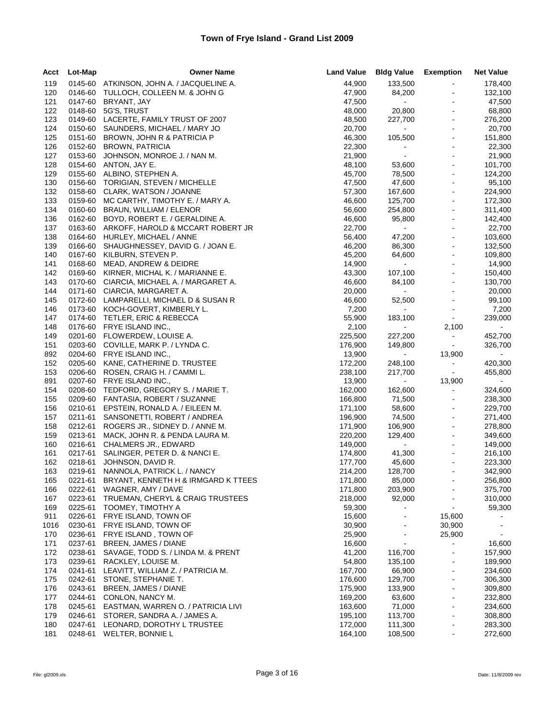| Acct | Lot-Map | <b>Owner Name</b>                         | <b>Land Value</b> | <b>Bldg Value</b>        | Exemption                | <b>Net Value</b> |
|------|---------|-------------------------------------------|-------------------|--------------------------|--------------------------|------------------|
| 119  |         | 0145-60 ATKINSON, JOHN A. / JACQUELINE A. | 44,900            | 133,500                  | $\blacksquare$           | 178,400          |
| 120  | 0146-60 | TULLOCH, COLLEEN M. & JOHN G              | 47,900            | 84,200                   | $\blacksquare$           | 132,100          |
| 121  | 0147-60 | BRYANT, JAY                               | 47,500            | $\sim 100$               | $\blacksquare$           | 47,500           |
| 122  | 0148-60 | 5G'S, TRUST                               | 48,000            | 20,800                   | $\sim$                   | 68,800           |
| 123  | 0149-60 | LACERTE, FAMILY TRUST OF 2007             | 48,500            | 227,700                  | $\blacksquare$           | 276,200          |
| 124  | 0150-60 | SAUNDERS, MICHAEL / MARY JO               | 20,700            | $\mathcal{L}_{\rm{max}}$ | $\blacksquare$           | 20,700           |
| 125  | 0151-60 | BROWN, JOHN R & PATRICIA P                | 46,300            | 105,500                  | $\sim$                   | 151,800          |
| 126  | 0152-60 | <b>BROWN, PATRICIA</b>                    | 22,300            | $\sim$                   | $\blacksquare$           | 22,300           |
| 127  | 0153-60 | JOHNSON, MONROE J. / NAN M.               | 21,900            | $\sim$                   | $\blacksquare$           | 21,900           |
| 128  |         | 0154-60 ANTON, JAY E.                     | 48,100            | 53,600                   | $\omega$                 | 101,700          |
| 129  | 0155-60 | ALBINO, STEPHEN A.                        | 45,700            | 78,500                   | $\sim$                   | 124,200          |
| 130  |         | 0156-60 TORIGIAN, STEVEN / MICHELLE       | 47,500            | 47,600                   |                          | 95,100           |
| 132  |         | 0158-60 CLARK, WATSON / JOANNE            | 57,300            | 167,600                  | $\omega$                 | 224,900          |
| 133  | 0159-60 | MC CARTHY, TIMOTHY E. / MARY A.           | 46,600            | 125,700                  | $\blacksquare$           | 172,300          |
| 134  | 0160-60 | BRAUN, WILLIAM / ELENOR                   | 56,600            | 254,800                  | $\blacksquare$           | 311,400          |
| 136  | 0162-60 | BOYD, ROBERT E. / GERALDINE A.            | 46,600            | 95,800                   | $\omega$                 | 142,400          |
| 137  | 0163-60 | ARKOFF, HAROLD & MCCART ROBERT JR         | 22,700            | $\sim 100$               | $\sim$                   | 22,700           |
| 138  | 0164-60 | HURLEY, MICHAEL / ANNE                    | 56,400            | 47,200                   |                          | 103,600          |
| 139  | 0166-60 | SHAUGHNESSEY, DAVID G. / JOAN E.          | 46,200            | 86,300                   | $\blacksquare$           | 132,500          |
| 140  | 0167-60 | KILBURN, STEVEN P.                        | 45,200            | 64,600                   | $\blacksquare$           | 109,800          |
| 141  | 0168-60 | MEAD, ANDREW & DEIDRE                     | 14,900            | $\sim 100$               | $\blacksquare$           | 14,900           |
| 142  | 0169-60 | KIRNER, MICHAL K. / MARIANNE E.           | 43,300            | 107,100                  | $\Box$                   | 150,400          |
| 143  | 0170-60 | CIARCIA, MICHAEL A. / MARGARET A.         | 46,600            | 84,100                   | $\blacksquare$           | 130,700          |
| 144  | 0171-60 | CIARCIA, MARGARET A.                      | 20,000            | $\mathbf{a}$             | $\blacksquare$           | 20,000           |
| 145  | 0172-60 | LAMPARELLI, MICHAEL D & SUSAN R           | 46,600            | 52,500                   | $\blacksquare$           | 99,100           |
| 146  | 0173-60 | KOCH-GOVERT, KIMBERLY L.                  | 7,200             | $\sim 100$               | $\blacksquare$           | 7,200            |
| 147  |         | 0174-60 TETLER, ERIC & REBECCA            | 55,900            | 183,100                  | $\sim$                   | 239,000          |
| 148  | 0176-60 | FRYE ISLAND INC.,                         | 2,100             | $\sim 100$               | 2,100                    | $\sim$           |
| 149  |         | 0201-60 FLOWERDEW, LOUISE A.              | 225,500           | 227,200                  | $\blacksquare$           | 452,700          |
| 151  |         | 0203-60 COVILLE, MARK P. / LYNDA C.       | 176,900           | 149,800                  | $\blacksquare$           | 326,700          |
| 892  | 0204-60 | FRYE ISLAND INC.,                         | 13,900            | $\sim 100$               | 13,900                   | $\sim$           |
| 152  | 0205-60 | KANE, CATHERINE D. TRUSTEE                | 172,200           | 248,100                  | $\bullet$                | 420,300          |
| 153  | 0206-60 | ROSEN, CRAIG H. / CAMMI L.                | 238,100           | 217,700                  | $\sim$                   | 455,800          |
| 891  | 0207-60 | FRYE ISLAND INC.,                         | 13,900            | $\bullet$ .              | 13,900                   | $\sim$           |
| 154  | 0208-60 | TEDFORD, GREGORY S. / MARIE T.            | 162,000           | 162,600                  | $\sim$                   | 324,600          |
| 155  | 0209-60 | FANTASIA, ROBERT / SUZANNE                | 166,800           | 71,500                   | $\sim$                   | 238,300          |
| 156  | 0210-61 | EPSTEIN, RONALD A. / EILEEN M.            | 171,100           | 58,600                   | $\blacksquare$           | 229,700          |
| 157  | 0211-61 | SANSONETTI, ROBERT / ANDREA               | 196,900           | 74,500                   | $\blacksquare$           | 271,400          |
| 158  | 0212-61 | ROGERS JR., SIDNEY D. / ANNE M.           | 171,900           | 106,900                  | $\sim$                   | 278,800          |
| 159  | 0213-61 | MACK, JOHN R. & PENDA LAURA M.            | 220,200           | 129,400                  | $\sim$                   | 349,600          |
| 160  | 0216-61 | CHALMERS JR., EDWARD                      | 149,000           | $\sim 100$               | $\blacksquare$           | 149,000          |
| 161  | 0217-61 | SALINGER, PETER D. & NANCI E.             | 174,800           | 41,300                   | $\blacksquare$           | 216,100          |
| 162  | 0218-61 | JOHNSON, DAVID R.                         | 177,700           | 45,600                   | $\sim$                   | 223,300          |
| 163  | 0219-61 | NANNOLA, PATRICK L. / NANCY               | 214,200           | 128,700                  |                          | 342,900          |
| 165  | 0221-61 | BRYANT, KENNETH H & IRMGARD K TTEES       | 171,800           | 85,000                   | $\blacksquare$           | 256,800          |
| 166  | 0222-61 | WAGNER, AMY / DAVE                        | 171,800           | 203,900                  |                          | 375,700          |
| 167  | 0223-61 | TRUEMAN, CHERYL & CRAIG TRUSTEES          | 218,000           | 92,000                   |                          | 310,000          |
| 169  | 0225-61 | TOOMEY, TIMOTHY A                         | 59,300            | $\blacksquare$           |                          | 59,300           |
| 911  | 0226-61 | FRYE ISLAND, TOWN OF                      | 15,600            | $\blacksquare$           | 15,600                   |                  |
| 1016 | 0230-61 | FRYE ISLAND, TOWN OF                      | 30,900            |                          | 30,900                   |                  |
| 170  | 0236-61 | FRYE ISLAND, TOWN OF                      | 25,900            | $\blacksquare$           | 25,900                   | $\blacksquare$   |
| 171  | 0237-61 | BREEN, JAMES / DIANE                      | 16,600            |                          | ÷                        | 16,600           |
| 172  | 0238-61 | SAVAGE, TODD S. / LINDA M. & PRENT        | 41,200            | 116,700                  |                          | 157,900          |
| 173  | 0239-61 | RACKLEY, LOUISE M.                        | 54,800            | 135,100                  | ä,                       | 189,900          |
| 174  | 0241-61 | LEAVITT, WILLIAM Z. / PATRICIA M.         | 167,700           | 66,900                   | $\overline{\phantom{0}}$ | 234,600          |
| 175  | 0242-61 | STONE, STEPHANIE T.                       | 176,600           | 129,700                  |                          | 306,300          |
| 176  | 0243-61 | BREEN, JAMES / DIANE                      | 175,900           | 133,900                  | ä,                       | 309,800          |
| 177  | 0244-61 | CONLON, NANCY M.                          | 169,200           | 63,600                   | $\overline{\phantom{0}}$ | 232,800          |
| 178  | 0245-61 | EASTMAN, WARREN O. / PATRICIA LIVI        | 163,600           | 71,000                   |                          | 234,600          |
| 179  | 0246-61 | STORER, SANDRA A. / JAMES A.              | 195,100           | 113,700                  | ÷,                       | 308,800          |
| 180  | 0247-61 | LEONARD, DOROTHY L TRUSTEE                | 172,000           | 111,300                  | -                        | 283,300          |
| 181  | 0248-61 | WELTER, BONNIE L                          | 164,100           | 108,500                  | ä,                       | 272,600          |
|      |         |                                           |                   |                          |                          |                  |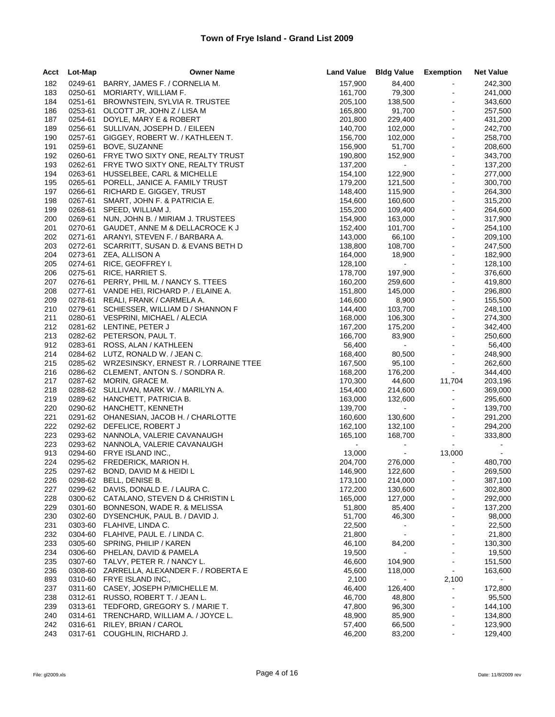| Acct       | Lot-Map | <b>Owner Name</b>                                            | <b>Land Value</b>  | <b>Bldg Value Exemption</b> |                                  | <b>Net Value</b>   |
|------------|---------|--------------------------------------------------------------|--------------------|-----------------------------|----------------------------------|--------------------|
| 182        | 0249-61 | BARRY, JAMES F. / CORNELIA M.                                | 157,900            | 84,400                      | $\sim$                           | 242,300            |
| 183        | 0250-61 | MORIARTY, WILLIAM F.                                         | 161,700            | 79,300                      | $\sim$                           | 241,000            |
| 184        | 0251-61 | BROWNSTEIN, SYLVIA R. TRUSTEE                                | 205,100            | 138,500                     | $\blacksquare$                   | 343,600            |
| 186        | 0253-61 | OLCOTT JR, JOHN Z / LISA M                                   | 165,800            | 91,700                      | $\blacksquare$                   | 257,500            |
| 187        | 0254-61 | DOYLE, MARY E & ROBERT                                       | 201,800            | 229,400                     | $\blacksquare$                   | 431,200            |
| 189        | 0256-61 | SULLIVAN, JOSEPH D. / EILEEN                                 | 140,700            | 102,000                     | $\blacksquare$                   | 242,700            |
| 190        | 0257-61 | GIGGEY, ROBERT W. / KATHLEEN T.                              | 156,700            | 102,000                     | $\blacksquare$                   | 258,700            |
| 191        | 0259-61 | BOVE, SUZANNE                                                | 156,900            | 51,700                      | $\blacksquare$                   | 208,600            |
| 192        | 0260-61 | FRYE TWO SIXTY ONE, REALTY TRUST                             | 190,800            | 152,900                     | $\blacksquare$                   | 343,700            |
| 193        | 0262-61 | FRYE TWO SIXTY ONE, REALTY TRUST                             | 137,200            | $\sim 100$                  | $\blacksquare$                   | 137,200            |
| 194        | 0263-61 | HUSSELBEE, CARL & MICHELLE                                   | 154,100            | 122,900                     | $\blacksquare$                   | 277,000            |
| 195        | 0265-61 | PORELL, JANICE A. FAMILY TRUST                               | 179,200            | 121,500                     | $\bar{\phantom{a}}$              | 300,700            |
| 197        | 0266-61 | RICHARD E. GIGGEY, TRUST                                     | 148,400            | 115,900                     | $\blacksquare$                   | 264,300            |
| 198        | 0267-61 | SMART, JOHN F. & PATRICIA E.                                 | 154,600            | 160,600                     | $\blacksquare$                   | 315,200            |
| 199        | 0268-61 | SPEED, WILLIAM J.                                            | 155,200            | 109,400                     | $\bar{\phantom{a}}$              | 264,600            |
| 200        | 0269-61 | NUN, JOHN B. / MIRIAM J. TRUSTEES                            | 154,900            | 163,000                     | $\blacksquare$                   | 317,900            |
| 201        | 0270-61 | GAUDET, ANNE M & DELLACROCE K J                              | 152,400            | 101,700                     | $\blacksquare$                   | 254,100            |
| 202        | 0271-61 | ARANYI, STEVEN F. / BARBARA A.                               | 143,000            | 66,100                      | $\Box$                           | 209,100            |
| 203        | 0272-61 | SCARRITT, SUSAN D. & EVANS BETH D                            | 138,800            | 108,700                     | $\blacksquare$                   | 247,500            |
| 204        | 0273-61 | ZEA, ALLISON A                                               | 164,000            | 18,900                      | $\blacksquare$                   | 182,900            |
| 205        | 0274-61 | RICE, GEOFFREY I.                                            | 128,100            | $\sim 100$                  | $\blacksquare$                   | 128,100            |
| 206        | 0275-61 | RICE, HARRIET S.                                             | 178,700            | 197,900                     | $\omega$                         | 376,600            |
| 207        | 0276-61 | PERRY, PHIL M. / NANCY S. TTEES                              | 160,200            | 259,600                     | $\sim$                           | 419,800            |
| 208        |         | 0277-61 VANDE HEI, RICHARD P. / ELAINE A.                    | 151,800            | 145,000                     | $\blacksquare$                   | 296,800            |
| 209        |         | 0278-61 REALI, FRANK / CARMELA A.                            | 146,600            | 8,900                       | $\omega$                         | 155,500            |
| 210        | 0279-61 | SCHIESSER, WILLIAM D / SHANNON F                             | 144,400            | 103,700                     | $\sim$                           | 248,100            |
| 211        |         | 0280-61 VESPRINI, MICHAEL / ALECIA                           | 168,000            | 106,300                     | $\blacksquare$                   | 274,300            |
| 212        |         | 0281-62 LENTINE, PETER J                                     | 167,200            | 175,200                     | $\blacksquare$                   | 342,400            |
| 213        |         | 0282-62 PETERSON, PAUL T.                                    | 166,700            | 83,900                      | $\blacksquare$                   | 250,600            |
| 912        |         | 0283-61 ROSS, ALAN / KATHLEEN                                | 56,400             | $\mathcal{L}_{\rm{max}}$    | $\blacksquare$                   | 56,400             |
| 214        |         | 0284-62 LUTZ, RONALD W. / JEAN C.                            | 168,400            | 80,500                      | ÷,                               | 248,900            |
| 215        |         | 0285-62 WRZESINSKY, ERNEST R. / LORRAINE TTEE                | 167,500            | 95,100                      | $\blacksquare$                   | 262,600            |
| 216        |         | 0286-62 CLEMENT, ANTON S. / SONDRA R.                        | 168,200            | 176,200                     | $\sim$                           | 344,400            |
| 217        |         | 0287-62 MORIN, GRACE M.                                      | 170,300            | 44,600                      | 11,704                           | 203,196            |
| 218        |         | 0288-62 SULLIVAN, MARK W. / MARILYN A.                       | 154,400            | 214,600                     | $\blacksquare$<br>$\blacksquare$ | 369,000            |
| 219        |         | 0289-62 HANCHETT, PATRICIA B.                                | 163,000            | 132,600<br>$\sim 100$       | $\blacksquare$                   | 295,600            |
| 220        |         | 0290-62 HANCHETT, KENNETH<br>OHANESIAN, JACOB H. / CHARLOTTE | 139,700            |                             | $\blacksquare$                   | 139,700<br>291,200 |
| 221<br>222 | 0291-62 | 0292-62 DEFELICE, ROBERT J                                   | 160,600<br>162,100 | 130,600<br>132,100          | $\omega$                         | 294,200            |
| 223        |         | 0293-62 NANNOLA, VALERIE CAVANAUGH                           | 165,100            | 168,700                     | $\blacksquare$                   | 333,800            |
| 223        | 0293-62 | NANNOLA, VALERIE CAVANAUGH                                   |                    |                             | $\sim$                           | $\blacksquare$     |
| 913        |         | 0294-60 FRYE ISLAND INC.,                                    | 13,000             | $\mathcal{L}_{\rm{max}}$    | 13,000                           |                    |
| 224        |         | 0295-62 FREDERICK, MARION H.                                 | 204,700            | 276,000                     | $\blacksquare$                   | 480,700            |
| 225        | 0297-62 | BOND, DAVID M & HEIDI L                                      | 146,900            | 122,600                     | $\sim$                           | 269,500            |
| 226        | 0298-62 | BELL, DENISE B.                                              | 173,100            | 214,000                     |                                  | 387,100            |
| 227        | 0299-62 | DAVIS, DONALD E. / LAURA C.                                  | 172,200            | 130,600                     |                                  | 302,800            |
| 228        | 0300-62 | CATALANO, STEVEN D & CHRISTIN L                              | 165,000            | 127,000                     |                                  | 292,000            |
| 229        | 0301-60 | BONNESON, WADE R. & MELISSA                                  | 51,800             | 85,400                      |                                  | 137,200            |
| 230        | 0302-60 | DYSENCHUK, PAUL B. / DAVID J.                                | 51,700             | 46,300                      | ۰                                | 98,000             |
| 231        | 0303-60 | FLAHIVE, LINDA C.                                            | 22,500             | $\blacksquare$              |                                  | 22,500             |
| 232        | 0304-60 | FLAHIVE, PAUL E. / LINDA C.                                  | 21,800             | $\blacksquare$              |                                  | 21,800             |
| 233        | 0305-60 | SPRING, PHILIP / KAREN                                       | 46,100             | 84,200                      | ä,                               | 130,300            |
| 234        | 0306-60 | PHELAN, DAVID & PAMELA                                       | 19,500             | $\blacksquare$              |                                  | 19,500             |
| 235        | 0307-60 | TALVY, PETER R. / NANCY L.                                   | 46,600             | 104,900                     |                                  | 151,500            |
| 236        | 0308-60 | ZARRELLA, ALEXANDER F. / ROBERTA E                           | 45,600             | 118,000                     | $\blacksquare$                   | 163,600            |
| 893        | 0310-60 | FRYE ISLAND INC.,                                            | 2,100              |                             | 2,100                            |                    |
| 237        | 0311-60 | CASEY, JOSEPH P/MICHELLE M.                                  | 46,400             | 126,400                     | ä,                               | 172,800            |
| 238        | 0312-61 | RUSSO, ROBERT T. / JEAN L.                                   | 46,700             | 48,800                      | ۰                                | 95,500             |
| 239        | 0313-61 | TEDFORD, GREGORY S. / MARIE T.                               | 47,800             | 96,300                      |                                  | 144,100            |
| 240        | 0314-61 | TRENCHARD, WILLIAM A. / JOYCE L.                             | 48,900             | 85,900                      | ä,                               | 134,800            |
| 242        | 0316-61 | RILEY, BRIAN / CAROL                                         | 57,400             | 66,500                      | $\blacksquare$                   | 123,900            |
| 243        | 0317-61 | COUGHLIN, RICHARD J.                                         | 46,200             | 83,200                      |                                  | 129,400            |
|            |         |                                                              |                    |                             |                                  |                    |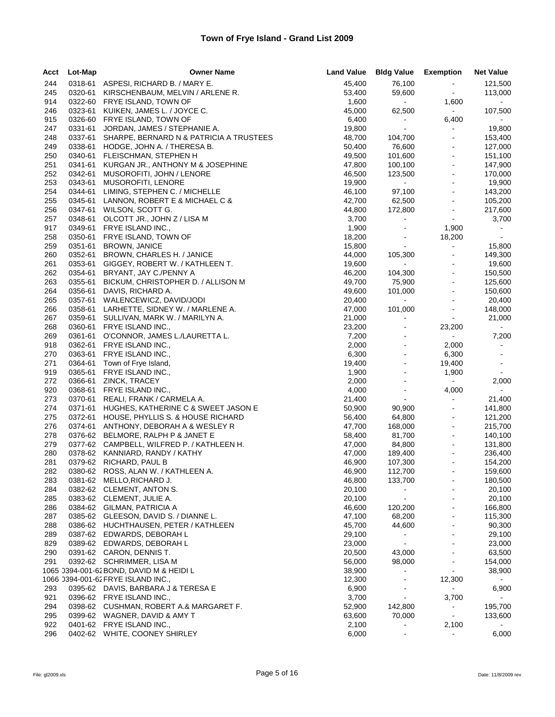| Acct       | Lot-Map | <b>Owner Name</b>                                        |                  | Land Value Bldg Value Exemption |                     | <b>Net Value</b> |
|------------|---------|----------------------------------------------------------|------------------|---------------------------------|---------------------|------------------|
| 244        |         | 0318-61 ASPESI, RICHARD B. / MARY E.                     | 45,400           | 76,100                          | $\sim$              | 121,500          |
| 245        | 0320-61 | KIRSCHENBAUM, MELVIN / ARLENE R.                         | 53,400           | 59,600                          | $\sim$              | 113,000          |
| 914        | 0322-60 | FRYE ISLAND, TOWN OF                                     | 1,600            | $\sim 10$                       | 1,600               | $\sim$           |
| 246        | 0323-61 | KUIKEN, JAMES L. / JOYCE C.                              | 45,000           | 62,500                          | $\sim 10$           | 107,500          |
| 915        |         | 0326-60 FRYE ISLAND, TOWN OF                             | 6,400            | $\sim$                          | 6,400               | $\sim$           |
| 247        | 0331-61 | JORDAN, JAMES / STEPHANIE A.                             | 19,800           | $\sim$                          | $\blacksquare$      | 19,800           |
| 248        | 0337-61 | SHARPE, BERNARD N & PATRICIA A TRUSTEES                  | 48,700           | 104,700                         | $\blacksquare$      | 153,400          |
| 249        | 0338-61 | HODGE, JOHN A. / THERESA B.                              | 50,400           | 76,600                          | $\sim$              | 127,000          |
| 250        | 0340-61 | FLEISCHMAN, STEPHEN H                                    | 49,500           | 101,600                         | $\blacksquare$      | 151,100          |
| 251        | 0341-61 | KURGAN JR., ANTHONY M & JOSEPHINE                        | 47,800           | 100,100                         | $\blacksquare$      | 147,900          |
| 252        | 0342-61 | MUSOROFITI, JOHN / LENORE                                | 46,500           | 123,500                         | $\blacksquare$      | 170,000          |
| 253        | 0343-61 | MUSOROFITI, LENORE                                       | 19,900           | $\sim 100$                      | $\blacksquare$      | 19,900           |
| 254        | 0344-61 | LIMING, STEPHEN C. / MICHELLE                            | 46,100           | 97,100                          | $\blacksquare$      | 143,200          |
| 255        | 0345-61 | LANNON, ROBERT E & MICHAEL C &                           | 42,700           | 62,500                          | $\sim$              | 105,200          |
| 256        | 0347-61 | WILSON, SCOTT G.                                         | 44,800           | 172,800                         | $\blacksquare$      | 217,600          |
| 257        |         | 0348-61 OLCOTT JR., JOHN Z / LISA M                      | 3,700            | $\blacksquare$                  | $\sim$              | 3,700            |
| 917        | 0349-61 | FRYE ISLAND INC.,                                        | 1,900            | $\blacksquare$                  | 1,900               | $\sim$           |
| 258        | 0350-61 | FRYE ISLAND, TOWN OF                                     | 18,200           | $\blacksquare$                  | 18,200              | $\sim$           |
| 259        | 0351-61 | <b>BROWN, JANICE</b>                                     | 15,800           | $\sim$ $^{-1}$                  | $\blacksquare$      | 15,800           |
| 260        | 0352-61 | BROWN, CHARLES H. / JANICE                               | 44,000           | 105,300                         | $\sim$              | 149,300          |
| 261        | 0353-61 | GIGGEY, ROBERT W. / KATHLEEN T.                          | 19,600           | $\sim 100$                      | $\blacksquare$      | 19,600           |
| 262        | 0354-61 | BRYANT, JAY C./PENNY A                                   | 46,200           | 104,300                         | $\blacksquare$      | 150,500          |
| 263        | 0355-61 | BICKUM, CHRISTOPHER D. / ALLISON M                       | 49,700           | 75,900                          | $\blacksquare$      | 125,600          |
| 264        | 0356-61 | DAVIS, RICHARD A.                                        | 49,600           | 101,000                         | $\blacksquare$      | 150,600          |
| 265        |         | 0357-61 WALENCEWICZ, DAVID/JODI                          | 20,400           | $\bullet$ .                     | $\Box$              | 20,400           |
| 266        |         | 0358-61 LARHETTE, SIDNEY W. / MARLENE A.                 | 47,000           | 101,000                         | $\blacksquare$      | 148,000          |
| 267        | 0359-61 | SULLIVAN, MARK W. / MARILYN A.                           | 21,000           | $\blacksquare$                  | $\sim$              | 21,000           |
| 268        |         | 0360-61 FRYE ISLAND INC.,                                | 23,200           | $\blacksquare$                  | 23,200              | $\sim$           |
| 269        |         | 0361-61 O'CONNOR, JAMES L./LAURETTA L.                   | 7,200            | $\blacksquare$                  | $\sim$              | 7,200            |
| 918        |         | 0362-61 FRYE ISLAND INC.,                                | 2,000            | $\omega$                        | 2,000               | $\sim$           |
| 270        |         | 0363-61 FRYE ISLAND INC.,                                | 6,300            | $\blacksquare$                  | 6,300               | $\bullet$        |
| 271        |         | 0364-61 Town of Frye Island,                             | 19,400           | $\blacksquare$                  | 19,400              | $\sim$           |
| 919        |         | 0365-61 FRYE ISLAND INC.,                                | 1,900            | $\blacksquare$                  | 1,900               | $\sim 10^{-1}$   |
| 272        | 0366-61 | ZINCK, TRACEY                                            | 2,000            | $\blacksquare$                  | $\sim 100$          | 2,000            |
| 920        |         | 0368-61 FRYE ISLAND INC.,                                | 4,000            | $\blacksquare$                  | 4,000               |                  |
| 273        | 0370-61 | REALI, FRANK / CARMELA A.                                | 21,400           | $\sim$                          | $\blacksquare$      | 21,400           |
| 274        |         | 0371-61 HUGHES, KATHERINE C & SWEET JASON E              | 50,900           | 90,900                          | $\blacksquare$      | 141,800          |
| 275        | 0372-61 | HOUSE, PHYLLIS S. & HOUSE RICHARD                        | 56,400           | 64,800                          | $\blacksquare$      | 121,200          |
| 276        |         | 0374-61 ANTHONY, DEBORAH A & WESLEY R                    | 47,700           | 168,000                         | $\sim$              | 215,700          |
| 278        | 0376-62 | BELMORE, RALPH P & JANET E                               | 58,400           | 81,700                          | $\bar{\phantom{a}}$ | 140,100          |
| 279        |         | 0377-62 CAMPBELL, WILFRED P. / KATHLEEN H.               | 47,000           | 84,800                          | $\blacksquare$      | 131,800          |
| 280        |         | 0378-62 KANNIARD, RANDY / KATHY                          | 47,000           | 189,400                         | $\sim$              | 236,400          |
| 281        |         | 0379-62 RICHARD, PAUL B                                  | 46,900           | 107,300                         | $\blacksquare$      | 154,200          |
| 282        | 0380-62 | ROSS, ALAN W. / KATHLEEN A.                              | 46,900           | 112,700                         | $\sim$              | 159,600          |
| 283        |         | 0381-62 MELLO, RICHARD J.                                | 46,800           | 133,700                         |                     | 180,500          |
| 284        |         | 0382-62 CLEMENT, ANTON S.                                | 20,100           |                                 |                     | 20,100           |
| 285        |         | 0383-62 CLEMENT, JULIE A.<br>0384-62 GILMAN, PATRICIA A  | 20,100           | $\blacksquare$                  |                     | 20,100           |
| 286        |         | 0385-62 GLEESON, DAVID S. / DIANNE L.                    | 46,600           | 120,200                         |                     | 166,800          |
| 287        |         |                                                          | 47,100           | 68,200                          |                     | 115,300          |
| 288        |         | 0386-62 HUCHTHAUSEN, PETER / KATHLEEN                    | 45,700           | 44,600                          |                     | 90,300           |
| 289<br>829 |         | 0387-62 EDWARDS, DEBORAH L<br>0389-62 EDWARDS, DEBORAH L | 29,100           | $\blacksquare$                  |                     | 29,100<br>23,000 |
| 290        |         | 0391-62 CARON, DENNIS T.                                 | 23,000<br>20,500 | 43,000                          |                     | 63,500           |
| 291        |         | 0392-62 SCHRIMMER, LISA M                                | 56,000           | 98,000                          |                     | 154,000          |
|            |         | 1065 0394-001-62 BOND, DAVID M & HEIDI L                 | 38,900           | $\blacksquare$                  | $\blacksquare$      | 38,900           |
|            |         |                                                          | 12,300           | $\blacksquare$                  | 12,300              |                  |
| 293        |         | 0395-62 DAVIS, BARBARA J & TERESA E                      | 6,900            |                                 | $\blacksquare$      | 6,900            |
| 921        |         | 0396-62 FRYE ISLAND INC.,                                | 3,700            | $\blacksquare$                  | 3,700               | $\sim$           |
| 294        |         | 0398-62 CUSHMAN, ROBERT A.& MARGARET F.                  | 52,900           | 142,800                         | $\blacksquare$      | 195,700          |
| 295        |         | 0399-62 WAGNER, DAVID & AMY T                            | 63,600           | 70,000                          | $\blacksquare$      | 133,600          |
| 922        |         | 0401-62 FRYE ISLAND INC.,                                | 2,100            | $\blacksquare$                  | 2,100               |                  |
| 296        |         | 0402-62 WHITE, COONEY SHIRLEY                            | 6,000            |                                 | $\blacksquare$      | 6,000            |
|            |         |                                                          |                  |                                 |                     |                  |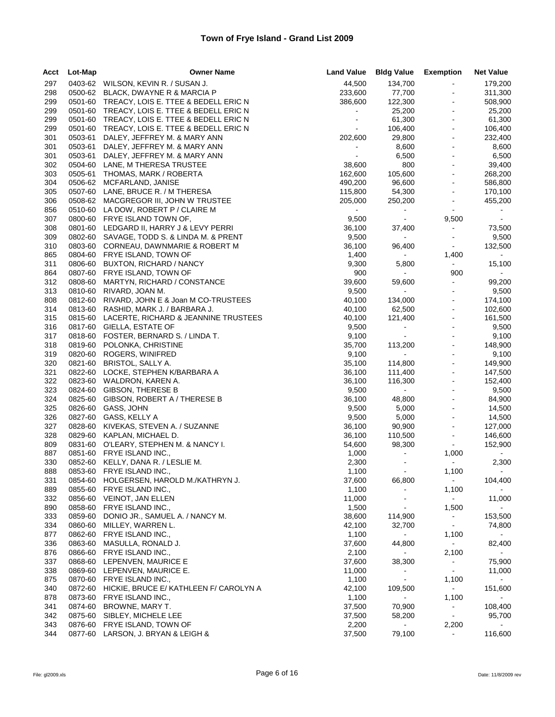| Acct       | Lot-Map            | <b>Owner Name</b>                            | <b>Land Value</b>            | <b>Bldg Value</b>    | <b>Exemption</b>               | <b>Net Value</b> |
|------------|--------------------|----------------------------------------------|------------------------------|----------------------|--------------------------------|------------------|
| 297        |                    | 0403-62 WILSON, KEVIN R. / SUSAN J.          | 44,500                       | 134,700              |                                | 179,200          |
| 298        |                    | 0500-62 BLACK, DWAYNE R & MARCIA P           | 233,600                      | 77,700               |                                | 311,300          |
| 299        |                    | 0501-60 TREACY, LOIS E. TTEE & BEDELL ERIC N | 386,600                      | 122,300              | $\blacksquare$                 | 508,900          |
| 299        | 0501-60            | TREACY, LOIS E. TTEE & BEDELL ERIC N         | $\qquad \qquad \blacksquare$ | 25,200               |                                | 25,200           |
| 299        | 0501-60            | TREACY, LOIS E. TTEE & BEDELL ERIC N         | $\blacksquare$               | 61,300               | $\blacksquare$                 | 61,300           |
| 299        | 0501-60            | TREACY, LOIS E. TTEE & BEDELL ERIC N         | $\blacksquare$               | 106,400              | $\blacksquare$                 | 106,400          |
| 301        | 0503-61            | DALEY, JEFFREY M. & MARY ANN                 | 202,600                      | 29,800               |                                | 232,400          |
| 301        | 0503-61            | DALEY, JEFFREY M. & MARY ANN                 | $\blacksquare$               | 8,600                | $\blacksquare$                 | 8,600            |
| 301        | 0503-61            | DALEY, JEFFREY M. & MARY ANN                 |                              | 6,500                | $\blacksquare$                 | 6,500            |
| 302        | 0504-60            | LANE, M THERESA TRUSTEE                      | 38,600                       | 800                  | $\blacksquare$                 | 39,400           |
| 303        | 0505-61            | THOMAS, MARK / ROBERTA                       | 162,600                      | 105,600              | $\blacksquare$                 | 268,200          |
| 304        | 0506-62            | MCFARLAND, JANISE                            | 490,200                      | 96,600               | $\blacksquare$                 | 586,800          |
| 305        | 0507-60            | LANE, BRUCE R. / M THERESA                   | 115,800                      | 54,300               | ä,                             | 170,100          |
| 306        | 0508-62            | MACGREGOR III, JOHN W TRUSTEE                | 205,000                      | 250,200              | ÷                              | 455,200          |
| 856        | 0510-60            | LA DOW, ROBERT P / CLAIRE M                  | $\sim$                       | $\sim$               | $\blacksquare$                 | $\sim$           |
| 307        | 0800-60            | FRYE ISLAND TOWN OF,                         | 9,500                        | $\sim 10$            | 9,500                          | $\sim$           |
| 308        |                    | 0801-60 LEDGARD II, HARRY J & LEVY PERRI     | 36,100                       | 37,400               | $\blacksquare$                 | 73,500           |
| 309        | 0802-60            | SAVAGE, TODD S. & LINDA M. & PRENT           | 9,500                        | $\sim$ 10 $\pm$      | $\sim$                         | 9,500            |
| 310        | 0803-60            | CORNEAU, DAWNMARIE & ROBERT M                | 36,100                       | 96,400               | $\sim$                         | 132,500          |
| 865        |                    | 0804-60 FRYE ISLAND, TOWN OF                 | 1,400                        | $\sim$               | 1,400                          | $\sim$           |
| 311        | 0806-60            | BUXTON, RICHARD / NANCY                      | 9,300                        | 5,800                | $\sim$                         | 15,100           |
| 864        | 0807-60            | FRYE ISLAND, TOWN OF                         | 900                          | $\sim 100$           | 900                            | $\sim 100$       |
| 312        | 0808-60            | MARTYN, RICHARD / CONSTANCE                  | 39,600                       | 59,600               | $\blacksquare$                 | 99,200           |
| 313        | 0810-60            | RIVARD, JOAN M.                              | 9,500                        | $\sim$               | $\blacksquare$                 | 9,500            |
| 808        | 0812-60            | RIVARD, JOHN E & Joan M CO-TRUSTEES          | 40,100                       | 134,000              | $\blacksquare$                 | 174,100          |
| 314        |                    | 0813-60 RASHID, MARK J. / BARBARA J.         | 40,100                       | 62,500               | $\blacksquare$                 | 102,600          |
| 315        | 0815-60            | LACERTE, RICHARD & JEANNINE TRUSTEES         | 40,100                       | 121,400              | $\blacksquare$<br>$\mathbf{r}$ | 161,500          |
| 316        | 0817-60            | <b>GIELLA, ESTATE OF</b>                     | 9,500                        | $\sim$               |                                | 9,500            |
| 317        | 0818-60            | FOSTER, BERNARD S. / LINDA T.                | 9,100                        | $\sim$               |                                | 9,100            |
| 318        | 0819-60            | POLONKA, CHRISTINE                           | 35,700                       | 113,200<br>$\sim 10$ | $\blacksquare$                 | 148,900          |
| 319<br>320 | 0820-60<br>0821-60 | ROGERS, WINIFRED<br>BRISTOL, SALLY A.        | 9,100<br>35,100              | 114,800              | $\blacksquare$                 | 9,100<br>149,900 |
| 321        | 0822-60            | LOCKE, STEPHEN K/BARBARA A                   | 36,100                       | 111,400              | $\blacksquare$                 | 147,500          |
| 322        | 0823-60            | WALDRON, KAREN A.                            | 36,100                       | 116,300              |                                | 152,400          |
| 323        | 0824-60            | GIBSON, THERESE B                            | 9,500                        | $\bullet$ .          | $\blacksquare$                 | 9,500            |
| 324        | 0825-60            | GIBSON, ROBERT A / THERESE B                 | 36,100                       | 48,800               | $\blacksquare$                 | 84,900           |
| 325        | 0826-60            | GASS, JOHN                                   | 9,500                        | 5,000                | $\blacksquare$                 | 14,500           |
| 326        | 0827-60            | GASS, KELLY A                                | 9,500                        | 5,000                | $\blacksquare$                 | 14,500           |
| 327        | 0828-60            | KIVEKAS, STEVEN A. / SUZANNE                 | 36,100                       | 90,900               | $\blacksquare$                 | 127,000          |
| 328        | 0829-60            | KAPLAN, MICHAEL D.                           | 36,100                       | 110,500              | $\blacksquare$                 | 146,600          |
| 809        | 0831-60            | O'LEARY, STEPHEN M. & NANCY I.               | 54,600                       | 98,300               | $\blacksquare$                 | 152,900          |
| 887        |                    | 0851-60 FRYE ISLAND INC.,                    | 1,000                        | $\blacksquare$       | 1,000                          |                  |
| 330        |                    | 0852-60 KELLY, DANA R. / LESLIE M.           | 2,300                        | $\blacksquare$       | $\blacksquare$                 | 2,300            |
| 888        |                    | 0853-60 FRYE ISLAND INC.,                    | 1,100                        |                      | 1,100                          |                  |
| 331        |                    | 0854-60 HOLGERSEN, HAROLD M./KATHRYN J.      | 37,600                       | 66,800               | $\sim$                         | 104,400          |
| 889        | 0855-60            | FRYE ISLAND INC.,                            | 1,100                        |                      | 1,100                          |                  |
| 332        | 0856-60            | <b>VEINOT, JAN ELLEN</b>                     | 11,000                       |                      | $\sim$                         | 11,000           |
| 890        | 0858-60            | FRYE ISLAND INC.,                            | 1,500                        |                      | 1,500                          | $\sim$           |
| 333        | 0859-60            | DONIO JR., SAMUEL A. / NANCY M.              | 38,600                       | 114,900              | $\sim$                         | 153,500          |
| 334        | 0860-60            | MILLEY, WARREN L.                            | 42,100                       | 32,700               | $\sim$                         | 74,800           |
| 877        | 0862-60            | FRYE ISLAND INC.,                            | 1,100                        | $\sim$               | 1,100                          |                  |
| 336        | 0863-60            | MASULLA, RONALD J.                           | 37,600                       | 44,800               | $\blacksquare$                 | 82,400           |
| 876        | 0866-60            | FRYE ISLAND INC.,                            | 2,100                        | $\sim$               | 2,100                          | $\sim$           |
| 337        | 0868-60            | LEPENVEN, MAURICE E                          | 37,600                       | 38,300               | $\sim$                         | 75,900           |
| 338        | 0869-60            | LEPENVEN, MAURICE E.                         | 11,000                       | $\blacksquare$       | $\blacksquare$                 | 11,000           |
| 875        | 0870-60            | FRYE ISLAND INC.,                            | 1,100                        | $\sim$               | 1,100                          |                  |
| 340        | 0872-60            | HICKIE, BRUCE E/ KATHLEEN F/ CAROLYN A       | 42,100                       | 109,500              | $\sim$                         | 151,600          |
| 878        | 0873-60            | FRYE ISLAND INC.,                            | 1,100                        | $\blacksquare$       | 1,100                          |                  |
| 341        | 0874-60            | BROWNE, MARY T.                              | 37,500                       | 70,900               | $\blacksquare$                 | 108,400          |
| 342        | 0875-60            | SIBLEY, MICHELE LEE                          | 37,500                       | 58,200               | $\sim$                         | 95,700           |
| 343        | 0876-60            | FRYE ISLAND, TOWN OF                         | 2,200                        | $\blacksquare$       | 2,200                          |                  |
| 344        | 0877-60            | LARSON, J. BRYAN & LEIGH &                   | 37,500                       | 79,100               | $\blacksquare$                 | 116,600          |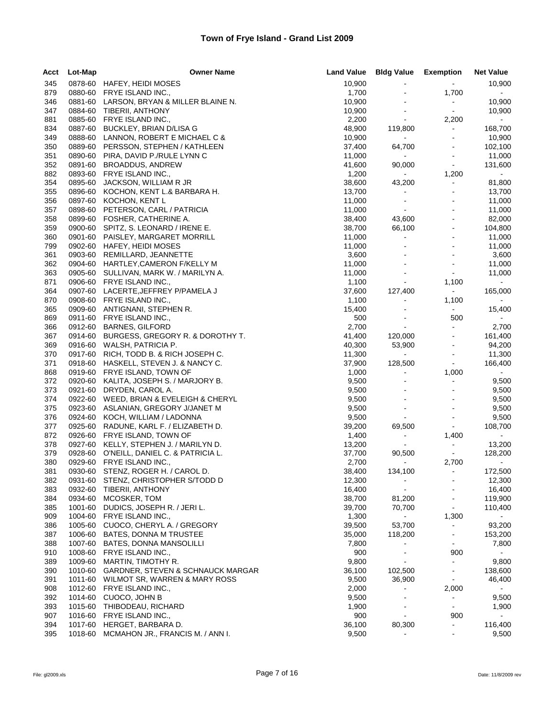| Acct       | Lot-Map | <b>Owner Name</b>                                       | <b>Land Value</b> | <b>Bldg Value Exemption</b> |                      | <b>Net Value</b>  |
|------------|---------|---------------------------------------------------------|-------------------|-----------------------------|----------------------|-------------------|
| 345        |         | 0878-60 HAFEY, HEIDI MOSES                              | 10,900            |                             | $\sim$               | 10,900            |
| 879        | 0880-60 | FRYE ISLAND INC.,                                       | 1,700             |                             | 1,700                | $\sim$            |
| 346        |         | 0881-60 LARSON, BRYAN & MILLER BLAINE N.                | 10,900            | $\blacksquare$              | $\sim$               | 10,900            |
| 347        |         | 0884-60 TIBERII, ANTHONY                                | 10,900            | $\blacksquare$              | $\sim$               | 10,900            |
| 881        | 0885-60 | FRYE ISLAND INC.,                                       | 2,200             | $\sim$                      | 2,200                | $\sim$            |
| 834        | 0887-60 | BUCKLEY, BRIAN D/LISA G                                 | 48,900            | 119,800                     | $\sim$               | 168,700           |
| 349        | 0888-60 | LANNON, ROBERT E MICHAEL C &                            | 10,900            | $\sim$                      |                      | 10,900            |
| 350        | 0889-60 | PERSSON, STEPHEN / KATHLEEN                             | 37,400            | 64,700                      | $\blacksquare$       | 102,100           |
| 351        | 0890-60 | PIRA, DAVID P./RULE LYNN C                              | 11,000            | $\sim$                      | $\blacksquare$       | 11,000            |
| 352        | 0891-60 | BROADDUS, ANDREW                                        | 41,600            | 90,000                      | $\blacksquare$       | 131,600           |
| 882        | 0893-60 | FRYE ISLAND INC.,                                       | 1,200             | $\sim$                      | 1,200                | $\sim$            |
| 354        | 0895-60 | JACKSON, WILLIAM R JR                                   | 38,600            | 43,200                      | $\blacksquare$       | 81,800            |
| 355        | 0896-60 | KOCHON, KENT L.& BARBARA H.                             | 13,700            | $\blacksquare$              |                      | 13,700            |
| 356        | 0897-60 | KOCHON, KENT L                                          | 11,000            | $\blacksquare$              | $\blacksquare$       | 11,000            |
| 357        | 0898-60 | PETERSON, CARL / PATRICIA                               | 11,000            | $\blacksquare$              | $\blacksquare$       | 11,000            |
| 358<br>359 |         | 0899-60 FOSHER, CATHERINE A.                            | 38,400            | 43,600                      | $\ddot{\phantom{1}}$ | 82,000            |
|            | 0900-60 | SPITZ, S. LEONARD / IRENE E.                            | 38,700            | 66,100                      | $\blacksquare$       | 104,800           |
| 360<br>799 | 0901-60 | PAISLEY, MARGARET MORRILL<br>0902-60 HAFEY, HEIDI MOSES | 11,000<br>11,000  | $\blacksquare$              |                      | 11,000<br>11,000  |
| 361        | 0903-60 | REMILLARD, JEANNETTE                                    | 3,600             | $\blacksquare$              |                      | 3,600             |
| 362        | 0904-60 | HARTLEY, CAMERON F/KELLY M                              | 11,000            | $\mathbf{r}$                | $\blacksquare$       | 11,000            |
| 363        | 0905-60 | SULLIVAN, MARK W. / MARILYN A.                          | 11,000            | $\blacksquare$              | $\blacksquare$       | 11,000            |
| 871        | 0906-60 | FRYE ISLAND INC.,                                       | 1,100             | $\sim$                      | 1,100                | $\sim$            |
| 364        |         | 0907-60 LACERTE, JEFFREY P/PAMELA J                     | 37,600            | 127,400                     | $\sim 10$            | 165,000           |
| 870        |         | 0908-60 FRYE ISLAND INC.,                               | 1,100             | $\blacksquare$              | 1,100                | $\sim$            |
| 365        | 0909-60 | ANTIGNANI, STEPHEN R.                                   | 15,400            | $\blacksquare$              | $\sim$               | 15,400            |
| 869        | 0911-60 | FRYE ISLAND INC.,                                       | 500               | $\blacksquare$              | 500                  | $\sim$            |
| 366        | 0912-60 | <b>BARNES, GILFORD</b>                                  | 2,700             | $\blacksquare$              | $\blacksquare$       | 2,700             |
| 367        | 0914-60 | BURGESS, GREGORY R. & DOROTHY T.                        | 41,400            | 120,000                     | $\blacksquare$       | 161,400           |
| 369        | 0916-60 | WALSH, PATRICIA P.                                      | 40,300            | 53,900                      | $\blacksquare$       | 94,200            |
| 370        | 0917-60 | RICH, TODD B. & RICH JOSEPH C.                          | 11,300            | $\sim$                      | $\blacksquare$       | 11,300            |
| 371        |         | 0918-60 HASKELL, STEVEN J. & NANCY C.                   | 37,900            | 128,500                     | $\blacksquare$       | 166,400           |
| 868        | 0919-60 | FRYE ISLAND, TOWN OF                                    | 1,000             | $\blacksquare$              | 1,000                | $\sim$            |
| 372        | 0920-60 | KALITA, JOSEPH S. / MARJORY B.                          | 9,500             |                             | ÷,                   | 9,500             |
| 373        | 0921-60 | DRYDEN, CAROL A.                                        | 9,500             | $\sim$                      | $\blacksquare$       | 9,500             |
| 374        | 0922-60 | WEED, BRIAN & EVELEIGH & CHERYL                         | 9,500             | $\blacksquare$              |                      | 9,500             |
| 375        | 0923-60 | ASLANIAN, GREGORY J/JANET M                             | 9,500             | $\blacksquare$              | $\ddot{\phantom{1}}$ | 9,500             |
| 376        | 0924-60 | KOCH, WILLIAM / LADONNA                                 | 9,500             | $\sim$                      | $\blacksquare$       | 9,500             |
| 377        | 0925-60 | RADUNE, KARL F. / ELIZABETH D.                          | 39,200            | 69,500                      | $\blacksquare$       | 108,700           |
| 872        | 0926-60 | FRYE ISLAND, TOWN OF                                    | 1,400             | $\blacksquare$              | 1,400                | $\sim$            |
| 378        | 0927-60 | KELLY, STEPHEN J. / MARILYN D.                          | 13,200            | $\sim$                      | $\blacksquare$       | 13,200            |
| 379        | 0928-60 | O'NEILL, DANIEL C. & PATRICIA L.                        | 37,700            | 90,500                      | $\sim$               | 128,200           |
| 380        | 0929-60 | FRYE ISLAND INC.,<br>0930-60 STENZ, ROGER H. / CAROL D. | 2,700             | $\sim$                      | 2,700                | $\sim$            |
| 381<br>382 |         | 0931-60 STENZ, CHRISTOPHER S/TODD D                     | 38,400<br>12,300  | 134,100<br>$\blacksquare$   |                      | 172,500<br>12,300 |
| 383        | 0932-60 | <b>TIBERII, ANTHONY</b>                                 | 16,400            |                             |                      | 16,400            |
| 384        | 0934-60 | MCOSKER, TOM                                            | 38,700            | 81,200                      | $\blacksquare$       | 119,900           |
| 385        | 1001-60 | DUDICS, JOSEPH R. / JERI L.                             | 39,700            | 70,700                      | $\blacksquare$       | 110,400           |
| 909        | 1004-60 | FRYE ISLAND INC.,                                       | 1,300             |                             | 1,300                |                   |
| 386        | 1005-60 | CUOCO, CHERYL A. / GREGORY                              | 39,500            | 53,700                      | $\blacksquare$       | 93,200            |
| 387        | 1006-60 | BATES, DONNA M TRUSTEE                                  | 35,000            | 118,200                     |                      | 153,200           |
| 388        | 1007-60 | <b>BATES, DONNA MANSOLILLI</b>                          | 7,800             | $\blacksquare$              | $\blacksquare$       | 7,800             |
| 910        | 1008-60 | FRYE ISLAND INC.,                                       | 900               | $\blacksquare$              | 900                  | $\sim$            |
| 389        | 1009-60 | MARTIN, TIMOTHY R.                                      | 9,800             | $\blacksquare$              | $\blacksquare$       | 9,800             |
| 390        | 1010-60 | GARDNER, STEVEN & SCHNAUCK MARGAR                       | 36,100            | 102,500                     | $\blacksquare$       | 138,600           |
| 391        | 1011-60 | WILMOT SR, WARREN & MARY ROSS                           | 9,500             | 36,900                      |                      | 46,400            |
| 908        | 1012-60 | FRYE ISLAND INC.,                                       | 2,000             | $\blacksquare$              | 2,000                | $\sim$            |
| 392        | 1014-60 | CUOCO, JOHN B                                           | 9,500             |                             |                      | 9,500             |
| 393        | 1015-60 | THIBODEAU, RICHARD                                      | 1,900             | $\blacksquare$              | $\blacksquare$       | 1,900             |
| 907        | 1016-60 | FRYE ISLAND INC.,                                       | 900               | $\blacksquare$              | 900                  | $\bullet$ .       |
| 394        | 1017-60 | HERGET, BARBARA D.                                      | 36,100            | 80,300                      | ÷                    | 116,400           |
| 395        | 1018-60 | MCMAHON JR., FRANCIS M. / ANN I.                        | 9,500             |                             | $\blacksquare$       | 9,500             |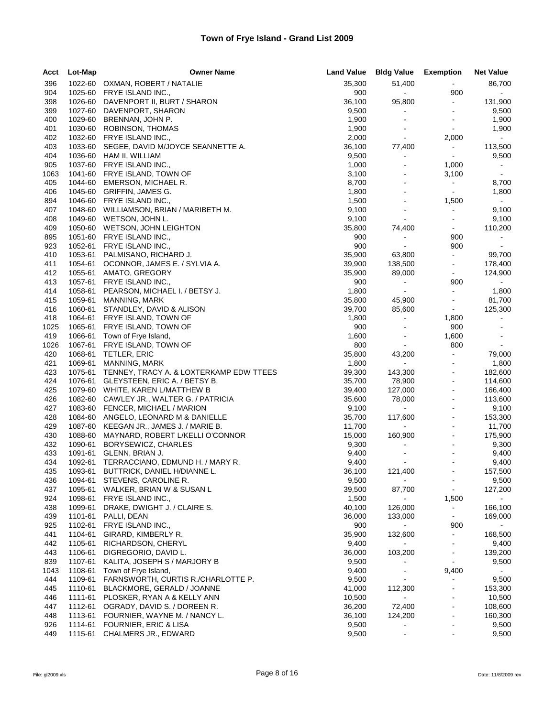| Acct        | Lot-Map            | <b>Owner Name</b>                                            |                | Land Value Bldg Value Exemption  |                                  | <b>Net Value</b>      |
|-------------|--------------------|--------------------------------------------------------------|----------------|----------------------------------|----------------------------------|-----------------------|
| 396         |                    | 1022-60 OXMAN, ROBERT / NATALIE                              | 35,300         | 51,400                           | $\bullet$ .                      | 86,700                |
| 904         | 1025-60            | FRYE ISLAND INC.,                                            | 900            | $\sim$                           | 900                              | $\sim$                |
| 398         | 1026-60            | DAVENPORT II, BURT / SHARON                                  | 36,100         | 95,800                           | $\blacksquare$                   | 131,900               |
| 399         | 1027-60            | DAVENPORT, SHARON                                            | 9,500          | $\blacksquare$                   | $\blacksquare$                   | 9,500                 |
| 400         | 1029-60            | BRENNAN, JOHN P.                                             | 1,900          | $\blacksquare$                   | $\blacksquare$                   | 1,900                 |
| 401         | 1030-60            | ROBINSON, THOMAS                                             | 1,900          |                                  | $\blacksquare$                   | 1,900                 |
| 402         |                    | 1032-60 FRYE ISLAND INC.,                                    | 2,000          | $\blacksquare$                   | 2,000                            | $\sim$                |
| 403         | 1033-60            | SEGEE, DAVID M/JOYCE SEANNETTE A.                            | 36,100         | 77,400                           | $\bullet$                        | 113,500               |
| 404         | 1036-60            | HAM II, WILLIAM                                              | 9,500          | $\blacksquare$<br>$\blacksquare$ | $\sim$                           | 9,500                 |
| 905<br>1063 |                    | 1037-60 FRYE ISLAND INC.,<br>1041-60 FRYE ISLAND, TOWN OF    | 1,000<br>3,100 | $\qquad \qquad \blacksquare$     | 1,000<br>3,100                   | $\bullet$ .<br>$\sim$ |
| 405         | 1044-60            | EMERSON, MICHAEL R.                                          | 8,700          |                                  | $\blacksquare$                   | 8,700                 |
| 406         |                    | 1045-60 GRIFFIN, JAMES G.                                    | 1,800          |                                  | $\blacksquare$                   | 1,800                 |
| 894         |                    | 1046-60 FRYE ISLAND INC.,                                    | 1,500          | $\blacksquare$                   | 1,500                            | $\sim 10$             |
| 407         |                    | 1048-60 WILLIAMSON, BRIAN / MARIBETH M.                      | 9,100          | $\blacksquare$                   | $\blacksquare$                   | 9,100                 |
| 408         |                    | 1049-60 WETSON, JOHN L.                                      | 9,100          | $\blacksquare$                   | $\blacksquare$                   | 9,100                 |
| 409         |                    | 1050-60 WETSON, JOHN LEIGHTON                                | 35,800         | 74,400                           | $\sim$                           | 110,200               |
| 895         |                    | 1051-60 FRYE ISLAND INC.,                                    | 900            | $\blacksquare$                   | 900                              | $\sim$                |
| 923         |                    | 1052-61 FRYE ISLAND INC.,                                    | 900            | $\blacksquare$                   | 900                              |                       |
| 410         | 1053-61            | PALMISANO, RICHARD J.                                        | 35,900         | 63,800                           | $\omega_{\rm c}$                 | 99,700                |
| 411         | 1054-61            | OCONNOR, JAMES E. / SYLVIA A.                                | 39,900         | 138,500                          | $\blacksquare$                   | 178,400               |
| 412         |                    | 1055-61 AMATO, GREGORY                                       | 35,900         | 89,000                           | $\blacksquare$                   | 124,900               |
| 413         |                    | 1057-61 FRYE ISLAND INC.,                                    | 900            | $\sim$                           | 900                              | $\sim$                |
| 414         | 1058-61            | PEARSON, MICHAEL I. / BETSY J.                               | 1,800          | $\bullet$ .                      | $\blacksquare$                   | 1,800                 |
| 415         | 1059-61            | MANNING, MARK                                                | 35,800         | 45,900                           | $\blacksquare$                   | 81,700                |
| 416         | 1060-61            | STANDLEY, DAVID & ALISON                                     | 39,700         | 85,600                           | $\sim$                           | 125,300               |
| 418         | 1064-61            | FRYE ISLAND, TOWN OF                                         | 1,800          | $\blacksquare$                   | 1,800                            | $\bullet$             |
| 1025        |                    | 1065-61 FRYE ISLAND, TOWN OF                                 | 900            | $\blacksquare$                   | 900<br>1,600                     | $\blacksquare$        |
| 419<br>1026 |                    | 1066-61 Town of Frye Island,<br>1067-61 FRYE ISLAND, TOWN OF | 1,600<br>800   | $\blacksquare$                   | 800                              | $\blacksquare$        |
| 420         |                    | 1068-61 TETLER, ERIC                                         | 35,800         | 43,200                           | $\blacksquare$                   | 79,000                |
| 421         |                    | 1069-61 MANNING, MARK                                        | 1,800          | $\omega_{\rm{eff}}$              | $\blacksquare$                   | 1,800                 |
| 423         |                    | 1075-61 TENNEY, TRACY A. & LOXTERKAMP EDW TTEES              | 39,300         | 143,300                          |                                  | 182,600               |
| 424         |                    | 1076-61 GLEYSTEEN, ERIC A. / BETSY B.                        | 35,700         | 78,900                           | $\blacksquare$                   | 114,600               |
| 425         |                    | 1079-60 WHITE, KAREN L/MATTHEW B                             | 39,400         | 127,000                          | $\blacksquare$                   | 166,400               |
| 426         |                    | 1082-60 CAWLEY JR., WALTER G. / PATRICIA                     | 35,600         | 78,000                           |                                  | 113,600               |
| 427         |                    | 1083-60 FENCER, MICHAEL / MARION                             | 9,100          | $\sim$                           |                                  | 9,100                 |
| 428         | 1084-60            | ANGELO, LEONARD M & DANIELLE                                 | 35,700         | 117,600                          | $\blacksquare$                   | 153,300               |
| 429         | 1087-60            | KEEGAN JR., JAMES J. / MARIE B.                              | 11,700         | $\sim 100$                       | $\sim$                           | 11,700                |
| 430         | 1088-60            | MAYNARD, ROBERT L/KELLI O'CONNOR                             | 15,000         | 160,900                          | $\blacksquare$                   | 175,900               |
| 432         | 1090-61            | BORYSEWICZ, CHARLES                                          | 9,300          |                                  | $\blacksquare$                   | 9,300                 |
| 433         | 1091-61            | GLENN, BRIAN J.                                              | 9,400          | $\blacksquare$                   | $\sim$                           | 9,400                 |
| 434         |                    | 1092-61 TERRACCIANO, EDMUND H. / MARY R.                     | 9,400          | $\blacksquare$                   |                                  | 9,400                 |
| 435         | 1093-61            | BUTTRICK, DANIEL H/DIANNE L.                                 | 36,100         | 121,400                          |                                  | 157,500               |
| 436         | 1094-61            | STEVENS, CAROLINE R.                                         | 9,500          | $\sim$                           | $\blacksquare$                   | 9,500                 |
| 437         | 1095-61            | WALKER, BRIAN W & SUSAN L                                    | 39,500         | 87,700                           | $\blacksquare$                   | 127,200               |
| 924         | 1098-61            | FRYE ISLAND INC.,                                            | 1,500          | $\qquad \qquad \blacksquare$     | 1,500                            | $\sim$                |
| 438<br>439  | 1099-61            | DRAKE, DWIGHT J. / CLAIRE S.                                 | 40,100         | 126,000                          | $\blacksquare$<br>$\blacksquare$ | 166,100               |
| 925         | 1101-61<br>1102-61 | PALLI, DEAN<br>FRYE ISLAND INC.,                             | 36,000<br>900  | 133,000                          | 900                              | 169,000               |
| 441         | 1104-61            | GIRARD, KIMBERLY R.                                          | 35,900         | 132,600                          | $\blacksquare$                   | 168,500               |
| 442         | 1105-61            | RICHARDSON, CHERYL                                           | 9,400          | $\sim$                           |                                  | 9,400                 |
| 443         | 1106-61            | DIGREGORIO, DAVID L.                                         | 36,000         | 103,200                          | $\blacksquare$                   | 139,200               |
| 839         | 1107-61            | KALITA, JOSEPH S / MARJORY B                                 | 9,500          |                                  | $\sim$                           | 9,500                 |
| 1043        | 1108-61            | Town of Frye Island,                                         | 9,400          | $\overline{a}$                   | 9,400                            |                       |
| 444         | 1109-61            | FARNSWORTH, CURTIS R./CHARLOTTE P.                           | 9,500          |                                  |                                  | 9,500                 |
| 445         | 1110-61            | BLACKMORE, GERALD / JOANNE                                   | 41,000         | 112,300                          |                                  | 153,300               |
| 446         | 1111-61            | PLOSKER, RYAN A & KELLY ANN                                  | 10,500         | $\blacksquare$                   |                                  | 10,500                |
| 447         | 1112-61            | OGRADY, DAVID S. / DOREEN R.                                 | 36,200         | 72,400                           | ä,                               | 108,600               |
| 448         | 1113-61            | FOURNIER, WAYNE M. / NANCY L.                                | 36,100         | 124,200                          | $\blacksquare$                   | 160,300               |
| 926         | 1114-61            | FOURNIER, ERIC & LISA                                        | 9,500          | $\qquad \qquad \blacksquare$     | $\blacksquare$                   | 9,500                 |
| 449         | 1115-61            | CHALMERS JR., EDWARD                                         | 9,500          |                                  |                                  | 9,500                 |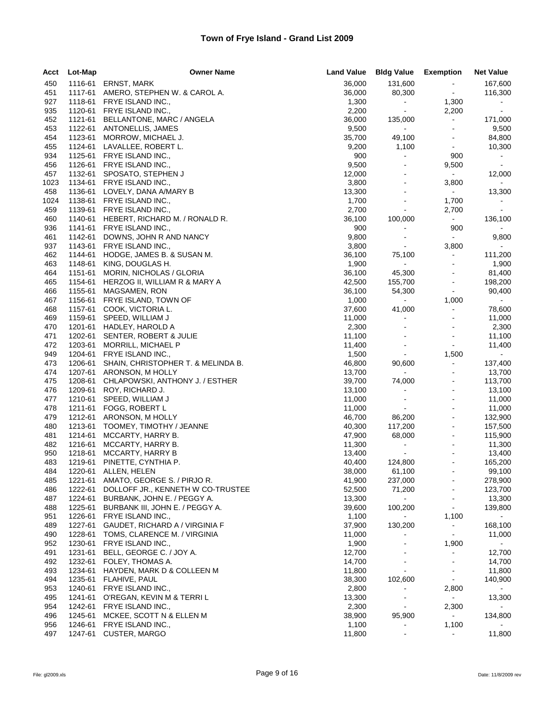| 450<br>1116-61<br><b>ERNST, MARK</b><br>36,000<br>131,600<br>167,600<br>AMERO, STEPHEN W. & CAROL A.<br>36,000<br>80,300<br>116,300<br>451<br>1117-61<br>$\blacksquare$<br>927<br>1118-61<br>FRYE ISLAND INC.,<br>1,300<br>1,300<br>$\sim$<br>$\sim 10$<br>2,200<br>2,200<br>935<br>1120-61<br>FRYE ISLAND INC.,<br>$\sim$<br>$\bullet$ .<br>452<br>1121-61<br>BELLANTONE, MARC / ANGELA<br>36,000<br>135,000<br>$\blacksquare$<br>171,000<br>453<br>1122-61<br>ANTONELLIS, JAMES<br>9,500<br>9,500<br>$\sim$<br>$\blacksquare$<br>454<br>1123-61<br>MORROW, MICHAEL J.<br>35,700<br>49,100<br>84,800<br>$\sim$<br>455<br>1124-61<br>LAVALLEE, ROBERT L.<br>9,200<br>1,100<br>10,300<br>$\blacksquare$<br>1125-61<br>900<br>934<br>FRYE ISLAND INC.,<br>900<br>$\sim$<br>$\sim 10$<br>9,500<br>9,500<br>456<br>1126-61<br>FRYE ISLAND INC.,<br>$\blacksquare$<br>$\sim$<br>457<br>1132-61<br>SPOSATO, STEPHEN J<br>12,000<br>12,000<br>$\blacksquare$<br>$\sim$<br>1023<br>1134-61<br>FRYE ISLAND INC.,<br>3,800<br>3,800<br>$\blacksquare$<br>458<br>1136-61<br>LOVELY, DANA A/MARY B<br>13,300<br>13,300<br>$\sim$<br>1,700<br>1138-61<br>FRYE ISLAND INC.,<br>1,700<br>$\blacksquare$<br>$\sim$<br>1139-61<br>FRYE ISLAND INC.,<br>2,700<br>459<br>2,700<br>$\blacksquare$<br>$\sim$<br>460<br>1140-61<br>HEBERT, RICHARD M. / RONALD R.<br>36,100<br>100,000<br>136,100<br>$\sim$<br>900<br>936<br>1141-61<br>FRYE ISLAND INC.,<br>900<br>$\blacksquare$<br>1142-61<br>DOWNS, JOHN R AND NANCY<br>9,800<br>9,800<br>461<br>$\blacksquare$<br>$\blacksquare$<br>937<br>1143-61<br>FRYE ISLAND INC.,<br>3,800<br>3,800<br>$\sim$<br>$\sim$<br>462<br>1144-61<br>HODGE, JAMES B. & SUSAN M.<br>36,100<br>75,100<br>$\blacksquare$<br>111,200<br>463<br>1148-61<br>1,900<br>$\sim$<br>1,900<br>KING, DOUGLAS H.<br>$\sim$<br>464<br>1151-61<br>MORIN, NICHOLAS / GLORIA<br>36,100<br>45,300<br>81,400<br>465<br>1154-61<br>HERZOG II, WILLIAM R & MARY A<br>42,500<br>155,700<br>198,200<br>$\blacksquare$<br>36,100<br>466<br>1155-61<br>MAGSAMEN, RON<br>54,300<br>$\blacksquare$<br>90,400<br>1,000<br>467<br>1156-61<br>FRYE ISLAND, TOWN OF<br>1,000<br>$\sim$<br>$\sim$<br>468<br>1157-61<br>COOK, VICTORIA L.<br>37,600<br>41,000<br>$\blacksquare$<br>78,600<br>1159-61<br>469<br>SPEED, WILLIAM J<br>11,000<br>11,000<br>$\blacksquare$<br>$\blacksquare$<br>470<br>1201-61 HADLEY, HAROLD A<br>2,300<br>2,300<br>471<br>1202-61<br>SENTER, ROBERT & JULIE<br>11,100<br>11,100<br>$\sim$<br>$\blacksquare$<br>1203-61<br>MORRILL, MICHAEL P<br>11,400<br>11,400<br>472<br>$\blacksquare$<br>1,500<br>$\sim$<br>949<br>1204-61<br>FRYE ISLAND INC.,<br>$\sim$<br>1,500<br>473<br>1206-61<br>SHAIN, CHRISTOPHER T. & MELINDA B.<br>46,800<br>90,600<br>$\blacksquare$<br>137,400<br>474<br>1207-61<br>ARONSON, M HOLLY<br>13,700<br>13,700<br>$\sim$<br>1208-61<br>39,700<br>113,700<br>475<br>CHLAPOWSKI, ANTHONY J. / ESTHER<br>74,000<br>476<br>1209-61<br>ROY, RICHARD J.<br>13,100<br>13,100<br>$\blacksquare$<br>$\sim$<br>477<br>1210-61<br>SPEED, WILLIAM J<br>11,000<br>11,000<br>$\blacksquare$<br>478<br>1211-61<br>FOGG, ROBERT L<br>11,000<br>11,000<br>$\sim$<br>46,700<br>86,200<br>132,900<br>479<br>1212-61<br>ARONSON, M HOLLY<br>$\ddot{\phantom{a}}$<br>480<br>1213-61<br>40,300<br>117,200<br>157,500<br>TOOMEY, TIMOTHY / JEANNE<br>1214-61<br>115,900<br>481<br>MCCARTY, HARRY B.<br>47,900<br>68,000<br>482<br>1216-61<br>11,300<br>11,300<br>MCCARTY, HARRY B.<br>$\bullet$<br>$\sim$<br>950<br>1218-61<br>MCCARTY, HARRY B<br>13,400<br>13,400<br>$\bullet$ .<br>483<br>40,400<br>165,200<br>1219-61<br>PINETTE, CYNTHIA P.<br>124,800<br>÷,<br>484<br>1220-61 ALLEN, HELEN<br>38,000<br>61,100<br>99,100<br>1221-61 AMATO, GEORGE S. / PIRJO R.<br>41,900<br>278,900<br>485<br>237,000<br>DOLLOFF JR., KENNETH W CO-TRUSTEE<br>52,500<br>71,200<br>123,700<br>486<br>1222-61<br>487<br>1224-61<br>BURBANK, JOHN E. / PEGGY A.<br>13,300<br>13,300<br>$\sim$<br>100,200<br>488<br>1225-61<br>BURBANK III, JOHN E. / PEGGY A.<br>39,600<br>139,800<br>$\blacksquare$<br>1226-61<br>1,100<br>951<br>FRYE ISLAND INC.,<br>1,100<br>$\sim$<br>GAUDET, RICHARD A / VIRGINIA F<br>37,900<br>489<br>1227-61<br>130,200<br>$\blacksquare$<br>168,100<br>490<br>1228-61<br>TOMS, CLARENCE M. / VIRGINIA<br>11,000<br>11,000<br>$\blacksquare$<br>1230-61<br>FRYE ISLAND INC.,<br>1,900<br>952<br>1,900<br>$\sim$<br>12,700<br>491<br>1231-61<br>BELL, GEORGE C. / JOY A.<br>12,700<br>$\blacksquare$<br>1232-61<br>FOLEY, THOMAS A.<br>14,700<br>492<br>14,700<br>493<br>1234-61<br>HAYDEN, MARK D & COLLEEN M<br>11,800<br>11,800<br>$\blacksquare$<br>1235-61<br>494<br>FLAHIVE, PAUL<br>38,300<br>102,600<br>140,900<br>$\blacksquare$<br>FRYE ISLAND INC.,<br>953<br>1240-61<br>2,800<br>2,800<br>495<br>1241-61<br>O'REGAN, KEVIN M & TERRI L<br>13,300<br>13,300<br>$\sim$<br>FRYE ISLAND INC.,<br>2,300<br>2,300<br>954<br>1242-61<br>$\bullet$ .<br>$\sim$<br>95,900<br>134,800<br>496<br>1245-61<br>MCKEE, SCOTT N & ELLEN M<br>38,900<br>$\sim$<br>956<br>1246-61<br>FRYE ISLAND INC.,<br>1,100<br>1,100<br>CUSTER, MARGO<br>11,800<br>11,800<br>497<br>1247-61<br>$\blacksquare$<br>$\blacksquare$ | Acct | Lot-Map | <b>Owner Name</b> | <b>Land Value</b> | <b>Bldg Value</b> | <b>Exemption</b> | <b>Net Value</b> |
|---------------------------------------------------------------------------------------------------------------------------------------------------------------------------------------------------------------------------------------------------------------------------------------------------------------------------------------------------------------------------------------------------------------------------------------------------------------------------------------------------------------------------------------------------------------------------------------------------------------------------------------------------------------------------------------------------------------------------------------------------------------------------------------------------------------------------------------------------------------------------------------------------------------------------------------------------------------------------------------------------------------------------------------------------------------------------------------------------------------------------------------------------------------------------------------------------------------------------------------------------------------------------------------------------------------------------------------------------------------------------------------------------------------------------------------------------------------------------------------------------------------------------------------------------------------------------------------------------------------------------------------------------------------------------------------------------------------------------------------------------------------------------------------------------------------------------------------------------------------------------------------------------------------------------------------------------------------------------------------------------------------------------------------------------------------------------------------------------------------------------------------------------------------------------------------------------------------------------------------------------------------------------------------------------------------------------------------------------------------------------------------------------------------------------------------------------------------------------------------------------------------------------------------------------------------------------------------------------------------------------------------------------------------------------------------------------------------------------------------------------------------------------------------------------------------------------------------------------------------------------------------------------------------------------------------------------------------------------------------------------------------------------------------------------------------------------------------------------------------------------------------------------------------------------------------------------------------------------------------------------------------------------------------------------------------------------------------------------------------------------------------------------------------------------------------------------------------------------------------------------------------------------------------------------------------------------------------------------------------------------------------------------------------------------------------------------------------------------------------------------------------------------------------------------------------------------------------------------------------------------------------------------------------------------------------------------------------------------------------------------------------------------------------------------------------------------------------------------------------------------------------------------------------------------------------------------------------------------------------------------------------------------------------------------------------------------------------------------------------------------------------------------------------------------------------------------------------------------------------------------------------------------------------------------------------------------------------------------------------------------------------------------------------------------------------------------------------------------------------------------------------------------------------------------------------------------------------------------------------------------------------------------------------------------------------------------------------------------------------------------------------------------------------------------------------------------------------------------------------------------------------------------------------------------------------------------------------------------------------|------|---------|-------------------|-------------------|-------------------|------------------|------------------|
|                                                                                                                                                                                                                                                                                                                                                                                                                                                                                                                                                                                                                                                                                                                                                                                                                                                                                                                                                                                                                                                                                                                                                                                                                                                                                                                                                                                                                                                                                                                                                                                                                                                                                                                                                                                                                                                                                                                                                                                                                                                                                                                                                                                                                                                                                                                                                                                                                                                                                                                                                                                                                                                                                                                                                                                                                                                                                                                                                                                                                                                                                                                                                                                                                                                                                                                                                                                                                                                                                                                                                                                                                                                                                                                                                                                                                                                                                                                                                                                                                                                                                                                                                                                                                                                                                                                                                                                                                                                                                                                                                                                                                                                                                                                                                                                                                                                                                                                                                                                                                                                                                                                                                                                                                                       |      |         |                   |                   |                   |                  |                  |
|                                                                                                                                                                                                                                                                                                                                                                                                                                                                                                                                                                                                                                                                                                                                                                                                                                                                                                                                                                                                                                                                                                                                                                                                                                                                                                                                                                                                                                                                                                                                                                                                                                                                                                                                                                                                                                                                                                                                                                                                                                                                                                                                                                                                                                                                                                                                                                                                                                                                                                                                                                                                                                                                                                                                                                                                                                                                                                                                                                                                                                                                                                                                                                                                                                                                                                                                                                                                                                                                                                                                                                                                                                                                                                                                                                                                                                                                                                                                                                                                                                                                                                                                                                                                                                                                                                                                                                                                                                                                                                                                                                                                                                                                                                                                                                                                                                                                                                                                                                                                                                                                                                                                                                                                                                       |      |         |                   |                   |                   |                  |                  |
|                                                                                                                                                                                                                                                                                                                                                                                                                                                                                                                                                                                                                                                                                                                                                                                                                                                                                                                                                                                                                                                                                                                                                                                                                                                                                                                                                                                                                                                                                                                                                                                                                                                                                                                                                                                                                                                                                                                                                                                                                                                                                                                                                                                                                                                                                                                                                                                                                                                                                                                                                                                                                                                                                                                                                                                                                                                                                                                                                                                                                                                                                                                                                                                                                                                                                                                                                                                                                                                                                                                                                                                                                                                                                                                                                                                                                                                                                                                                                                                                                                                                                                                                                                                                                                                                                                                                                                                                                                                                                                                                                                                                                                                                                                                                                                                                                                                                                                                                                                                                                                                                                                                                                                                                                                       |      |         |                   |                   |                   |                  |                  |
|                                                                                                                                                                                                                                                                                                                                                                                                                                                                                                                                                                                                                                                                                                                                                                                                                                                                                                                                                                                                                                                                                                                                                                                                                                                                                                                                                                                                                                                                                                                                                                                                                                                                                                                                                                                                                                                                                                                                                                                                                                                                                                                                                                                                                                                                                                                                                                                                                                                                                                                                                                                                                                                                                                                                                                                                                                                                                                                                                                                                                                                                                                                                                                                                                                                                                                                                                                                                                                                                                                                                                                                                                                                                                                                                                                                                                                                                                                                                                                                                                                                                                                                                                                                                                                                                                                                                                                                                                                                                                                                                                                                                                                                                                                                                                                                                                                                                                                                                                                                                                                                                                                                                                                                                                                       |      |         |                   |                   |                   |                  |                  |
|                                                                                                                                                                                                                                                                                                                                                                                                                                                                                                                                                                                                                                                                                                                                                                                                                                                                                                                                                                                                                                                                                                                                                                                                                                                                                                                                                                                                                                                                                                                                                                                                                                                                                                                                                                                                                                                                                                                                                                                                                                                                                                                                                                                                                                                                                                                                                                                                                                                                                                                                                                                                                                                                                                                                                                                                                                                                                                                                                                                                                                                                                                                                                                                                                                                                                                                                                                                                                                                                                                                                                                                                                                                                                                                                                                                                                                                                                                                                                                                                                                                                                                                                                                                                                                                                                                                                                                                                                                                                                                                                                                                                                                                                                                                                                                                                                                                                                                                                                                                                                                                                                                                                                                                                                                       |      |         |                   |                   |                   |                  |                  |
|                                                                                                                                                                                                                                                                                                                                                                                                                                                                                                                                                                                                                                                                                                                                                                                                                                                                                                                                                                                                                                                                                                                                                                                                                                                                                                                                                                                                                                                                                                                                                                                                                                                                                                                                                                                                                                                                                                                                                                                                                                                                                                                                                                                                                                                                                                                                                                                                                                                                                                                                                                                                                                                                                                                                                                                                                                                                                                                                                                                                                                                                                                                                                                                                                                                                                                                                                                                                                                                                                                                                                                                                                                                                                                                                                                                                                                                                                                                                                                                                                                                                                                                                                                                                                                                                                                                                                                                                                                                                                                                                                                                                                                                                                                                                                                                                                                                                                                                                                                                                                                                                                                                                                                                                                                       |      |         |                   |                   |                   |                  |                  |
|                                                                                                                                                                                                                                                                                                                                                                                                                                                                                                                                                                                                                                                                                                                                                                                                                                                                                                                                                                                                                                                                                                                                                                                                                                                                                                                                                                                                                                                                                                                                                                                                                                                                                                                                                                                                                                                                                                                                                                                                                                                                                                                                                                                                                                                                                                                                                                                                                                                                                                                                                                                                                                                                                                                                                                                                                                                                                                                                                                                                                                                                                                                                                                                                                                                                                                                                                                                                                                                                                                                                                                                                                                                                                                                                                                                                                                                                                                                                                                                                                                                                                                                                                                                                                                                                                                                                                                                                                                                                                                                                                                                                                                                                                                                                                                                                                                                                                                                                                                                                                                                                                                                                                                                                                                       |      |         |                   |                   |                   |                  |                  |
|                                                                                                                                                                                                                                                                                                                                                                                                                                                                                                                                                                                                                                                                                                                                                                                                                                                                                                                                                                                                                                                                                                                                                                                                                                                                                                                                                                                                                                                                                                                                                                                                                                                                                                                                                                                                                                                                                                                                                                                                                                                                                                                                                                                                                                                                                                                                                                                                                                                                                                                                                                                                                                                                                                                                                                                                                                                                                                                                                                                                                                                                                                                                                                                                                                                                                                                                                                                                                                                                                                                                                                                                                                                                                                                                                                                                                                                                                                                                                                                                                                                                                                                                                                                                                                                                                                                                                                                                                                                                                                                                                                                                                                                                                                                                                                                                                                                                                                                                                                                                                                                                                                                                                                                                                                       |      |         |                   |                   |                   |                  |                  |
|                                                                                                                                                                                                                                                                                                                                                                                                                                                                                                                                                                                                                                                                                                                                                                                                                                                                                                                                                                                                                                                                                                                                                                                                                                                                                                                                                                                                                                                                                                                                                                                                                                                                                                                                                                                                                                                                                                                                                                                                                                                                                                                                                                                                                                                                                                                                                                                                                                                                                                                                                                                                                                                                                                                                                                                                                                                                                                                                                                                                                                                                                                                                                                                                                                                                                                                                                                                                                                                                                                                                                                                                                                                                                                                                                                                                                                                                                                                                                                                                                                                                                                                                                                                                                                                                                                                                                                                                                                                                                                                                                                                                                                                                                                                                                                                                                                                                                                                                                                                                                                                                                                                                                                                                                                       |      |         |                   |                   |                   |                  |                  |
|                                                                                                                                                                                                                                                                                                                                                                                                                                                                                                                                                                                                                                                                                                                                                                                                                                                                                                                                                                                                                                                                                                                                                                                                                                                                                                                                                                                                                                                                                                                                                                                                                                                                                                                                                                                                                                                                                                                                                                                                                                                                                                                                                                                                                                                                                                                                                                                                                                                                                                                                                                                                                                                                                                                                                                                                                                                                                                                                                                                                                                                                                                                                                                                                                                                                                                                                                                                                                                                                                                                                                                                                                                                                                                                                                                                                                                                                                                                                                                                                                                                                                                                                                                                                                                                                                                                                                                                                                                                                                                                                                                                                                                                                                                                                                                                                                                                                                                                                                                                                                                                                                                                                                                                                                                       |      |         |                   |                   |                   |                  |                  |
|                                                                                                                                                                                                                                                                                                                                                                                                                                                                                                                                                                                                                                                                                                                                                                                                                                                                                                                                                                                                                                                                                                                                                                                                                                                                                                                                                                                                                                                                                                                                                                                                                                                                                                                                                                                                                                                                                                                                                                                                                                                                                                                                                                                                                                                                                                                                                                                                                                                                                                                                                                                                                                                                                                                                                                                                                                                                                                                                                                                                                                                                                                                                                                                                                                                                                                                                                                                                                                                                                                                                                                                                                                                                                                                                                                                                                                                                                                                                                                                                                                                                                                                                                                                                                                                                                                                                                                                                                                                                                                                                                                                                                                                                                                                                                                                                                                                                                                                                                                                                                                                                                                                                                                                                                                       |      |         |                   |                   |                   |                  |                  |
|                                                                                                                                                                                                                                                                                                                                                                                                                                                                                                                                                                                                                                                                                                                                                                                                                                                                                                                                                                                                                                                                                                                                                                                                                                                                                                                                                                                                                                                                                                                                                                                                                                                                                                                                                                                                                                                                                                                                                                                                                                                                                                                                                                                                                                                                                                                                                                                                                                                                                                                                                                                                                                                                                                                                                                                                                                                                                                                                                                                                                                                                                                                                                                                                                                                                                                                                                                                                                                                                                                                                                                                                                                                                                                                                                                                                                                                                                                                                                                                                                                                                                                                                                                                                                                                                                                                                                                                                                                                                                                                                                                                                                                                                                                                                                                                                                                                                                                                                                                                                                                                                                                                                                                                                                                       |      |         |                   |                   |                   |                  |                  |
|                                                                                                                                                                                                                                                                                                                                                                                                                                                                                                                                                                                                                                                                                                                                                                                                                                                                                                                                                                                                                                                                                                                                                                                                                                                                                                                                                                                                                                                                                                                                                                                                                                                                                                                                                                                                                                                                                                                                                                                                                                                                                                                                                                                                                                                                                                                                                                                                                                                                                                                                                                                                                                                                                                                                                                                                                                                                                                                                                                                                                                                                                                                                                                                                                                                                                                                                                                                                                                                                                                                                                                                                                                                                                                                                                                                                                                                                                                                                                                                                                                                                                                                                                                                                                                                                                                                                                                                                                                                                                                                                                                                                                                                                                                                                                                                                                                                                                                                                                                                                                                                                                                                                                                                                                                       |      |         |                   |                   |                   |                  |                  |
|                                                                                                                                                                                                                                                                                                                                                                                                                                                                                                                                                                                                                                                                                                                                                                                                                                                                                                                                                                                                                                                                                                                                                                                                                                                                                                                                                                                                                                                                                                                                                                                                                                                                                                                                                                                                                                                                                                                                                                                                                                                                                                                                                                                                                                                                                                                                                                                                                                                                                                                                                                                                                                                                                                                                                                                                                                                                                                                                                                                                                                                                                                                                                                                                                                                                                                                                                                                                                                                                                                                                                                                                                                                                                                                                                                                                                                                                                                                                                                                                                                                                                                                                                                                                                                                                                                                                                                                                                                                                                                                                                                                                                                                                                                                                                                                                                                                                                                                                                                                                                                                                                                                                                                                                                                       | 1024 |         |                   |                   |                   |                  |                  |
|                                                                                                                                                                                                                                                                                                                                                                                                                                                                                                                                                                                                                                                                                                                                                                                                                                                                                                                                                                                                                                                                                                                                                                                                                                                                                                                                                                                                                                                                                                                                                                                                                                                                                                                                                                                                                                                                                                                                                                                                                                                                                                                                                                                                                                                                                                                                                                                                                                                                                                                                                                                                                                                                                                                                                                                                                                                                                                                                                                                                                                                                                                                                                                                                                                                                                                                                                                                                                                                                                                                                                                                                                                                                                                                                                                                                                                                                                                                                                                                                                                                                                                                                                                                                                                                                                                                                                                                                                                                                                                                                                                                                                                                                                                                                                                                                                                                                                                                                                                                                                                                                                                                                                                                                                                       |      |         |                   |                   |                   |                  |                  |
|                                                                                                                                                                                                                                                                                                                                                                                                                                                                                                                                                                                                                                                                                                                                                                                                                                                                                                                                                                                                                                                                                                                                                                                                                                                                                                                                                                                                                                                                                                                                                                                                                                                                                                                                                                                                                                                                                                                                                                                                                                                                                                                                                                                                                                                                                                                                                                                                                                                                                                                                                                                                                                                                                                                                                                                                                                                                                                                                                                                                                                                                                                                                                                                                                                                                                                                                                                                                                                                                                                                                                                                                                                                                                                                                                                                                                                                                                                                                                                                                                                                                                                                                                                                                                                                                                                                                                                                                                                                                                                                                                                                                                                                                                                                                                                                                                                                                                                                                                                                                                                                                                                                                                                                                                                       |      |         |                   |                   |                   |                  |                  |
|                                                                                                                                                                                                                                                                                                                                                                                                                                                                                                                                                                                                                                                                                                                                                                                                                                                                                                                                                                                                                                                                                                                                                                                                                                                                                                                                                                                                                                                                                                                                                                                                                                                                                                                                                                                                                                                                                                                                                                                                                                                                                                                                                                                                                                                                                                                                                                                                                                                                                                                                                                                                                                                                                                                                                                                                                                                                                                                                                                                                                                                                                                                                                                                                                                                                                                                                                                                                                                                                                                                                                                                                                                                                                                                                                                                                                                                                                                                                                                                                                                                                                                                                                                                                                                                                                                                                                                                                                                                                                                                                                                                                                                                                                                                                                                                                                                                                                                                                                                                                                                                                                                                                                                                                                                       |      |         |                   |                   |                   |                  |                  |
|                                                                                                                                                                                                                                                                                                                                                                                                                                                                                                                                                                                                                                                                                                                                                                                                                                                                                                                                                                                                                                                                                                                                                                                                                                                                                                                                                                                                                                                                                                                                                                                                                                                                                                                                                                                                                                                                                                                                                                                                                                                                                                                                                                                                                                                                                                                                                                                                                                                                                                                                                                                                                                                                                                                                                                                                                                                                                                                                                                                                                                                                                                                                                                                                                                                                                                                                                                                                                                                                                                                                                                                                                                                                                                                                                                                                                                                                                                                                                                                                                                                                                                                                                                                                                                                                                                                                                                                                                                                                                                                                                                                                                                                                                                                                                                                                                                                                                                                                                                                                                                                                                                                                                                                                                                       |      |         |                   |                   |                   |                  |                  |
|                                                                                                                                                                                                                                                                                                                                                                                                                                                                                                                                                                                                                                                                                                                                                                                                                                                                                                                                                                                                                                                                                                                                                                                                                                                                                                                                                                                                                                                                                                                                                                                                                                                                                                                                                                                                                                                                                                                                                                                                                                                                                                                                                                                                                                                                                                                                                                                                                                                                                                                                                                                                                                                                                                                                                                                                                                                                                                                                                                                                                                                                                                                                                                                                                                                                                                                                                                                                                                                                                                                                                                                                                                                                                                                                                                                                                                                                                                                                                                                                                                                                                                                                                                                                                                                                                                                                                                                                                                                                                                                                                                                                                                                                                                                                                                                                                                                                                                                                                                                                                                                                                                                                                                                                                                       |      |         |                   |                   |                   |                  |                  |
|                                                                                                                                                                                                                                                                                                                                                                                                                                                                                                                                                                                                                                                                                                                                                                                                                                                                                                                                                                                                                                                                                                                                                                                                                                                                                                                                                                                                                                                                                                                                                                                                                                                                                                                                                                                                                                                                                                                                                                                                                                                                                                                                                                                                                                                                                                                                                                                                                                                                                                                                                                                                                                                                                                                                                                                                                                                                                                                                                                                                                                                                                                                                                                                                                                                                                                                                                                                                                                                                                                                                                                                                                                                                                                                                                                                                                                                                                                                                                                                                                                                                                                                                                                                                                                                                                                                                                                                                                                                                                                                                                                                                                                                                                                                                                                                                                                                                                                                                                                                                                                                                                                                                                                                                                                       |      |         |                   |                   |                   |                  |                  |
|                                                                                                                                                                                                                                                                                                                                                                                                                                                                                                                                                                                                                                                                                                                                                                                                                                                                                                                                                                                                                                                                                                                                                                                                                                                                                                                                                                                                                                                                                                                                                                                                                                                                                                                                                                                                                                                                                                                                                                                                                                                                                                                                                                                                                                                                                                                                                                                                                                                                                                                                                                                                                                                                                                                                                                                                                                                                                                                                                                                                                                                                                                                                                                                                                                                                                                                                                                                                                                                                                                                                                                                                                                                                                                                                                                                                                                                                                                                                                                                                                                                                                                                                                                                                                                                                                                                                                                                                                                                                                                                                                                                                                                                                                                                                                                                                                                                                                                                                                                                                                                                                                                                                                                                                                                       |      |         |                   |                   |                   |                  |                  |
|                                                                                                                                                                                                                                                                                                                                                                                                                                                                                                                                                                                                                                                                                                                                                                                                                                                                                                                                                                                                                                                                                                                                                                                                                                                                                                                                                                                                                                                                                                                                                                                                                                                                                                                                                                                                                                                                                                                                                                                                                                                                                                                                                                                                                                                                                                                                                                                                                                                                                                                                                                                                                                                                                                                                                                                                                                                                                                                                                                                                                                                                                                                                                                                                                                                                                                                                                                                                                                                                                                                                                                                                                                                                                                                                                                                                                                                                                                                                                                                                                                                                                                                                                                                                                                                                                                                                                                                                                                                                                                                                                                                                                                                                                                                                                                                                                                                                                                                                                                                                                                                                                                                                                                                                                                       |      |         |                   |                   |                   |                  |                  |
|                                                                                                                                                                                                                                                                                                                                                                                                                                                                                                                                                                                                                                                                                                                                                                                                                                                                                                                                                                                                                                                                                                                                                                                                                                                                                                                                                                                                                                                                                                                                                                                                                                                                                                                                                                                                                                                                                                                                                                                                                                                                                                                                                                                                                                                                                                                                                                                                                                                                                                                                                                                                                                                                                                                                                                                                                                                                                                                                                                                                                                                                                                                                                                                                                                                                                                                                                                                                                                                                                                                                                                                                                                                                                                                                                                                                                                                                                                                                                                                                                                                                                                                                                                                                                                                                                                                                                                                                                                                                                                                                                                                                                                                                                                                                                                                                                                                                                                                                                                                                                                                                                                                                                                                                                                       |      |         |                   |                   |                   |                  |                  |
|                                                                                                                                                                                                                                                                                                                                                                                                                                                                                                                                                                                                                                                                                                                                                                                                                                                                                                                                                                                                                                                                                                                                                                                                                                                                                                                                                                                                                                                                                                                                                                                                                                                                                                                                                                                                                                                                                                                                                                                                                                                                                                                                                                                                                                                                                                                                                                                                                                                                                                                                                                                                                                                                                                                                                                                                                                                                                                                                                                                                                                                                                                                                                                                                                                                                                                                                                                                                                                                                                                                                                                                                                                                                                                                                                                                                                                                                                                                                                                                                                                                                                                                                                                                                                                                                                                                                                                                                                                                                                                                                                                                                                                                                                                                                                                                                                                                                                                                                                                                                                                                                                                                                                                                                                                       |      |         |                   |                   |                   |                  |                  |
|                                                                                                                                                                                                                                                                                                                                                                                                                                                                                                                                                                                                                                                                                                                                                                                                                                                                                                                                                                                                                                                                                                                                                                                                                                                                                                                                                                                                                                                                                                                                                                                                                                                                                                                                                                                                                                                                                                                                                                                                                                                                                                                                                                                                                                                                                                                                                                                                                                                                                                                                                                                                                                                                                                                                                                                                                                                                                                                                                                                                                                                                                                                                                                                                                                                                                                                                                                                                                                                                                                                                                                                                                                                                                                                                                                                                                                                                                                                                                                                                                                                                                                                                                                                                                                                                                                                                                                                                                                                                                                                                                                                                                                                                                                                                                                                                                                                                                                                                                                                                                                                                                                                                                                                                                                       |      |         |                   |                   |                   |                  |                  |
|                                                                                                                                                                                                                                                                                                                                                                                                                                                                                                                                                                                                                                                                                                                                                                                                                                                                                                                                                                                                                                                                                                                                                                                                                                                                                                                                                                                                                                                                                                                                                                                                                                                                                                                                                                                                                                                                                                                                                                                                                                                                                                                                                                                                                                                                                                                                                                                                                                                                                                                                                                                                                                                                                                                                                                                                                                                                                                                                                                                                                                                                                                                                                                                                                                                                                                                                                                                                                                                                                                                                                                                                                                                                                                                                                                                                                                                                                                                                                                                                                                                                                                                                                                                                                                                                                                                                                                                                                                                                                                                                                                                                                                                                                                                                                                                                                                                                                                                                                                                                                                                                                                                                                                                                                                       |      |         |                   |                   |                   |                  |                  |
|                                                                                                                                                                                                                                                                                                                                                                                                                                                                                                                                                                                                                                                                                                                                                                                                                                                                                                                                                                                                                                                                                                                                                                                                                                                                                                                                                                                                                                                                                                                                                                                                                                                                                                                                                                                                                                                                                                                                                                                                                                                                                                                                                                                                                                                                                                                                                                                                                                                                                                                                                                                                                                                                                                                                                                                                                                                                                                                                                                                                                                                                                                                                                                                                                                                                                                                                                                                                                                                                                                                                                                                                                                                                                                                                                                                                                                                                                                                                                                                                                                                                                                                                                                                                                                                                                                                                                                                                                                                                                                                                                                                                                                                                                                                                                                                                                                                                                                                                                                                                                                                                                                                                                                                                                                       |      |         |                   |                   |                   |                  |                  |
|                                                                                                                                                                                                                                                                                                                                                                                                                                                                                                                                                                                                                                                                                                                                                                                                                                                                                                                                                                                                                                                                                                                                                                                                                                                                                                                                                                                                                                                                                                                                                                                                                                                                                                                                                                                                                                                                                                                                                                                                                                                                                                                                                                                                                                                                                                                                                                                                                                                                                                                                                                                                                                                                                                                                                                                                                                                                                                                                                                                                                                                                                                                                                                                                                                                                                                                                                                                                                                                                                                                                                                                                                                                                                                                                                                                                                                                                                                                                                                                                                                                                                                                                                                                                                                                                                                                                                                                                                                                                                                                                                                                                                                                                                                                                                                                                                                                                                                                                                                                                                                                                                                                                                                                                                                       |      |         |                   |                   |                   |                  |                  |
|                                                                                                                                                                                                                                                                                                                                                                                                                                                                                                                                                                                                                                                                                                                                                                                                                                                                                                                                                                                                                                                                                                                                                                                                                                                                                                                                                                                                                                                                                                                                                                                                                                                                                                                                                                                                                                                                                                                                                                                                                                                                                                                                                                                                                                                                                                                                                                                                                                                                                                                                                                                                                                                                                                                                                                                                                                                                                                                                                                                                                                                                                                                                                                                                                                                                                                                                                                                                                                                                                                                                                                                                                                                                                                                                                                                                                                                                                                                                                                                                                                                                                                                                                                                                                                                                                                                                                                                                                                                                                                                                                                                                                                                                                                                                                                                                                                                                                                                                                                                                                                                                                                                                                                                                                                       |      |         |                   |                   |                   |                  |                  |
|                                                                                                                                                                                                                                                                                                                                                                                                                                                                                                                                                                                                                                                                                                                                                                                                                                                                                                                                                                                                                                                                                                                                                                                                                                                                                                                                                                                                                                                                                                                                                                                                                                                                                                                                                                                                                                                                                                                                                                                                                                                                                                                                                                                                                                                                                                                                                                                                                                                                                                                                                                                                                                                                                                                                                                                                                                                                                                                                                                                                                                                                                                                                                                                                                                                                                                                                                                                                                                                                                                                                                                                                                                                                                                                                                                                                                                                                                                                                                                                                                                                                                                                                                                                                                                                                                                                                                                                                                                                                                                                                                                                                                                                                                                                                                                                                                                                                                                                                                                                                                                                                                                                                                                                                                                       |      |         |                   |                   |                   |                  |                  |
|                                                                                                                                                                                                                                                                                                                                                                                                                                                                                                                                                                                                                                                                                                                                                                                                                                                                                                                                                                                                                                                                                                                                                                                                                                                                                                                                                                                                                                                                                                                                                                                                                                                                                                                                                                                                                                                                                                                                                                                                                                                                                                                                                                                                                                                                                                                                                                                                                                                                                                                                                                                                                                                                                                                                                                                                                                                                                                                                                                                                                                                                                                                                                                                                                                                                                                                                                                                                                                                                                                                                                                                                                                                                                                                                                                                                                                                                                                                                                                                                                                                                                                                                                                                                                                                                                                                                                                                                                                                                                                                                                                                                                                                                                                                                                                                                                                                                                                                                                                                                                                                                                                                                                                                                                                       |      |         |                   |                   |                   |                  |                  |
|                                                                                                                                                                                                                                                                                                                                                                                                                                                                                                                                                                                                                                                                                                                                                                                                                                                                                                                                                                                                                                                                                                                                                                                                                                                                                                                                                                                                                                                                                                                                                                                                                                                                                                                                                                                                                                                                                                                                                                                                                                                                                                                                                                                                                                                                                                                                                                                                                                                                                                                                                                                                                                                                                                                                                                                                                                                                                                                                                                                                                                                                                                                                                                                                                                                                                                                                                                                                                                                                                                                                                                                                                                                                                                                                                                                                                                                                                                                                                                                                                                                                                                                                                                                                                                                                                                                                                                                                                                                                                                                                                                                                                                                                                                                                                                                                                                                                                                                                                                                                                                                                                                                                                                                                                                       |      |         |                   |                   |                   |                  |                  |
|                                                                                                                                                                                                                                                                                                                                                                                                                                                                                                                                                                                                                                                                                                                                                                                                                                                                                                                                                                                                                                                                                                                                                                                                                                                                                                                                                                                                                                                                                                                                                                                                                                                                                                                                                                                                                                                                                                                                                                                                                                                                                                                                                                                                                                                                                                                                                                                                                                                                                                                                                                                                                                                                                                                                                                                                                                                                                                                                                                                                                                                                                                                                                                                                                                                                                                                                                                                                                                                                                                                                                                                                                                                                                                                                                                                                                                                                                                                                                                                                                                                                                                                                                                                                                                                                                                                                                                                                                                                                                                                                                                                                                                                                                                                                                                                                                                                                                                                                                                                                                                                                                                                                                                                                                                       |      |         |                   |                   |                   |                  |                  |
|                                                                                                                                                                                                                                                                                                                                                                                                                                                                                                                                                                                                                                                                                                                                                                                                                                                                                                                                                                                                                                                                                                                                                                                                                                                                                                                                                                                                                                                                                                                                                                                                                                                                                                                                                                                                                                                                                                                                                                                                                                                                                                                                                                                                                                                                                                                                                                                                                                                                                                                                                                                                                                                                                                                                                                                                                                                                                                                                                                                                                                                                                                                                                                                                                                                                                                                                                                                                                                                                                                                                                                                                                                                                                                                                                                                                                                                                                                                                                                                                                                                                                                                                                                                                                                                                                                                                                                                                                                                                                                                                                                                                                                                                                                                                                                                                                                                                                                                                                                                                                                                                                                                                                                                                                                       |      |         |                   |                   |                   |                  |                  |
|                                                                                                                                                                                                                                                                                                                                                                                                                                                                                                                                                                                                                                                                                                                                                                                                                                                                                                                                                                                                                                                                                                                                                                                                                                                                                                                                                                                                                                                                                                                                                                                                                                                                                                                                                                                                                                                                                                                                                                                                                                                                                                                                                                                                                                                                                                                                                                                                                                                                                                                                                                                                                                                                                                                                                                                                                                                                                                                                                                                                                                                                                                                                                                                                                                                                                                                                                                                                                                                                                                                                                                                                                                                                                                                                                                                                                                                                                                                                                                                                                                                                                                                                                                                                                                                                                                                                                                                                                                                                                                                                                                                                                                                                                                                                                                                                                                                                                                                                                                                                                                                                                                                                                                                                                                       |      |         |                   |                   |                   |                  |                  |
|                                                                                                                                                                                                                                                                                                                                                                                                                                                                                                                                                                                                                                                                                                                                                                                                                                                                                                                                                                                                                                                                                                                                                                                                                                                                                                                                                                                                                                                                                                                                                                                                                                                                                                                                                                                                                                                                                                                                                                                                                                                                                                                                                                                                                                                                                                                                                                                                                                                                                                                                                                                                                                                                                                                                                                                                                                                                                                                                                                                                                                                                                                                                                                                                                                                                                                                                                                                                                                                                                                                                                                                                                                                                                                                                                                                                                                                                                                                                                                                                                                                                                                                                                                                                                                                                                                                                                                                                                                                                                                                                                                                                                                                                                                                                                                                                                                                                                                                                                                                                                                                                                                                                                                                                                                       |      |         |                   |                   |                   |                  |                  |
|                                                                                                                                                                                                                                                                                                                                                                                                                                                                                                                                                                                                                                                                                                                                                                                                                                                                                                                                                                                                                                                                                                                                                                                                                                                                                                                                                                                                                                                                                                                                                                                                                                                                                                                                                                                                                                                                                                                                                                                                                                                                                                                                                                                                                                                                                                                                                                                                                                                                                                                                                                                                                                                                                                                                                                                                                                                                                                                                                                                                                                                                                                                                                                                                                                                                                                                                                                                                                                                                                                                                                                                                                                                                                                                                                                                                                                                                                                                                                                                                                                                                                                                                                                                                                                                                                                                                                                                                                                                                                                                                                                                                                                                                                                                                                                                                                                                                                                                                                                                                                                                                                                                                                                                                                                       |      |         |                   |                   |                   |                  |                  |
|                                                                                                                                                                                                                                                                                                                                                                                                                                                                                                                                                                                                                                                                                                                                                                                                                                                                                                                                                                                                                                                                                                                                                                                                                                                                                                                                                                                                                                                                                                                                                                                                                                                                                                                                                                                                                                                                                                                                                                                                                                                                                                                                                                                                                                                                                                                                                                                                                                                                                                                                                                                                                                                                                                                                                                                                                                                                                                                                                                                                                                                                                                                                                                                                                                                                                                                                                                                                                                                                                                                                                                                                                                                                                                                                                                                                                                                                                                                                                                                                                                                                                                                                                                                                                                                                                                                                                                                                                                                                                                                                                                                                                                                                                                                                                                                                                                                                                                                                                                                                                                                                                                                                                                                                                                       |      |         |                   |                   |                   |                  |                  |
|                                                                                                                                                                                                                                                                                                                                                                                                                                                                                                                                                                                                                                                                                                                                                                                                                                                                                                                                                                                                                                                                                                                                                                                                                                                                                                                                                                                                                                                                                                                                                                                                                                                                                                                                                                                                                                                                                                                                                                                                                                                                                                                                                                                                                                                                                                                                                                                                                                                                                                                                                                                                                                                                                                                                                                                                                                                                                                                                                                                                                                                                                                                                                                                                                                                                                                                                                                                                                                                                                                                                                                                                                                                                                                                                                                                                                                                                                                                                                                                                                                                                                                                                                                                                                                                                                                                                                                                                                                                                                                                                                                                                                                                                                                                                                                                                                                                                                                                                                                                                                                                                                                                                                                                                                                       |      |         |                   |                   |                   |                  |                  |
|                                                                                                                                                                                                                                                                                                                                                                                                                                                                                                                                                                                                                                                                                                                                                                                                                                                                                                                                                                                                                                                                                                                                                                                                                                                                                                                                                                                                                                                                                                                                                                                                                                                                                                                                                                                                                                                                                                                                                                                                                                                                                                                                                                                                                                                                                                                                                                                                                                                                                                                                                                                                                                                                                                                                                                                                                                                                                                                                                                                                                                                                                                                                                                                                                                                                                                                                                                                                                                                                                                                                                                                                                                                                                                                                                                                                                                                                                                                                                                                                                                                                                                                                                                                                                                                                                                                                                                                                                                                                                                                                                                                                                                                                                                                                                                                                                                                                                                                                                                                                                                                                                                                                                                                                                                       |      |         |                   |                   |                   |                  |                  |
|                                                                                                                                                                                                                                                                                                                                                                                                                                                                                                                                                                                                                                                                                                                                                                                                                                                                                                                                                                                                                                                                                                                                                                                                                                                                                                                                                                                                                                                                                                                                                                                                                                                                                                                                                                                                                                                                                                                                                                                                                                                                                                                                                                                                                                                                                                                                                                                                                                                                                                                                                                                                                                                                                                                                                                                                                                                                                                                                                                                                                                                                                                                                                                                                                                                                                                                                                                                                                                                                                                                                                                                                                                                                                                                                                                                                                                                                                                                                                                                                                                                                                                                                                                                                                                                                                                                                                                                                                                                                                                                                                                                                                                                                                                                                                                                                                                                                                                                                                                                                                                                                                                                                                                                                                                       |      |         |                   |                   |                   |                  |                  |
|                                                                                                                                                                                                                                                                                                                                                                                                                                                                                                                                                                                                                                                                                                                                                                                                                                                                                                                                                                                                                                                                                                                                                                                                                                                                                                                                                                                                                                                                                                                                                                                                                                                                                                                                                                                                                                                                                                                                                                                                                                                                                                                                                                                                                                                                                                                                                                                                                                                                                                                                                                                                                                                                                                                                                                                                                                                                                                                                                                                                                                                                                                                                                                                                                                                                                                                                                                                                                                                                                                                                                                                                                                                                                                                                                                                                                                                                                                                                                                                                                                                                                                                                                                                                                                                                                                                                                                                                                                                                                                                                                                                                                                                                                                                                                                                                                                                                                                                                                                                                                                                                                                                                                                                                                                       |      |         |                   |                   |                   |                  |                  |
|                                                                                                                                                                                                                                                                                                                                                                                                                                                                                                                                                                                                                                                                                                                                                                                                                                                                                                                                                                                                                                                                                                                                                                                                                                                                                                                                                                                                                                                                                                                                                                                                                                                                                                                                                                                                                                                                                                                                                                                                                                                                                                                                                                                                                                                                                                                                                                                                                                                                                                                                                                                                                                                                                                                                                                                                                                                                                                                                                                                                                                                                                                                                                                                                                                                                                                                                                                                                                                                                                                                                                                                                                                                                                                                                                                                                                                                                                                                                                                                                                                                                                                                                                                                                                                                                                                                                                                                                                                                                                                                                                                                                                                                                                                                                                                                                                                                                                                                                                                                                                                                                                                                                                                                                                                       |      |         |                   |                   |                   |                  |                  |
|                                                                                                                                                                                                                                                                                                                                                                                                                                                                                                                                                                                                                                                                                                                                                                                                                                                                                                                                                                                                                                                                                                                                                                                                                                                                                                                                                                                                                                                                                                                                                                                                                                                                                                                                                                                                                                                                                                                                                                                                                                                                                                                                                                                                                                                                                                                                                                                                                                                                                                                                                                                                                                                                                                                                                                                                                                                                                                                                                                                                                                                                                                                                                                                                                                                                                                                                                                                                                                                                                                                                                                                                                                                                                                                                                                                                                                                                                                                                                                                                                                                                                                                                                                                                                                                                                                                                                                                                                                                                                                                                                                                                                                                                                                                                                                                                                                                                                                                                                                                                                                                                                                                                                                                                                                       |      |         |                   |                   |                   |                  |                  |
|                                                                                                                                                                                                                                                                                                                                                                                                                                                                                                                                                                                                                                                                                                                                                                                                                                                                                                                                                                                                                                                                                                                                                                                                                                                                                                                                                                                                                                                                                                                                                                                                                                                                                                                                                                                                                                                                                                                                                                                                                                                                                                                                                                                                                                                                                                                                                                                                                                                                                                                                                                                                                                                                                                                                                                                                                                                                                                                                                                                                                                                                                                                                                                                                                                                                                                                                                                                                                                                                                                                                                                                                                                                                                                                                                                                                                                                                                                                                                                                                                                                                                                                                                                                                                                                                                                                                                                                                                                                                                                                                                                                                                                                                                                                                                                                                                                                                                                                                                                                                                                                                                                                                                                                                                                       |      |         |                   |                   |                   |                  |                  |
|                                                                                                                                                                                                                                                                                                                                                                                                                                                                                                                                                                                                                                                                                                                                                                                                                                                                                                                                                                                                                                                                                                                                                                                                                                                                                                                                                                                                                                                                                                                                                                                                                                                                                                                                                                                                                                                                                                                                                                                                                                                                                                                                                                                                                                                                                                                                                                                                                                                                                                                                                                                                                                                                                                                                                                                                                                                                                                                                                                                                                                                                                                                                                                                                                                                                                                                                                                                                                                                                                                                                                                                                                                                                                                                                                                                                                                                                                                                                                                                                                                                                                                                                                                                                                                                                                                                                                                                                                                                                                                                                                                                                                                                                                                                                                                                                                                                                                                                                                                                                                                                                                                                                                                                                                                       |      |         |                   |                   |                   |                  |                  |
|                                                                                                                                                                                                                                                                                                                                                                                                                                                                                                                                                                                                                                                                                                                                                                                                                                                                                                                                                                                                                                                                                                                                                                                                                                                                                                                                                                                                                                                                                                                                                                                                                                                                                                                                                                                                                                                                                                                                                                                                                                                                                                                                                                                                                                                                                                                                                                                                                                                                                                                                                                                                                                                                                                                                                                                                                                                                                                                                                                                                                                                                                                                                                                                                                                                                                                                                                                                                                                                                                                                                                                                                                                                                                                                                                                                                                                                                                                                                                                                                                                                                                                                                                                                                                                                                                                                                                                                                                                                                                                                                                                                                                                                                                                                                                                                                                                                                                                                                                                                                                                                                                                                                                                                                                                       |      |         |                   |                   |                   |                  |                  |
|                                                                                                                                                                                                                                                                                                                                                                                                                                                                                                                                                                                                                                                                                                                                                                                                                                                                                                                                                                                                                                                                                                                                                                                                                                                                                                                                                                                                                                                                                                                                                                                                                                                                                                                                                                                                                                                                                                                                                                                                                                                                                                                                                                                                                                                                                                                                                                                                                                                                                                                                                                                                                                                                                                                                                                                                                                                                                                                                                                                                                                                                                                                                                                                                                                                                                                                                                                                                                                                                                                                                                                                                                                                                                                                                                                                                                                                                                                                                                                                                                                                                                                                                                                                                                                                                                                                                                                                                                                                                                                                                                                                                                                                                                                                                                                                                                                                                                                                                                                                                                                                                                                                                                                                                                                       |      |         |                   |                   |                   |                  |                  |
|                                                                                                                                                                                                                                                                                                                                                                                                                                                                                                                                                                                                                                                                                                                                                                                                                                                                                                                                                                                                                                                                                                                                                                                                                                                                                                                                                                                                                                                                                                                                                                                                                                                                                                                                                                                                                                                                                                                                                                                                                                                                                                                                                                                                                                                                                                                                                                                                                                                                                                                                                                                                                                                                                                                                                                                                                                                                                                                                                                                                                                                                                                                                                                                                                                                                                                                                                                                                                                                                                                                                                                                                                                                                                                                                                                                                                                                                                                                                                                                                                                                                                                                                                                                                                                                                                                                                                                                                                                                                                                                                                                                                                                                                                                                                                                                                                                                                                                                                                                                                                                                                                                                                                                                                                                       |      |         |                   |                   |                   |                  |                  |
|                                                                                                                                                                                                                                                                                                                                                                                                                                                                                                                                                                                                                                                                                                                                                                                                                                                                                                                                                                                                                                                                                                                                                                                                                                                                                                                                                                                                                                                                                                                                                                                                                                                                                                                                                                                                                                                                                                                                                                                                                                                                                                                                                                                                                                                                                                                                                                                                                                                                                                                                                                                                                                                                                                                                                                                                                                                                                                                                                                                                                                                                                                                                                                                                                                                                                                                                                                                                                                                                                                                                                                                                                                                                                                                                                                                                                                                                                                                                                                                                                                                                                                                                                                                                                                                                                                                                                                                                                                                                                                                                                                                                                                                                                                                                                                                                                                                                                                                                                                                                                                                                                                                                                                                                                                       |      |         |                   |                   |                   |                  |                  |
|                                                                                                                                                                                                                                                                                                                                                                                                                                                                                                                                                                                                                                                                                                                                                                                                                                                                                                                                                                                                                                                                                                                                                                                                                                                                                                                                                                                                                                                                                                                                                                                                                                                                                                                                                                                                                                                                                                                                                                                                                                                                                                                                                                                                                                                                                                                                                                                                                                                                                                                                                                                                                                                                                                                                                                                                                                                                                                                                                                                                                                                                                                                                                                                                                                                                                                                                                                                                                                                                                                                                                                                                                                                                                                                                                                                                                                                                                                                                                                                                                                                                                                                                                                                                                                                                                                                                                                                                                                                                                                                                                                                                                                                                                                                                                                                                                                                                                                                                                                                                                                                                                                                                                                                                                                       |      |         |                   |                   |                   |                  |                  |
|                                                                                                                                                                                                                                                                                                                                                                                                                                                                                                                                                                                                                                                                                                                                                                                                                                                                                                                                                                                                                                                                                                                                                                                                                                                                                                                                                                                                                                                                                                                                                                                                                                                                                                                                                                                                                                                                                                                                                                                                                                                                                                                                                                                                                                                                                                                                                                                                                                                                                                                                                                                                                                                                                                                                                                                                                                                                                                                                                                                                                                                                                                                                                                                                                                                                                                                                                                                                                                                                                                                                                                                                                                                                                                                                                                                                                                                                                                                                                                                                                                                                                                                                                                                                                                                                                                                                                                                                                                                                                                                                                                                                                                                                                                                                                                                                                                                                                                                                                                                                                                                                                                                                                                                                                                       |      |         |                   |                   |                   |                  |                  |
|                                                                                                                                                                                                                                                                                                                                                                                                                                                                                                                                                                                                                                                                                                                                                                                                                                                                                                                                                                                                                                                                                                                                                                                                                                                                                                                                                                                                                                                                                                                                                                                                                                                                                                                                                                                                                                                                                                                                                                                                                                                                                                                                                                                                                                                                                                                                                                                                                                                                                                                                                                                                                                                                                                                                                                                                                                                                                                                                                                                                                                                                                                                                                                                                                                                                                                                                                                                                                                                                                                                                                                                                                                                                                                                                                                                                                                                                                                                                                                                                                                                                                                                                                                                                                                                                                                                                                                                                                                                                                                                                                                                                                                                                                                                                                                                                                                                                                                                                                                                                                                                                                                                                                                                                                                       |      |         |                   |                   |                   |                  |                  |
|                                                                                                                                                                                                                                                                                                                                                                                                                                                                                                                                                                                                                                                                                                                                                                                                                                                                                                                                                                                                                                                                                                                                                                                                                                                                                                                                                                                                                                                                                                                                                                                                                                                                                                                                                                                                                                                                                                                                                                                                                                                                                                                                                                                                                                                                                                                                                                                                                                                                                                                                                                                                                                                                                                                                                                                                                                                                                                                                                                                                                                                                                                                                                                                                                                                                                                                                                                                                                                                                                                                                                                                                                                                                                                                                                                                                                                                                                                                                                                                                                                                                                                                                                                                                                                                                                                                                                                                                                                                                                                                                                                                                                                                                                                                                                                                                                                                                                                                                                                                                                                                                                                                                                                                                                                       |      |         |                   |                   |                   |                  |                  |
|                                                                                                                                                                                                                                                                                                                                                                                                                                                                                                                                                                                                                                                                                                                                                                                                                                                                                                                                                                                                                                                                                                                                                                                                                                                                                                                                                                                                                                                                                                                                                                                                                                                                                                                                                                                                                                                                                                                                                                                                                                                                                                                                                                                                                                                                                                                                                                                                                                                                                                                                                                                                                                                                                                                                                                                                                                                                                                                                                                                                                                                                                                                                                                                                                                                                                                                                                                                                                                                                                                                                                                                                                                                                                                                                                                                                                                                                                                                                                                                                                                                                                                                                                                                                                                                                                                                                                                                                                                                                                                                                                                                                                                                                                                                                                                                                                                                                                                                                                                                                                                                                                                                                                                                                                                       |      |         |                   |                   |                   |                  |                  |
|                                                                                                                                                                                                                                                                                                                                                                                                                                                                                                                                                                                                                                                                                                                                                                                                                                                                                                                                                                                                                                                                                                                                                                                                                                                                                                                                                                                                                                                                                                                                                                                                                                                                                                                                                                                                                                                                                                                                                                                                                                                                                                                                                                                                                                                                                                                                                                                                                                                                                                                                                                                                                                                                                                                                                                                                                                                                                                                                                                                                                                                                                                                                                                                                                                                                                                                                                                                                                                                                                                                                                                                                                                                                                                                                                                                                                                                                                                                                                                                                                                                                                                                                                                                                                                                                                                                                                                                                                                                                                                                                                                                                                                                                                                                                                                                                                                                                                                                                                                                                                                                                                                                                                                                                                                       |      |         |                   |                   |                   |                  |                  |
|                                                                                                                                                                                                                                                                                                                                                                                                                                                                                                                                                                                                                                                                                                                                                                                                                                                                                                                                                                                                                                                                                                                                                                                                                                                                                                                                                                                                                                                                                                                                                                                                                                                                                                                                                                                                                                                                                                                                                                                                                                                                                                                                                                                                                                                                                                                                                                                                                                                                                                                                                                                                                                                                                                                                                                                                                                                                                                                                                                                                                                                                                                                                                                                                                                                                                                                                                                                                                                                                                                                                                                                                                                                                                                                                                                                                                                                                                                                                                                                                                                                                                                                                                                                                                                                                                                                                                                                                                                                                                                                                                                                                                                                                                                                                                                                                                                                                                                                                                                                                                                                                                                                                                                                                                                       |      |         |                   |                   |                   |                  |                  |
|                                                                                                                                                                                                                                                                                                                                                                                                                                                                                                                                                                                                                                                                                                                                                                                                                                                                                                                                                                                                                                                                                                                                                                                                                                                                                                                                                                                                                                                                                                                                                                                                                                                                                                                                                                                                                                                                                                                                                                                                                                                                                                                                                                                                                                                                                                                                                                                                                                                                                                                                                                                                                                                                                                                                                                                                                                                                                                                                                                                                                                                                                                                                                                                                                                                                                                                                                                                                                                                                                                                                                                                                                                                                                                                                                                                                                                                                                                                                                                                                                                                                                                                                                                                                                                                                                                                                                                                                                                                                                                                                                                                                                                                                                                                                                                                                                                                                                                                                                                                                                                                                                                                                                                                                                                       |      |         |                   |                   |                   |                  |                  |
|                                                                                                                                                                                                                                                                                                                                                                                                                                                                                                                                                                                                                                                                                                                                                                                                                                                                                                                                                                                                                                                                                                                                                                                                                                                                                                                                                                                                                                                                                                                                                                                                                                                                                                                                                                                                                                                                                                                                                                                                                                                                                                                                                                                                                                                                                                                                                                                                                                                                                                                                                                                                                                                                                                                                                                                                                                                                                                                                                                                                                                                                                                                                                                                                                                                                                                                                                                                                                                                                                                                                                                                                                                                                                                                                                                                                                                                                                                                                                                                                                                                                                                                                                                                                                                                                                                                                                                                                                                                                                                                                                                                                                                                                                                                                                                                                                                                                                                                                                                                                                                                                                                                                                                                                                                       |      |         |                   |                   |                   |                  |                  |
|                                                                                                                                                                                                                                                                                                                                                                                                                                                                                                                                                                                                                                                                                                                                                                                                                                                                                                                                                                                                                                                                                                                                                                                                                                                                                                                                                                                                                                                                                                                                                                                                                                                                                                                                                                                                                                                                                                                                                                                                                                                                                                                                                                                                                                                                                                                                                                                                                                                                                                                                                                                                                                                                                                                                                                                                                                                                                                                                                                                                                                                                                                                                                                                                                                                                                                                                                                                                                                                                                                                                                                                                                                                                                                                                                                                                                                                                                                                                                                                                                                                                                                                                                                                                                                                                                                                                                                                                                                                                                                                                                                                                                                                                                                                                                                                                                                                                                                                                                                                                                                                                                                                                                                                                                                       |      |         |                   |                   |                   |                  |                  |
|                                                                                                                                                                                                                                                                                                                                                                                                                                                                                                                                                                                                                                                                                                                                                                                                                                                                                                                                                                                                                                                                                                                                                                                                                                                                                                                                                                                                                                                                                                                                                                                                                                                                                                                                                                                                                                                                                                                                                                                                                                                                                                                                                                                                                                                                                                                                                                                                                                                                                                                                                                                                                                                                                                                                                                                                                                                                                                                                                                                                                                                                                                                                                                                                                                                                                                                                                                                                                                                                                                                                                                                                                                                                                                                                                                                                                                                                                                                                                                                                                                                                                                                                                                                                                                                                                                                                                                                                                                                                                                                                                                                                                                                                                                                                                                                                                                                                                                                                                                                                                                                                                                                                                                                                                                       |      |         |                   |                   |                   |                  |                  |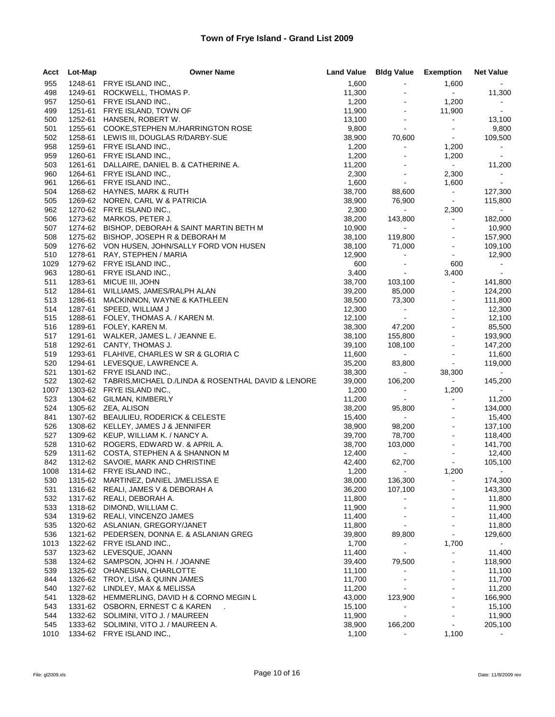| Acct       | Lot-Map | <b>Owner Name</b>                                              | <b>Land Value</b> | <b>Bldg Value Exemption</b>         |                            | <b>Net Value</b> |
|------------|---------|----------------------------------------------------------------|-------------------|-------------------------------------|----------------------------|------------------|
| 955        |         | 1248-61 FRYE ISLAND INC.,                                      | 1,600             | $\blacksquare$                      | 1,600                      |                  |
| 498        | 1249-61 | ROCKWELL, THOMAS P.                                            | 11,300            |                                     | $\sim 10$                  | 11,300           |
| 957        | 1250-61 | FRYE ISLAND INC.,                                              | 1,200             | $\blacksquare$                      | 1,200                      | $\sim$           |
| 499        | 1251-61 | FRYE ISLAND, TOWN OF                                           | 11,900            | $\blacksquare$                      | 11,900                     | $\sim$ 10 $\pm$  |
| 500        |         | 1252-61 HANSEN, ROBERT W.                                      | 13,100            | $\blacksquare$                      | $\sim$                     | 13,100           |
| 501        | 1255-61 | COOKE, STEPHEN M./HARRINGTON ROSE                              | 9,800             | $\blacksquare$                      | $\blacksquare$             | 9,800            |
| 502        |         | 1258-61 LEWIS III, DOUGLAS R/DARBY-SUE                         | 38,900            | 70,600                              | $\sim$ .                   | 109,500          |
| 958        |         | 1259-61 FRYE ISLAND INC.,                                      | 1,200             | $\blacksquare$                      | 1,200                      | $\sim$           |
| 959        | 1260-61 | FRYE ISLAND INC.,                                              | 1,200             | $\blacksquare$                      | 1,200                      | $\sim$           |
| 503        | 1261-61 | DALLAIRE, DANIEL B. & CATHERINE A.                             | 11,200            |                                     | $\sim 10$                  | 11,200           |
| 960        |         | 1264-61 FRYE ISLAND INC.,                                      | 2,300             | $\blacksquare$                      | 2,300                      | $\sim$           |
| 961        | 1266-61 | FRYE ISLAND INC.,                                              | 1,600             | $\blacksquare$                      | 1,600                      | $\sim$           |
| 504        |         | 1268-62 HAYNES, MARK & RUTH                                    | 38,700            | 88,600                              | $\sim$                     | 127,300          |
| 505        |         | 1269-62 NOREN, CARL W & PATRICIA                               | 38,900            | 76,900                              | $\sim$                     | 115,800          |
| 962        |         | 1270-62 FRYE ISLAND INC.,                                      | 2,300             | $\sim 100$                          | 2,300                      | $\sim$           |
| 506        |         | 1273-62 MARKOS, PETER J.                                       | 38,200            | 143,800                             | $\omega$                   | 182,000          |
| 507        |         | 1274-62 BISHOP, DEBORAH & SAINT MARTIN BETH M                  | 10,900            | $\sim 100$                          | $\blacksquare$             | 10,900           |
| 508        |         | 1275-62 BISHOP, JOSEPH R & DEBORAH M                           | 38,100            | 119,800                             |                            | 157,900          |
| 509        |         | 1276-62 VON HUSEN, JOHN/SALLY FORD VON HUSEN                   | 38,100            | 71,000                              | ÷.                         | 109,100          |
| 510        | 1278-61 | RAY, STEPHEN / MARIA                                           | 12,900            | $\bullet$                           | $\blacksquare$             | 12,900           |
| 1029       |         | 1279-62 FRYE ISLAND INC.,                                      | 600               | $\blacksquare$                      | 600                        | $\sim$           |
| 963        |         | 1280-61 FRYE ISLAND INC.,                                      | 3,400             | $\mathbf{r}$                        | 3,400                      | $\sim$           |
| 511        | 1283-61 | MICUE III, JOHN                                                | 38,700            | 103,100                             | $\sim$                     | 141,800          |
| 512        | 1284-61 | WILLIAMS, JAMES/RALPH ALAN                                     | 39,200            | 85,000                              | $\blacksquare$             | 124,200          |
| 513        |         | 1286-61 MACKINNON, WAYNE & KATHLEEN                            | 38,500            | 73,300                              | $\blacksquare$             | 111,800          |
| 514        |         | 1287-61 SPEED, WILLIAM J                                       | 12,300            | $\bullet$ .                         | $\omega$                   | 12,300           |
| 515        | 1288-61 | FOLEY, THOMAS A. / KAREN M.                                    | 12,100            | $\sim 100$                          |                            | 12,100           |
| 516        |         | 1289-61 FOLEY, KAREN M.                                        | 38,300            | 47,200                              |                            | 85,500           |
| 517        |         | 1291-61 WALKER, JAMES L. / JEANNE E.                           | 38,100            | 155,800                             | $\sim$                     | 193,900          |
| 518        |         | 1292-61 CANTY, THOMAS J.                                       | 39,100            | 108,100                             |                            | 147,200          |
| 519        |         | 1293-61 FLAHIVE, CHARLES W SR & GLORIA C                       | 11,600            | $\omega_{\rm{max}}$                 | $\blacksquare$             | 11,600           |
| 520        |         | 1294-61 LEVESQUE, LAWRENCE A.                                  | 35,200            | 83,800                              | $\blacksquare$             | 119,000          |
| 521        |         | 1301-62 FRYE ISLAND INC.,                                      | 38,300            | $\sim 100$                          | 38,300                     | $\sim$           |
| 522        |         | 1302-62 TABRIS, MICHAEL D./LINDA & ROSENTHAL DAVID & LENORE    | 39,000            | 106,200                             | $\mathbf{e}^{(1)}$         | 145,200          |
| 1007       |         | 1303-62 FRYE ISLAND INC.,                                      | 1,200             | $\sim$                              | 1,200                      | $\sim$           |
| 523        |         | 1304-62 GILMAN, KIMBERLY                                       | 11,200            | $\sim$                              |                            | 11,200           |
| 524        |         | 1305-62 ZEA, ALISON                                            | 38,200            | 95,800                              | $\blacksquare$             | 134,000          |
| 841        |         | 1307-62 BEAULIEU, RODERICK & CELESTE                           | 15,400            | $\sim 10^4$                         | ÷.                         | 15,400           |
| 526        |         | 1308-62 KELLEY, JAMES J & JENNIFER                             | 38,900            | 98,200                              | $\blacksquare$             | 137,100          |
| 527        |         | 1309-62 KEUP, WILLIAM K. / NANCY A.                            | 39,700            | 78,700                              | $\omega$                   | 118,400          |
| 528<br>529 |         | 1310-62 ROGERS, EDWARD W. & APRIL A.                           | 38,700            | 103,000<br>$\mathcal{L}_{\rm{max}}$ | $\blacksquare$<br>$\omega$ | 141,700          |
| 842        |         | 1311-62 COSTA, STEPHEN A & SHANNON M                           | 12,400            |                                     | $\blacksquare$             | 12,400           |
| 1008       |         | 1312-62 SAVOIE, MARK AND CHRISTINE<br>1314-62 FRYE ISLAND INC. | 42,400<br>1,200   | 62,700                              | 1,200                      | 105,100          |
| 530        |         | 1315-62 MARTINEZ, DANIEL J/MELISSA E                           | 38,000            | 136,300                             |                            | 174,300          |
| 531        |         | 1316-62 REALI, JAMES V & DEBORAH A                             | 36,200            | 107,100                             |                            | 143,300          |
| 532        | 1317-62 | REALI, DEBORAH A.                                              | 11,800            | $\blacksquare$                      |                            | 11,800           |
| 533        |         | 1318-62 DIMOND, WILLIAM C.                                     | 11,900            |                                     |                            | 11,900           |
| 534        |         | 1319-62 REALI, VINCENZO JAMES                                  | 11,400            |                                     |                            | 11,400           |
| 535        |         | 1320-62 ASLANIAN, GREGORY/JANET                                | 11,800            | $\blacksquare$                      |                            | 11,800           |
| 536        |         | 1321-62 PEDERSEN, DONNA E. & ASLANIAN GREG                     | 39,800            | 89,800                              | $\blacksquare$             | 129,600          |
| 1013       |         | 1322-62 FRYE ISLAND INC.,                                      | 1,700             | $\blacksquare$                      | 1,700                      | $\sim$           |
| 537        |         | 1323-62 LEVESQUE, JOANN                                        | 11,400            | $\blacksquare$                      | ٠                          | 11,400           |
| 538        |         | 1324-62 SAMPSON, JOHN H. / JOANNE                              | 39,400            | 79,500                              |                            | 118,900          |
| 539        |         | 1325-62 OHANESIAN, CHARLOTTE                                   | 11,100            | $\blacksquare$                      |                            | 11,100           |
| 844        |         | 1326-62 TROY, LISA & QUINN JAMES                               | 11,700            | $\overline{a}$                      |                            | 11,700           |
| 540        |         | 1327-62 LINDLEY, MAX & MELISSA                                 | 11,200            |                                     |                            | 11,200           |
| 541        |         | 1328-62 HEMMERLING, DAVID H & CORNO MEGIN L                    | 43,000            | 123,900                             |                            | 166,900          |
| 543        | 1331-62 | OSBORN, ERNEST C & KAREN                                       | 15,100            |                                     |                            | 15,100           |
| 544        |         | 1332-62 SOLIMINI, VITO J. / MAUREEN                            | 11,900            | $\overline{a}$                      |                            | 11,900           |
| 545        | 1333-62 | SOLIMINI, VITO J. / MAUREEN A.                                 | 38,900            | 166,200                             |                            | 205,100          |
| 1010       |         | 1334-62 FRYE ISLAND INC.,                                      | 1,100             |                                     | 1,100                      |                  |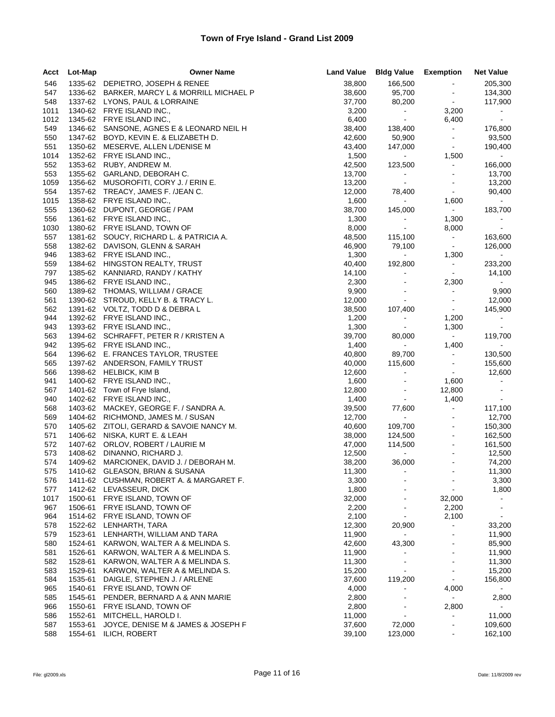| Acct       | Lot-Map | <b>Owner Name</b>                                                           | <b>Land Value</b> | <b>Bldg Value Exemption</b> |                                  | <b>Net Value</b>    |
|------------|---------|-----------------------------------------------------------------------------|-------------------|-----------------------------|----------------------------------|---------------------|
| 546        |         | 1335-62 DEPIETRO, JOSEPH & RENEE                                            | 38,800            | 166,500                     | $\blacksquare$                   | 205,300             |
| 547        |         | 1336-62 BARKER, MARCY L & MORRILL MICHAEL P                                 | 38,600            | 95,700                      | $\sim$                           | 134,300             |
| 548        |         | 1337-62 LYONS, PAUL & LORRAINE                                              | 37,700            | 80,200                      | $\sim$                           | 117,900             |
| 1011       |         | 1340-62 FRYE ISLAND INC.,                                                   | 3,200             | $\sim$                      | 3,200                            |                     |
| 1012       |         | 1345-62 FRYE ISLAND INC.,                                                   | 6,400             | $\sim$                      | 6,400                            | $\sim$              |
| 549        |         | 1346-62 SANSONE, AGNES E & LEONARD NEIL H                                   | 38,400            | 138,400                     | $\sim$                           | 176,800             |
| 550        |         | 1347-62 BOYD, KEVIN E. & ELIZABETH D.                                       | 42,600            | 50,900                      | $\blacksquare$                   | 93,500              |
| 551        |         | 1350-62 MESERVE, ALLEN L/DENISE M                                           | 43,400            | 147,000                     | $\sim$                           | 190,400             |
| 1014       |         | 1352-62 FRYE ISLAND INC.,                                                   | 1,500             | $\sim 100$                  | 1,500                            | $\mathbf{m}$ .      |
| 552        |         | 1353-62 RUBY, ANDREW M.                                                     | 42,500            | 123,500                     | $\blacksquare$                   | 166,000             |
| 553        |         | 1355-62 GARLAND, DEBORAH C.                                                 | 13,700            | $\omega_{\rm{eff}}$         | $\sim$                           | 13,700              |
| 1059       |         | 1356-62 MUSOROFITI, CORY J. / ERIN E.                                       | 13,200            | $\sim 10$                   | $\blacksquare$                   | 13,200              |
| 554        |         | 1357-62 TREACY, JAMES F. /JEAN C.                                           | 12,000            | 78,400                      | $\blacksquare$                   | 90,400              |
| 1015       |         | 1358-62 FRYE ISLAND INC.,                                                   | 1,600             | $\sim$                      | 1,600                            | $\omega_{\rm{max}}$ |
| 555        |         | 1360-62 DUPONT, GEORGE / PAM                                                | 38,700            | 145,000                     | $\sim 10$                        | 183,700             |
| 556        |         | 1361-62 FRYE ISLAND INC.,                                                   | 1,300             | $\blacksquare$              | 1,300                            | $\sim$              |
| 1030       |         | 1380-62 FRYE ISLAND, TOWN OF                                                | 8,000             | $\sim$                      | 8,000                            | $\sim$              |
| 557        |         | 1381-62 SOUCY, RICHARD L. & PATRICIA A.                                     | 48,500            | 115,100                     | $\sigma_{\rm{max}}$              | 163,600             |
| 558        |         | 1382-62 DAVISON, GLENN & SARAH                                              | 46,900            | 79,100                      | $\sim$                           | 126,000             |
| 946        |         | 1383-62 FRYE ISLAND INC.,                                                   | 1,300             | $\omega_{\rm{eff}}$         | 1,300                            | $\sim$              |
| 559        |         | 1384-62 HINGSTON REALTY, TRUST                                              | 40,400            | 192,800                     | $\sim$                           | 233,200             |
| 797        |         | 1385-62 KANNIARD, RANDY / KATHY                                             | 14,100            | $\blacksquare$              | $\sim$                           | 14,100              |
| 945        |         | 1386-62 FRYE ISLAND INC.,                                                   | 2,300             | $\blacksquare$              | 2,300                            | $\sim$              |
| 560        |         | 1389-62 THOMAS, WILLIAM / GRACE                                             | 9,900             |                             | $\blacksquare$                   | 9,900               |
| 561        |         | 1390-62 STROUD, KELLY B. & TRACY L.                                         | 12,000            | $\blacksquare$              | $\blacksquare$                   | 12,000              |
| 562        |         | 1391-62 VOLTZ, TODD D & DEBRA L                                             | 38,500            | 107,400                     | $\bullet$                        | 145,900             |
| 944        |         | 1392-62 FRYE ISLAND INC.,                                                   | 1,200             | $\bullet$ .                 | 1,200                            | $\sim$              |
| 943        |         | 1393-62 FRYE ISLAND INC.,                                                   | 1,300             | $\sim 10$                   | 1,300                            | $\sim$              |
| 563        |         | 1394-62 SCHRAFFT, PETER R / KRISTEN A                                       | 39,700            | 80,000                      | $\sim$                           | 119,700             |
| 942        |         | 1395-62 FRYE ISLAND INC.,                                                   | 1,400             | $\sim$                      | 1,400                            | $\sim$ $-$          |
| 564        |         | 1396-62 E. FRANCES TAYLOR, TRUSTEE                                          | 40,800            | 89,700                      | $\sim$                           | 130,500             |
| 565        |         | 1397-62 ANDERSON, FAMILY TRUST                                              | 40,000            | 115,600                     | $\blacksquare$                   | 155,600             |
| 566        |         | 1398-62 HELBICK, KIM B                                                      | 12,600            | $\blacksquare$              | $\sim$                           | 12,600              |
| 941        |         | 1400-62 FRYE ISLAND INC.,                                                   | 1,600             | $\blacksquare$              | 1,600                            | $\bullet$ .         |
| 567        |         | 1401-62 Town of Frye Island,                                                | 12,800            | $\blacksquare$              | 12,800                           | $\blacksquare$      |
| 940        |         | 1402-62 FRYE ISLAND INC.,                                                   | 1,400             | $\sim$                      | 1,400                            |                     |
| 568        |         | 1403-62 MACKEY, GEORGE F. / SANDRA A.                                       | 39,500            | 77,600                      | $\omega$                         | 117,100             |
| 569        |         | 1404-62 RICHMOND, JAMES M. / SUSAN                                          | 12,700            | $\sim 100$                  | $\blacksquare$                   | 12,700              |
| 570        |         | 1405-62 ZITOLI, GERARD & SAVOIE NANCY M.                                    | 40,600            | 109,700                     | $\blacksquare$                   | 150,300             |
| 571        |         | 1406-62 NISKA, KURT E. & LEAH                                               | 38,000            | 124,500                     | $\blacksquare$                   | 162,500             |
| 572        |         | 1407-62 ORLOV, ROBERT / LAURIE M                                            | 47,000            | 114,500                     | $\blacksquare$                   | 161,500<br>12,500   |
| 573        |         | 1408-62 DINANNO, RICHARD J.                                                 | 12,500            | $\sim 10$                   | $\blacksquare$                   |                     |
| 574        |         | 1409-62 MARCIONEK, DAVID J. / DEBORAH M.                                    | 38,200            | 36,000<br>$\sim$            | $\blacksquare$<br>$\sim$         | 74,200              |
| 575        |         | 1410-62 GLEASON, BRIAN & SUSANA<br>1411-62 CUSHMAN, ROBERT A. & MARGARET F. | 11,300            |                             |                                  | 11,300              |
| 576<br>577 |         | 1412-62 LEVASSEUR, DICK                                                     | 3,300<br>1,800    |                             | $\blacksquare$<br>$\blacksquare$ | 3,300<br>1,800      |
| 1017       | 1500-61 | FRYE ISLAND, TOWN OF                                                        | 32,000            |                             | 32,000                           | $\blacksquare$      |
| 967        | 1506-61 | FRYE ISLAND, TOWN OF                                                        | 2,200             |                             | 2,200                            |                     |
| 964        |         | 1514-62 FRYE ISLAND, TOWN OF                                                | 2,100             | $\blacksquare$              | 2,100                            | $\sim$              |
| 578        | 1522-62 | LENHARTH, TARA                                                              | 12,300            | 20,900                      |                                  | 33,200              |
| 579        | 1523-61 | LENHARTH, WILLIAM AND TARA                                                  | 11,900            | $\blacksquare$              |                                  | 11,900              |
| 580        | 1524-61 | KARWON, WALTER A & MELINDA S.                                               | 42,600            | 43,300                      | $\blacksquare$                   | 85,900              |
| 581        | 1526-61 | KARWON, WALTER A & MELINDA S.                                               | 11,900            | ä,                          | $\blacksquare$                   | 11,900              |
| 582        | 1528-61 | KARWON, WALTER A & MELINDA S.                                               | 11,300            |                             | $\blacksquare$                   | 11,300              |
| 583        | 1529-61 | KARWON, WALTER A & MELINDA S.                                               | 15,200            | $\blacksquare$              | $\blacksquare$                   | 15,200              |
| 584        | 1535-61 | DAIGLE, STEPHEN J. / ARLENE                                                 | 37,600            | 119,200                     | $\blacksquare$                   | 156,800             |
| 965        | 1540-61 | FRYE ISLAND, TOWN OF                                                        | 4,000             |                             | 4,000                            |                     |
| 585        | 1545-61 | PENDER, BERNARD A & ANN MARIE                                               | 2,800             | $\overline{\phantom{a}}$    | $\sim$                           | 2,800               |
| 966        | 1550-61 | FRYE ISLAND, TOWN OF                                                        | 2,800             |                             | 2,800                            | $\sim$              |
| 586        | 1552-61 | MITCHELL, HAROLD I.                                                         | 11,000            | $\blacksquare$              | $\blacksquare$                   | 11,000              |
| 587        | 1553-61 | JOYCE, DENISE M & JAMES & JOSEPH F                                          | 37,600            | 72,000                      | $\blacksquare$                   | 109,600             |
| 588        | 1554-61 | ILICH, ROBERT                                                               | 39,100            | 123,000                     |                                  | 162,100             |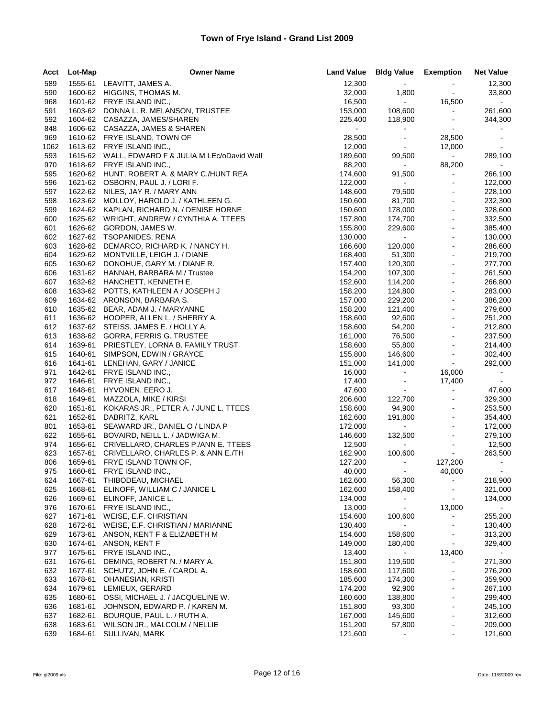| Acct | Lot-Map | <b>Owner Name</b>                                | <b>Land Value</b> | <b>Bldg Value Exemption</b> |                          | <b>Net Value</b> |
|------|---------|--------------------------------------------------|-------------------|-----------------------------|--------------------------|------------------|
| 589  |         | 1555-61 LEAVITT, JAMES A.                        | 12,300            | $\sigma_{\rm{max}}$         |                          | 12,300           |
| 590  |         | 1600-62 HIGGINS, THOMAS M.                       | 32,000            | 1,800                       | $\blacksquare$           | 33,800           |
| 968  |         | 1601-62 FRYE ISLAND INC.,                        | 16,500            | $\sim 10$                   | 16,500                   | $\sim$           |
| 591  |         | 1603-62 DONNA L. R. MELANSON, TRUSTEE            | 153,000           | 108,600                     | $\omega$                 | 261,600          |
| 592  |         | 1604-62 CASAZZA, JAMES/SHAREN                    | 225,400           | 118,900                     | $\blacksquare$           | 344,300          |
| 848  |         | 1606-62 CASAZZA, JAMES & SHAREN                  | $\blacksquare$    | $\blacksquare$              | $\blacksquare$           |                  |
| 969  |         | 1610-62 FRYE ISLAND, TOWN OF                     | 28,500            | $\sim$                      | 28,500                   | $\sim$           |
| 1062 |         | 1613-62 FRYE ISLAND INC.,                        | 12,000            | $\omega_{\rm{eff}}$         | 12,000                   | $\sim$           |
| 593  |         | 1615-62 WALL, EDWARD F & JULIA M LEc/oDavid Wall | 189,600           | 99,500                      | $\sim 10^4$              | 289,100          |
| 970  |         | 1618-62 FRYE ISLAND INC.,                        | 88,200            | $\sim 100$                  | 88,200                   | $\sim$           |
| 595  |         | 1620-62 HUNT, ROBERT A. & MARY C./HUNT REA       | 174,600           | 91,500                      | $\blacksquare$           | 266,100          |
| 596  |         | 1621-62 OSBORN, PAUL J. / LORI F.                | 122,000           | $\sim 100$                  | $\blacksquare$           | 122,000          |
| 597  |         | 1622-62 NILES, JAY R. / MARY ANN                 | 148,600           | 79,500                      |                          | 228,100          |
| 598  |         | 1623-62 MOLLOY, HAROLD J. / KATHLEEN G.          | 150,600           | 81,700                      | $\blacksquare$           | 232,300          |
| 599  |         | 1624-62 KAPLAN, RICHARD N. / DENISE HORNE        | 150,600           | 178,000                     | $\blacksquare$           | 328,600          |
| 600  |         | 1625-62 WRIGHT, ANDREW / CYNTHIA A. TTEES        | 157,800           | 174,700                     | $\overline{a}$           | 332,500          |
| 601  |         | 1626-62 GORDON, JAMES W.                         | 155,800           | 229,600                     | $\blacksquare$           | 385,400          |
| 602  |         | 1627-62 TSOPANIDES, RENA                         | 130,000           | $\sim 10$                   | $\blacksquare$           | 130,000          |
| 603  |         | 1628-62 DEMARCO, RICHARD K. / NANCY H.           | 166,600           | 120,000                     | $\overline{a}$           | 286,600          |
| 604  |         | 1629-62 MONTVILLE, LEIGH J. / DIANE              | 168,400           | 51,300                      | $\blacksquare$           | 219,700          |
| 605  | 1630-62 | DONOHUE, GARY M. / DIANE R.                      | 157,400           | 120,300                     | $\blacksquare$           | 277,700          |
| 606  |         | 1631-62 HANNAH, BARBARA M./ Trustee              | 154,200           | 107,300                     | $\overline{a}$           | 261,500          |
| 607  |         | 1632-62 HANCHETT, KENNETH E.                     | 152,600           | 114,200                     | $\blacksquare$           | 266,800          |
| 608  |         | 1633-62 POTTS, KATHLEEN A / JOSEPH J             | 158,200           | 124,800                     | $\blacksquare$           | 283,000          |
| 609  |         | 1634-62 ARONSON, BARBARA S.                      | 157,000           | 229,200                     |                          | 386,200          |
| 610  |         | 1635-62 BEAR, ADAM J. / MARYANNE                 | 158,200           | 121,400                     | $\blacksquare$           | 279,600          |
| 611  |         | 1636-62 HOOPER, ALLEN L. / SHERRY A.             | 158,600           | 92,600                      | $\blacksquare$           | 251,200          |
| 612  |         | 1637-62 STEISS, JAMES E. / HOLLY A.              | 158,600           | 54,200                      | $\blacksquare$           | 212,800          |
| 613  |         | 1638-62 GORRA, FERRIS G. TRUSTEE                 | 161,000           | 76,500                      | $\blacksquare$           | 237,500          |
| 614  | 1639-61 | PRIESTLEY, LORNA B. FAMILY TRUST                 | 158,600           | 55,800                      | $\blacksquare$           | 214,400          |
| 615  | 1640-61 | SIMPSON, EDWIN / GRAYCE                          | 155,800           | 146,600                     | $\blacksquare$           | 302,400          |
| 616  |         | 1641-61 LENEHAN, GARY / JANICE                   | 151,000           | 141,000                     | $\blacksquare$           | 292,000          |
| 971  | 1642-61 | FRYE ISLAND INC.,                                | 16,000            | $\sim$                      | 16,000                   | $\sim$           |
| 972  | 1646-61 | FRYE ISLAND INC.,                                | 17,400            | $\sim$                      | 17,400                   | $\sim$           |
| 617  | 1648-61 | HYVONEN, EERO J.                                 | 47,600            | $\omega_{\rm{eff}}$         | $\blacksquare$           | 47,600           |
| 618  | 1649-61 | MAZZOLA, MIKE / KIRSI                            | 206,600           | 122,700                     |                          | 329,300          |
| 620  | 1651-61 | KOKARAS JR., PETER A. / JUNE L. TTEES            | 158,600           | 94,900                      | $\blacksquare$           | 253,500          |
| 621  | 1652-61 | DABRITZ, KARL                                    | 162,600           | 191,800                     | $\blacksquare$           | 354,400          |
| 801  | 1653-61 | SEAWARD JR., DANIEL O / LINDA P                  | 172,000           | $\mathcal{L}_{\rm{max}}$    |                          | 172,000          |
| 622  | 1655-61 | BOVAIRD, NEILL L. / JADWIGA M.                   | 146,600           | 132,500                     | $\blacksquare$           | 279,100          |
| 974  | 1656-61 | CRIVELLARO, CHARLES P./ANN E. TTEES              | 12,500            | $\sim 10$                   | $\blacksquare$           | 12,500           |
| 623  | 1657-61 | CRIVELLARO, CHARLES P. & ANN E./TH               | 162,900           | 100,600                     | $\mathcal{L}_{\rm{max}}$ | 263,500          |
| 806  |         | 1659-61 FRYE ISLAND TOWN OF,                     | 127,200           | $\omega_{\rm c}$            | 127,200                  | $\sim$           |
| 975  |         | 1660-61 FRYE ISLAND INC.,                        | 40,000            |                             | 40,000                   |                  |
| 624  | 1667-61 | THIBODEAU, MICHAEL                               | 162,600           | 56,300                      |                          | 218,900          |
| 625  | 1668-61 | ELINOFF, WILLIAM C / JANICE L                    | 162,600           | 158,400                     |                          | 321,000          |
| 626  | 1669-61 | ELINOFF, JANICE L.                               | 134,000           | $\blacksquare$              |                          | 134,000          |
| 976  | 1670-61 | FRYE ISLAND INC.,                                | 13,000            | $\sim$                      | 13,000                   |                  |
| 627  | 1671-61 | WEISE, E.F. CHRISTIAN                            | 154,600           | 100,600                     |                          | 255,200          |
| 628  | 1672-61 | WEISE, E.F. CHRISTIAN / MARIANNE                 | 130,400           | $\mathbf{r}$                | $\blacksquare$           | 130,400          |
| 629  | 1673-61 | ANSON, KENT F & ELIZABETH M                      | 154,600           | 158,600                     |                          | 313,200          |
| 630  | 1674-61 | ANSON, KENT F                                    | 149,000           | 180,400                     | $\blacksquare$           | 329,400          |
| 977  | 1675-61 | FRYE ISLAND INC.,                                | 13,400            | $\blacksquare$              | 13,400                   | $\blacksquare$   |
| 631  | 1676-61 | DEMING, ROBERT N. / MARY A.                      | 151,800           | 119,500                     |                          | 271,300          |
| 632  | 1677-61 | SCHUTZ, JOHN E. / CAROL A.                       | 158,600           | 117,600                     | $\blacksquare$           | 276,200          |
| 633  | 1678-61 | <b>OHANESIAN, KRISTI</b>                         | 185,600           | 174,300                     |                          | 359,900          |
| 634  | 1679-61 | LEMIEUX, GERARD                                  | 174,200           | 92,900                      | $\sim$                   | 267,100          |
| 635  | 1680-61 | OSSI, MICHAEL J. / JACQUELINE W.                 | 160,600           | 138,800                     | $\blacksquare$           | 299,400          |
| 636  | 1681-61 | JOHNSON, EDWARD P. / KAREN M.                    | 151,800           | 93,300                      | $\blacksquare$           | 245,100          |
| 637  | 1682-61 | BOURQUE, PAUL L. / RUTH A.                       | 167,000           | 145,600                     |                          | 312,600          |
| 638  | 1683-61 | WILSON JR., MALCOLM / NELLIE                     | 151,200           | 57,800                      | $\overline{\phantom{a}}$ | 209,000          |
| 639  | 1684-61 | SULLIVAN, MARK                                   | 121,600           | $\blacksquare$              | $\blacksquare$           | 121,600          |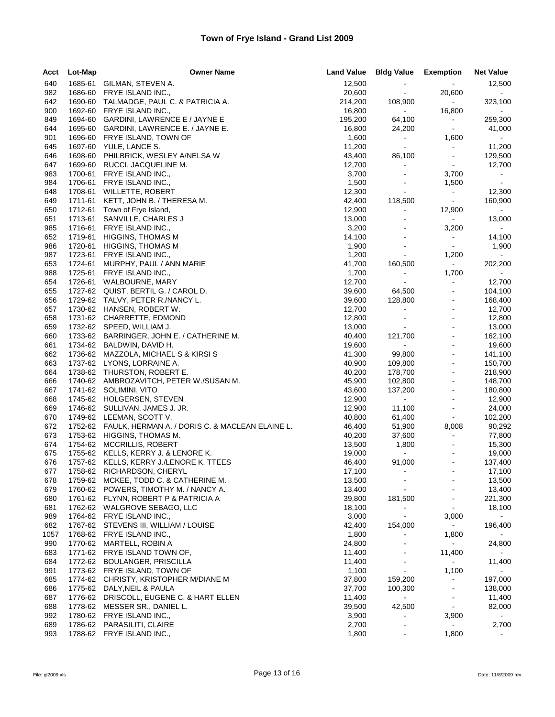| Acct       | Lot-Map            | <b>Owner Name</b>                                                      | <b>Land Value</b> | <b>Bldg Value Exemption</b>      |                                        | <b>Net Value</b>  |
|------------|--------------------|------------------------------------------------------------------------|-------------------|----------------------------------|----------------------------------------|-------------------|
| 640        | 1685-61            | GILMAN, STEVEN A.                                                      | 12,500            | $\blacksquare$                   | $\sim$                                 | 12,500            |
| 982        | 1686-60            | FRYE ISLAND INC.,                                                      | 20,600            | $\blacksquare$                   | 20,600                                 | $\sim$            |
| 642        | 1690-60            | TALMADGE, PAUL C. & PATRICIA A.                                        | 214,200           | 108,900                          | $\sim$                                 | 323,100           |
| 900        | 1692-60            | FRYE ISLAND INC.,                                                      | 16,800            | $\bullet$ .                      | 16,800                                 | $\bullet$ .       |
| 849        | 1694-60            | GARDINI, LAWRENCE E / JAYNE E                                          | 195,200           | 64,100                           | $\bullet$ .                            | 259,300           |
| 644        | 1695-60            | GARDINI, LAWRENCE E. / JAYNE E.                                        | 16,800            | 24,200                           | $\blacksquare$                         | 41,000            |
| 901        | 1696-60            | FRYE ISLAND, TOWN OF                                                   | 1,600             | $\sim$                           | 1,600                                  | $\sim$            |
| 645        |                    | 1697-60 YULE, LANCE S.                                                 | 11,200            | $\blacksquare$                   | $\blacksquare$                         | 11,200            |
| 646        | 1698-60            | PHILBRICK, WESLEY A/NELSA W                                            | 43,400            | 86,100                           | $\blacksquare$                         | 129,500           |
| 647<br>983 | 1699-60<br>1700-61 | RUCCI, JACQUELINE M.<br>FRYE ISLAND INC.,                              | 12,700<br>3,700   | $\blacksquare$<br>$\blacksquare$ | $\sim$<br>3,700                        | 12,700            |
| 984        | 1706-61            | FRYE ISLAND INC.,                                                      | 1,500             | $\blacksquare$                   | 1,500                                  | $\sim$            |
| 648        |                    | 1708-61 WILLETTE, ROBERT                                               | 12,300            | $\sim$                           | $\sim$                                 | 12,300            |
| 649        | 1711-61            | KETT, JOHN B. / THERESA M.                                             | 42,400            | 118,500                          | $\sim$                                 | 160,900           |
| 650        | 1712-61            | Town of Frye Island,                                                   | 12,900            | $\blacksquare$                   | 12,900                                 | $\sim$            |
| 651        | 1713-61            | SANVILLE, CHARLES J                                                    | 13,000            | $\blacksquare$                   | $\sim 100$                             | 13,000            |
| 985        | 1716-61            | FRYE ISLAND INC.,                                                      | 3,200             | $\sim$                           | 3,200                                  | $\bullet$ .       |
| 652        | 1719-61            | <b>HIGGINS, THOMAS M</b>                                               | 14,100            | $\blacksquare$                   | $\blacksquare$                         | 14,100            |
| 986        |                    | 1720-61 HIGGINS, THOMAS M                                              | 1,900             | $\blacksquare$                   | $\sim$                                 | 1,900             |
| 987        | 1723-61            | FRYE ISLAND INC.,                                                      | 1,200             | $\bullet$                        | 1,200                                  | $\sim 100$        |
| 653        | 1724-61            | MURPHY, PAUL / ANN MARIE                                               | 41,700            | 160,500                          | $\sim 100$                             | 202,200           |
| 988        |                    | 1725-61 FRYE ISLAND INC.,                                              | 1,700             | $\sim$                           | 1,700                                  | $\sim$            |
| 654        |                    | 1726-61 WALBOURNE, MARY                                                | 12,700            | $\sim$                           | $\sim$                                 | 12,700            |
| 655        |                    | 1727-62 QUIST, BERTIL G. / CAROL D.                                    | 39,600            | 64,500                           | $\blacksquare$                         | 104,100           |
| 656        |                    | 1729-62 TALVY, PETER R./NANCY L.                                       | 39,600            | 128,800                          | $\blacksquare$                         | 168,400           |
| 657        |                    | 1730-62 HANSEN, ROBERT W.                                              | 12,700            | $\blacksquare$                   | $\blacksquare$                         | 12,700            |
| 658        |                    | 1731-62 CHARRETTE, EDMOND                                              | 12,800            |                                  |                                        | 12,800            |
| 659        |                    | 1732-62 SPEED, WILLIAM J.                                              | 13,000            | $\blacksquare$                   |                                        | 13,000            |
| 660<br>661 |                    | 1733-62 BARRINGER, JOHN E. / CATHERINE M.<br>1734-62 BALDWIN, DAVID H. | 40,400<br>19,600  | 121,700<br>$\sim 100$            | $\blacksquare$                         | 162,100<br>19,600 |
| 662        |                    | 1736-62 MAZZOLA, MICHAEL S & KIRSI S                                   | 41,300            | 99,800                           |                                        | 141,100           |
| 663        |                    | 1737-62 LYONS, LORRAINE A.                                             | 40,900            | 109,800                          | $\blacksquare$                         | 150,700           |
| 664        |                    | 1738-62 THURSTON, ROBERT E.                                            | 40,200            | 178,700                          |                                        | 218,900           |
| 666        |                    | 1740-62 AMBROZAVITCH, PETER W./SUSAN M.                                | 45,900            | 102,800                          |                                        | 148,700           |
| 667        |                    | 1741-62 SOLIMINI, VITO                                                 | 43,600            | 137,200                          | $\blacksquare$                         | 180,800           |
| 668        |                    | 1745-62 HOLGERSEN, STEVEN                                              | 12,900            | $\sim 100$                       |                                        | 12,900            |
| 669        |                    | 1746-62 SULLIVAN, JAMES J. JR.                                         | 12,900            | 11,100                           | $\blacksquare$                         | 24,000            |
| 670        |                    | 1749-62 LEEMAN, SCOTT V.                                               | 40,800            | 61,400                           | $\blacksquare$                         | 102,200           |
| 672        |                    | 1752-62 FAULK, HERMAN A. / DORIS C. & MACLEAN ELAINE L.                | 46,400            | 51,900                           | 8,008                                  | 90,292            |
| 673        |                    | 1753-62 HIGGINS, THOMAS M.                                             | 40,200            | 37,600                           | $\sim$                                 | 77,800            |
| 674        |                    | 1754-62 MCCRILLIS, ROBERT                                              | 13,500            | 1,800                            | $\blacksquare$                         | 15,300            |
| 675        |                    | 1755-62 KELLS, KERRY J. & LENORE K.                                    | 19,000            | $\sim 100$                       |                                        | 19,000            |
| 676        |                    | 1757-62 KELLS, KERRY J./LENORE K. TTEES                                | 46,400            | 91,000                           | $\blacksquare$                         | 137,400           |
| 677        |                    | 1758-62 RICHARDSON, CHERYL                                             | 17,100            |                                  |                                        | 17,100            |
| 678        |                    | 1759-62 MCKEE, TODD C. & CATHERINE M.                                  | 13,500            |                                  |                                        | 13,500            |
| 679        |                    | 1760-62 POWERS, TIMOTHY M. / NANCY A.                                  | 13,400            |                                  |                                        | 13,400            |
| 680        |                    | 1761-62 FLYNN, ROBERT P & PATRICIA A                                   | 39,800            | 181,500                          | $\qquad \qquad \blacksquare$<br>$\sim$ | 221,300           |
| 681        |                    | 1762-62 WALGROVE SEBAGO, LLC                                           | 18,100            | $\blacksquare$                   |                                        | 18,100            |
| 989<br>682 |                    | 1764-62 FRYE ISLAND INC.,<br>1767-62 STEVENS III, WILLIAM / LOUISE     | 3,000<br>42,400   | 154,000                          | 3,000<br>$\blacksquare$                | 196,400           |
| 1057       |                    | 1768-62 FRYE ISLAND INC.,                                              | 1,800             |                                  | 1,800                                  |                   |
| 990        |                    | 1770-62 MARTELL, ROBIN A                                               | 24,800            |                                  | $\bullet$ .                            | 24,800            |
| 683        |                    | 1771-62 FRYE ISLAND TOWN OF,                                           | 11,400            | $\ddot{\phantom{0}}$             | 11,400                                 | $\sim$            |
| 684        |                    | 1772-62 BOULANGER, PRISCILLA                                           | 11,400            |                                  | $\sim$                                 | 11,400            |
| 991        |                    | 1773-62 FRYE ISLAND, TOWN OF                                           | 1,100             | $\blacksquare$                   | 1,100                                  |                   |
| 685        |                    | 1774-62 CHRISTY, KRISTOPHER M/DIANE M                                  | 37,800            | 159,200                          | $\blacksquare$                         | 197,000           |
| 686        |                    | 1775-62 DALY, NEIL & PAULA                                             | 37,700            | 100,300                          |                                        | 138,000           |
| 687        |                    | 1776-62 DRISCOLL, EUGENE C. & HART ELLEN                               | 11,400            | $\sim$                           | $\blacksquare$                         | 11,400            |
| 688        |                    | 1778-62 MESSER SR., DANIEL L.                                          | 39,500            | 42,500                           | $\blacksquare$                         | 82,000            |
| 992        |                    | 1780-62 FRYE ISLAND INC.,                                              | 3,900             | ä,                               | 3,900                                  | $\sim$            |
| 689        | 1786-62            | PARASILITI, CLAIRE                                                     | 2,700             |                                  |                                        | 2,700             |
| 993        |                    | 1788-62 FRYE ISLAND INC.,                                              | 1,800             | $\blacksquare$                   | 1,800                                  |                   |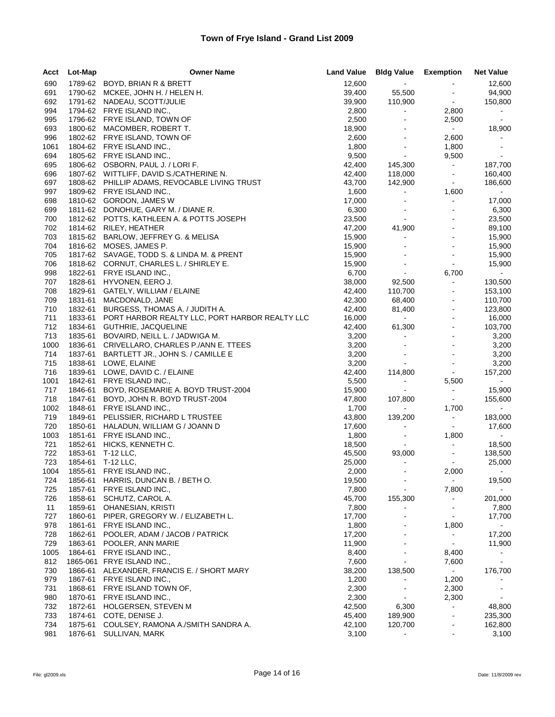| Acct | Lot-Map | <b>Owner Name</b>                              | <b>Land Value</b> | <b>Bldg Value Exemption</b>      |                                  | <b>Net Value</b> |
|------|---------|------------------------------------------------|-------------------|----------------------------------|----------------------------------|------------------|
| 690  |         | 1789-62 BOYD, BRIAN R & BRETT                  | 12,600            | $\sim$                           | $\blacksquare$                   | 12,600           |
| 691  |         | 1790-62 MCKEE, JOHN H. / HELEN H.              | 39,400            | 55,500                           | $\blacksquare$                   | 94,900           |
| 692  |         | 1791-62 NADEAU, SCOTT/JULIE                    | 39,900            | 110,900                          | $\bullet$                        | 150,800          |
| 994  |         | 1794-62 FRYE ISLAND INC.,                      | 2,800             | $\blacksquare$                   | 2,800                            | $\sim$           |
| 995  |         | 1796-62 FRYE ISLAND, TOWN OF                   | 2,500             | $\blacksquare$                   | 2,500                            | $\sim$           |
| 693  |         | 1800-62 MACOMBER, ROBERT T.                    | 18,900            |                                  | $\sim 100$                       | 18,900           |
| 996  |         | 1802-62 FRYE ISLAND, TOWN OF                   | 2,600             | $\blacksquare$                   | 2,600                            | $\sim$           |
| 1061 |         | 1804-62 FRYE ISLAND INC.,                      | 1,800             | $\blacksquare$                   | 1,800                            | $\blacksquare$   |
| 694  |         | 1805-62 FRYE ISLAND INC.,                      | 9,500             | $\sim$                           | 9,500                            | $\sim$           |
| 695  |         | 1806-62 OSBORN, PAUL J. / LORI F.              | 42,400            | 145,300                          | $\bullet$                        | 187,700          |
| 696  |         | 1807-62 WITTLIFF, DAVID S./CATHERINE N.        | 42,400            | 118,000                          | $\blacksquare$                   | 160,400          |
| 697  |         | 1808-62 PHILLIP ADAMS, REVOCABLE LIVING TRUST  | 43,700            | 142,900                          | $\sim$                           | 186,600          |
| 997  |         | 1809-62 FRYE ISLAND INC.,                      | 1,600             | $\blacksquare$                   | 1,600                            | $\sim$           |
| 698  |         | 1810-62 GORDON, JAMES W                        | 17,000            | $\blacksquare$                   | $\blacksquare$                   | 17,000           |
| 699  |         | 1811-62 DONOHUE, GARY M. / DIANE R.            | 6,300             | $\blacksquare$                   | $\sim$                           | 6,300            |
| 700  |         | 1812-62 POTTS, KATHLEEN A. & POTTS JOSEPH      | 23,500            | $\blacksquare$                   | $\blacksquare$                   | 23,500           |
| 702  |         | 1814-62 RILEY, HEATHER                         | 47,200            | 41,900                           | $\blacksquare$                   | 89,100           |
| 703  |         | 1815-62 BARLOW, JEFFREY G. & MELISA            | 15,900            | $\blacksquare$                   | $\mathbf{r}$                     | 15,900           |
| 704  |         | 1816-62 MOSES, JAMES P.                        | 15,900            |                                  | $\blacksquare$                   | 15,900           |
| 705  |         | 1817-62 SAVAGE, TODD S. & LINDA M. & PRENT     | 15,900            | $\blacksquare$                   |                                  | 15,900           |
| 706  |         | 1818-62 CORNUT, CHARLES L. / SHIRLEY E.        | 15,900            | $\blacksquare$                   | $\omega$                         | 15,900           |
|      |         | 1822-61 FRYE ISLAND INC.,                      |                   | $\sim$                           |                                  | $\sim$           |
| 998  | 1828-61 | HYVONEN, EERO J.                               | 6,700             |                                  | 6,700<br>$\blacksquare$          |                  |
| 707  |         |                                                | 38,000            | 92,500                           | $\blacksquare$                   | 130,500          |
| 708  | 1829-61 | GATELY, WILLIAM / ELAINE                       | 42,400            | 110,700                          |                                  | 153,100          |
| 709  | 1831-61 | MACDONALD, JANE                                | 42,300            | 68,400                           | $\blacksquare$                   | 110,700          |
| 710  | 1832-61 | BURGESS, THOMAS A. / JUDITH A.                 | 42,400            | 81,400<br>$\Delta \sim 10^{-1}$  | $\blacksquare$<br>$\blacksquare$ | 123,800          |
| 711  | 1833-61 | PORT HARBOR REALTY LLC, PORT HARBOR REALTY LLC | 16,000            |                                  |                                  | 16,000           |
| 712  | 1834-61 | GUTHRIE, JACQUELINE                            | 42,400            | 61,300                           | $\blacksquare$                   | 103,700          |
| 713  | 1835-61 | BOVAIRD, NEILL L. / JADWIGA M.                 | 3,200             | $\blacksquare$                   | $\sim$                           | 3,200            |
| 1000 | 1836-61 | CRIVELLARO, CHARLES P./ANN E. TTEES            | 3,200             |                                  | $\blacksquare$                   | 3,200            |
| 714  | 1837-61 | BARTLETT JR., JOHN S. / CAMILLE E              | 3,200             | $\blacksquare$<br>$\blacksquare$ |                                  | 3,200            |
| 715  | 1838-61 | LOWE, ELAINE                                   | 3,200             |                                  | $\blacksquare$                   | 3,200            |
| 716  |         | 1839-61 LOWE, DAVID C. / ELAINE                | 42,400            | 114,800                          | $\sim$                           | 157,200          |
| 1001 | 1842-61 | FRYE ISLAND INC.,                              | 5,500             | $\qquad \qquad \blacksquare$     | 5,500                            | $\bullet$ .      |
| 717  | 1846-61 | BOYD, ROSEMARIE A. BOYD TRUST-2004             | 15,900            | $\blacksquare$                   | $\blacksquare$                   | 15,900           |
| 718  | 1847-61 | BOYD, JOHN R. BOYD TRUST-2004                  | 47,800            | 107,800                          | $\sim$                           | 155,600          |
| 1002 | 1848-61 | FRYE ISLAND INC.,                              | 1,700             | $\bullet$ .                      | 1,700                            | $\sim$           |
| 719  | 1849-61 | PELISSIER, RICHARD L TRUSTEE                   | 43,800            | 139,200                          | $\sim$                           | 183,000          |
| 720  | 1850-61 | HALADUN, WILLIAM G / JOANN D                   | 17,600            | $\blacksquare$                   | $\sim$                           | 17,600           |
| 1003 | 1851-61 | FRYE ISLAND INC.,                              | 1,800             | $\blacksquare$                   | 1,800                            | $\sim$           |
| 721  | 1852-61 | HICKS, KENNETH C.                              | 18,500            |                                  | $\blacksquare$                   | 18,500           |
| 722  | 1853-61 | T-12 LLC,                                      | 45,500            | 93,000                           | $\blacksquare$                   | 138,500          |
| 723  | 1854-61 | T-12 LLC,                                      | 25,000            | $\blacksquare$                   | $\sim$                           | 25,000           |
| 1004 | 1855-61 | FRYE ISLAND INC.,                              | 2,000             |                                  | 2,000                            | $\sim$           |
| 724  |         | 1856-61 HARRIS, DUNCAN B. / BETH O.            | 19,500            | $\blacksquare$                   | $\blacksquare$                   | 19,500           |
| 725  | 1857-61 | FRYE ISLAND INC.,                              | 7,800             | $\blacksquare$                   | 7,800                            | $\sim$           |
| 726  | 1858-61 | SCHUTZ, CAROL A.                               | 45,700            | 155,300                          | $\blacksquare$                   | 201,000          |
| 11   | 1859-61 | OHANESIAN, KRISTI                              | 7,800             |                                  | $\blacksquare$                   | 7,800            |
| 727  | 1860-61 | PIPER, GREGORY W. / ELIZABETH L.               | 17,700            | $\blacksquare$                   | $\blacksquare$                   | 17,700           |
| 978  | 1861-61 | FRYE ISLAND INC.,                              | 1,800             |                                  | 1,800                            |                  |
| 728  | 1862-61 | POOLER, ADAM / JACOB / PATRICK                 | 17,200            |                                  | $\blacksquare$                   | 17,200           |
| 729  | 1863-61 | POOLER, ANN MARIE                              | 11,900            | $\sim$                           | $\blacksquare$                   | 11,900           |
| 1005 | 1864-61 | FRYE ISLAND INC.,                              | 8,400             |                                  | 8,400                            |                  |
| 812  |         | 1865-061 FRYE ISLAND INC.,                     | 7,600             |                                  | 7,600                            |                  |
| 730  | 1866-61 | ALEXANDER, FRANCIS E. / SHORT MARY             | 38,200            | 138,500                          | $\mathbf{r}$                     | 176,700          |
| 979  | 1867-61 | FRYE ISLAND INC.,                              | 1,200             |                                  | 1,200                            |                  |
| 731  | 1868-61 | FRYE ISLAND TOWN OF,                           | 2,300             |                                  | 2,300                            |                  |
| 980  | 1870-61 | FRYE ISLAND INC.,                              | 2,300             | $\blacksquare$                   | 2,300                            | $\sim$           |
| 732  | 1872-61 | HOLGERSEN, STEVEN M                            | 42,500            | 6,300                            | $\blacksquare$                   | 48,800           |
| 733  | 1874-61 | COTE, DENISE J.                                | 45,400            | 189,900                          | $\blacksquare$                   | 235,300          |
| 734  | 1875-61 | COULSEY, RAMONA A./SMITH SANDRA A.             | 42,100            | 120,700                          | $\blacksquare$                   | 162,800          |
| 981  | 1876-61 | SULLIVAN, MARK                                 | 3,100             |                                  | $\blacksquare$                   | 3,100            |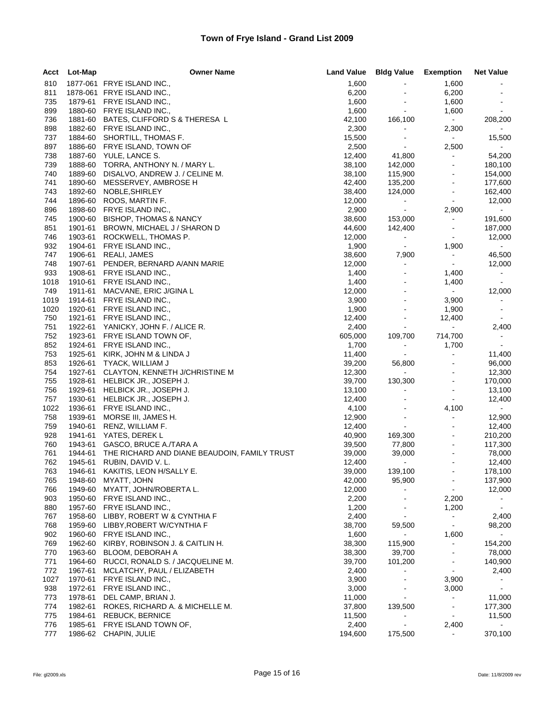| Acct       | Lot-Map            | <b>Owner Name</b>                              | <b>Land Value</b> | <b>Bldg Value</b>                | Exemption                        | <b>Net Value</b>  |
|------------|--------------------|------------------------------------------------|-------------------|----------------------------------|----------------------------------|-------------------|
| 810        |                    | 1877-061 FRYE ISLAND INC.,                     | 1,600             |                                  | 1,600                            |                   |
| 811        |                    | 1878-061 FRYE ISLAND INC.,                     | 6,200             |                                  | 6,200                            |                   |
| 735        | 1879-61            | FRYE ISLAND INC.,                              | 1,600             | $\blacksquare$                   | 1,600                            |                   |
| 899        | 1880-60            | FRYE ISLAND INC.,                              | 1,600             | $\sim$                           | 1,600                            | $\sim$            |
| 736        | 1881-60            | BATES, CLIFFORD S & THERESA L                  | 42,100            | 166,100                          | $\sim 10$                        | 208,200           |
| 898        | 1882-60            | FRYE ISLAND INC.,                              | 2,300             | $\blacksquare$                   | 2,300                            |                   |
| 737        | 1884-60            | SHORTILL, THOMAS F.                            | 15,500            | $\blacksquare$                   | $\sim$                           | 15,500            |
| 897        | 1886-60            | FRYE ISLAND, TOWN OF                           | 2,500             | $\blacksquare$                   | 2,500                            |                   |
| 738        | 1887-60            | YULE, LANCE S.                                 | 12,400            | 41,800                           | $\blacksquare$                   | 54,200            |
| 739        |                    | 1888-60 TORRA, ANTHONY N. / MARY L.            | 38,100            | 142,000                          | $\blacksquare$                   | 180,100           |
| 740        | 1889-60            | DISALVO, ANDREW J. / CELINE M.                 | 38,100            | 115,900                          | $\blacksquare$                   | 154,000           |
| 741        | 1890-60<br>1892-60 | MESSERVEY, AMBROSE H<br>NOBLE, SHIRLEY         | 42,400            | 135,200                          | $\blacksquare$<br>$\blacksquare$ | 177,600           |
| 743<br>744 | 1896-60            | ROOS, MARTIN F.                                | 38,400<br>12,000  | 124,000                          | $\blacksquare$                   | 162,400<br>12,000 |
| 896        | 1898-60            | FRYE ISLAND INC.,                              | 2,900             | $\blacksquare$<br>$\blacksquare$ | 2,900                            | $\sim$            |
| 745        | 1900-60            | <b>BISHOP, THOMAS &amp; NANCY</b>              | 38,600            | 153,000                          | $\blacksquare$                   | 191,600           |
| 851        | 1901-61            | BROWN, MICHAEL J / SHARON D                    | 44,600            | 142,400                          | $\blacksquare$                   | 187,000           |
| 746        | 1903-61            | ROCKWELL, THOMAS P.                            | 12,000            | $\blacksquare$                   | $\blacksquare$                   | 12,000            |
| 932        | 1904-61            | FRYE ISLAND INC.,                              | 1,900             | $\sim$                           | 1,900                            | $\sim$            |
| 747        | 1906-61            | REALI, JAMES                                   | 38,600            | 7,900                            | $\sim$                           | 46,500            |
| 748        | 1907-61            | PENDER, BERNARD A/ANN MARIE                    | 12,000            | $\blacksquare$                   | $\blacksquare$                   | 12,000            |
| 933        | 1908-61            | FRYE ISLAND INC.,                              | 1,400             | $\blacksquare$                   | 1,400                            | $\sim$ 10 $\pm$   |
| 1018       | 1910-61            | FRYE ISLAND INC.,                              | 1,400             | $\blacksquare$                   | 1,400                            | $\sim$            |
| 749        | 1911-61            | MACVANE, ERIC J/GINA L                         | 12,000            |                                  | $\sim$                           | 12,000            |
| 1019       | 1914-61            | FRYE ISLAND INC.,                              | 3,900             | $\blacksquare$                   | 3,900                            | $\sim$            |
| 1020       | 1920-61            | FRYE ISLAND INC.,                              | 1,900             | $\blacksquare$                   | 1,900                            | $\sim$            |
| 750        | 1921-61            | FRYE ISLAND INC.,                              | 12,400            |                                  | 12,400                           | $\sim$            |
| 751        |                    | 1922-61 YANICKY, JOHN F. / ALICE R.            | 2,400             | $\blacksquare$                   | $\equiv$                         | 2,400             |
| 752        | 1923-61            | FRYE ISLAND TOWN OF,                           | 605,000           | 109,700                          | 714,700                          | $\sim 100$        |
| 852        | 1924-61            | FRYE ISLAND INC.,                              | 1,700             | $\blacksquare$                   | 1,700                            | $\sim$            |
| 753        | 1925-61            | KIRK, JOHN M & LINDA J                         | 11,400            | $\blacksquare$                   | $\blacksquare$                   | 11,400            |
| 853        | 1926-61            | TYACK, WILLIAM J                               | 39,200            | 56,800                           | $\blacksquare$                   | 96,000            |
| 754        | 1927-61            | CLAYTON, KENNETH J/CHRISTINE M                 | 12,300            | $\sim$                           |                                  | 12,300            |
| 755        | 1928-61            | HELBICK JR., JOSEPH J.                         | 39,700            | 130,300                          | ÷,                               | 170,000           |
| 756        | 1929-61            | HELBICK JR., JOSEPH J.                         | 13,100            | $\blacksquare$                   | $\blacksquare$                   | 13,100            |
| 757        | 1930-61            | HELBICK JR., JOSEPH J.                         | 12,400            |                                  | $\blacksquare$                   | 12,400            |
| 1022       | 1936-61            | FRYE ISLAND INC.,                              | 4,100             | $\blacksquare$                   | 4,100                            |                   |
| 758        | 1939-61            | MORSE III, JAMES H.                            | 12,900            | $\sim$                           | $\blacksquare$                   | 12,900            |
| 759        | 1940-61            | RENZ, WILLIAM F.                               | 12,400            | $\blacksquare$                   |                                  | 12,400            |
| 928        | 1941-61            | YATES, DEREK L                                 | 40,900            | 169,300                          | $\blacksquare$                   | 210,200           |
| 760        | 1943-61            | GASCO, BRUCE A./TARA A                         | 39,500            | 77,800                           | $\blacksquare$                   | 117,300           |
| 761        | 1944-61            | THE RICHARD AND DIANE BEAUDOIN, FAMILY TRUST   | 39,000            | 39,000<br>$\sim$                 |                                  | 78,000            |
| 762<br>763 | 1945-61<br>1946-61 | RUBIN, DAVID V. L.<br>KAKITIS, LEON H/SALLY E. | 12,400            |                                  | $\blacksquare$                   | 12,400<br>178,100 |
| 765        | 1948-60            | MYATT, JOHN                                    | 39,000<br>42,000  | 139,100<br>95,900                |                                  | 137,900           |
| 766        | 1949-60            | MYATT, JOHN/ROBERTA L.                         | 12,000            |                                  |                                  | 12,000            |
| 903        | 1950-60            | FRYE ISLAND INC.,                              | 2,200             | $\blacksquare$                   | 2,200                            | $\sim$            |
| 880        | 1957-60            | FRYE ISLAND INC.,                              | 1,200             | $\blacksquare$                   | 1,200                            | $\sim$            |
| 767        | 1958-60            | LIBBY, ROBERT W & CYNTHIA F                    | 2,400             | $\blacksquare$                   | $\blacksquare$                   | 2,400             |
| 768        | 1959-60            | LIBBY, ROBERT W/CYNTHIA F                      | 38,700            | 59,500                           | $\blacksquare$                   | 98,200            |
| 902        | 1960-60            | FRYE ISLAND INC.,                              | 1,600             | $\sim$                           | 1,600                            | $\sim$            |
| 769        | 1962-60            | KIRBY, ROBINSON J. & CAITLIN H.                | 38,300            | 115,900                          | $\blacksquare$                   | 154,200           |
| 770        | 1963-60            | BLOOM, DEBORAH A                               | 38,300            | 39,700                           |                                  | 78,000            |
| 771        | 1964-60            | RUCCI, RONALD S. / JACQUELINE M.               | 39,700            | 101,200                          | $\blacksquare$                   | 140,900           |
| 772        | 1967-61            | MCLATCHY, PAUL / ELIZABETH                     | 2,400             |                                  |                                  | 2,400             |
| 1027       | 1970-61            | FRYE ISLAND INC.,                              | 3,900             | $\blacksquare$                   | 3,900                            | $\sim$            |
| 938        | 1972-61            | FRYE ISLAND INC.,                              | 3,000             |                                  | 3,000                            | $\sim$            |
| 773        | 1978-61            | DEL CAMP, BRIAN J.                             | 11,000            |                                  | $\blacksquare$                   | 11,000            |
| 774        | 1982-61            | ROKES, RICHARD A. & MICHELLE M.                | 37,800            | 139,500                          | $\blacksquare$                   | 177,300           |
| 775        | 1984-61            | <b>REBUCK, BERNICE</b>                         | 11,500            | $\blacksquare$                   | $\blacksquare$                   | 11,500            |
| 776        | 1985-61            | FRYE ISLAND TOWN OF,                           | 2,400             | $\blacksquare$                   | 2,400                            |                   |
| 777        |                    | 1986-62 CHAPIN, JULIE                          | 194,600           | 175,500                          | $\blacksquare$                   | 370,100           |